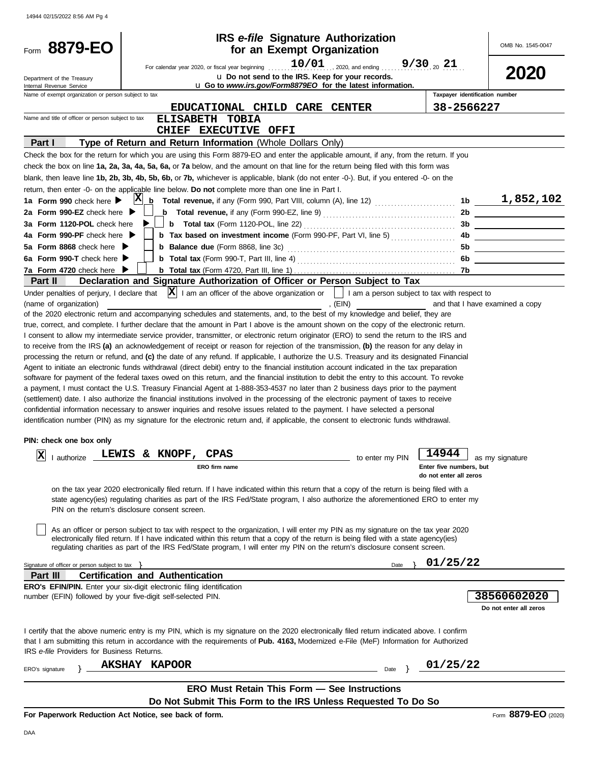| Form 8879-EO                                           | <b>IRS</b> e-file Signature Authorization<br>for an Exempt Organization                                                                                                                                                                                                                                                                                                                                                                                                                                                                                                                                                                                                                                                                                                                                                                                                                                                                                                                                                                                                                                                                                                                                                                                                                                                                                     |                                                            | OMB No. 1545-0047                                                                                                     |
|--------------------------------------------------------|-------------------------------------------------------------------------------------------------------------------------------------------------------------------------------------------------------------------------------------------------------------------------------------------------------------------------------------------------------------------------------------------------------------------------------------------------------------------------------------------------------------------------------------------------------------------------------------------------------------------------------------------------------------------------------------------------------------------------------------------------------------------------------------------------------------------------------------------------------------------------------------------------------------------------------------------------------------------------------------------------------------------------------------------------------------------------------------------------------------------------------------------------------------------------------------------------------------------------------------------------------------------------------------------------------------------------------------------------------------|------------------------------------------------------------|-----------------------------------------------------------------------------------------------------------------------|
|                                                        |                                                                                                                                                                                                                                                                                                                                                                                                                                                                                                                                                                                                                                                                                                                                                                                                                                                                                                                                                                                                                                                                                                                                                                                                                                                                                                                                                             |                                                            |                                                                                                                       |
|                                                        | $10/01$ . 2020, and ending  9/30 20 21<br>For calendar year 2020, or fiscal year beginning<br>u Do not send to the IRS. Keep for your records.                                                                                                                                                                                                                                                                                                                                                                                                                                                                                                                                                                                                                                                                                                                                                                                                                                                                                                                                                                                                                                                                                                                                                                                                              |                                                            | 2020                                                                                                                  |
| Department of the Treasury<br>Internal Revenue Service | u Go to www.irs.gov/Form8879EO for the latest information.                                                                                                                                                                                                                                                                                                                                                                                                                                                                                                                                                                                                                                                                                                                                                                                                                                                                                                                                                                                                                                                                                                                                                                                                                                                                                                  |                                                            |                                                                                                                       |
| Name of exempt organization or person subject to tax   |                                                                                                                                                                                                                                                                                                                                                                                                                                                                                                                                                                                                                                                                                                                                                                                                                                                                                                                                                                                                                                                                                                                                                                                                                                                                                                                                                             | Taxpayer identification number                             |                                                                                                                       |
|                                                        | EDUCATIONAL CHILD CARE CENTER                                                                                                                                                                                                                                                                                                                                                                                                                                                                                                                                                                                                                                                                                                                                                                                                                                                                                                                                                                                                                                                                                                                                                                                                                                                                                                                               | 38-2566227                                                 |                                                                                                                       |
| Name and title of officer or person subject to tax     | ELISABETH TOBIA                                                                                                                                                                                                                                                                                                                                                                                                                                                                                                                                                                                                                                                                                                                                                                                                                                                                                                                                                                                                                                                                                                                                                                                                                                                                                                                                             |                                                            |                                                                                                                       |
|                                                        | CHIEF EXECUTIVE OFFI                                                                                                                                                                                                                                                                                                                                                                                                                                                                                                                                                                                                                                                                                                                                                                                                                                                                                                                                                                                                                                                                                                                                                                                                                                                                                                                                        |                                                            |                                                                                                                       |
| Part I                                                 | Type of Return and Return Information (Whole Dollars Only)                                                                                                                                                                                                                                                                                                                                                                                                                                                                                                                                                                                                                                                                                                                                                                                                                                                                                                                                                                                                                                                                                                                                                                                                                                                                                                  |                                                            |                                                                                                                       |
|                                                        | Check the box for the return for which you are using this Form 8879-EO and enter the applicable amount, if any, from the return. If you                                                                                                                                                                                                                                                                                                                                                                                                                                                                                                                                                                                                                                                                                                                                                                                                                                                                                                                                                                                                                                                                                                                                                                                                                     |                                                            |                                                                                                                       |
|                                                        | check the box on line 1a, 2a, 3a, 4a, 5a, 6a, or 7a below, and the amount on that line for the return being filed with this form was                                                                                                                                                                                                                                                                                                                                                                                                                                                                                                                                                                                                                                                                                                                                                                                                                                                                                                                                                                                                                                                                                                                                                                                                                        |                                                            |                                                                                                                       |
|                                                        | blank, then leave line 1b, 2b, 3b, 4b, 5b, 6b, or 7b, whichever is applicable, blank (do not enter -0-). But, if you entered -0- on the                                                                                                                                                                                                                                                                                                                                                                                                                                                                                                                                                                                                                                                                                                                                                                                                                                                                                                                                                                                                                                                                                                                                                                                                                     |                                                            |                                                                                                                       |
|                                                        | return, then enter -0- on the applicable line below. Do not complete more than one line in Part I.                                                                                                                                                                                                                                                                                                                                                                                                                                                                                                                                                                                                                                                                                                                                                                                                                                                                                                                                                                                                                                                                                                                                                                                                                                                          |                                                            |                                                                                                                       |
| 1a Form 990 check here                                 | X <br>b                                                                                                                                                                                                                                                                                                                                                                                                                                                                                                                                                                                                                                                                                                                                                                                                                                                                                                                                                                                                                                                                                                                                                                                                                                                                                                                                                     |                                                            | 1b $1,852,102$                                                                                                        |
| 2a Form 990-EZ check here $\blacktriangleright$        | <b>b</b> Total revenue, if any (Form 990-EZ, line 9) $\ldots$ $\ldots$ $\ldots$ $\ldots$ $\ldots$ $\ldots$                                                                                                                                                                                                                                                                                                                                                                                                                                                                                                                                                                                                                                                                                                                                                                                                                                                                                                                                                                                                                                                                                                                                                                                                                                                  | 2b                                                         |                                                                                                                       |
| 3a Form 1120-POL check here                            |                                                                                                                                                                                                                                                                                                                                                                                                                                                                                                                                                                                                                                                                                                                                                                                                                                                                                                                                                                                                                                                                                                                                                                                                                                                                                                                                                             | 3b                                                         |                                                                                                                       |
| 4a Form 990-PF check here ▶                            | <b>b</b> Tax based on investment income (Form 990-PF, Part VI, line 5)                                                                                                                                                                                                                                                                                                                                                                                                                                                                                                                                                                                                                                                                                                                                                                                                                                                                                                                                                                                                                                                                                                                                                                                                                                                                                      | 4b                                                         | <u> 1989 - Jan Barbara (</u>                                                                                          |
| 5a Form 8868 check here $\blacktriangleright$          |                                                                                                                                                                                                                                                                                                                                                                                                                                                                                                                                                                                                                                                                                                                                                                                                                                                                                                                                                                                                                                                                                                                                                                                                                                                                                                                                                             | 5b                                                         | <u> 1989 - John Stein, skriuwer fan it ferstjer fan it ferstjer fan it ferstjer fan it ferstjer fan it ferstjer f</u> |
| 6a Form 990-T check here                               |                                                                                                                                                                                                                                                                                                                                                                                                                                                                                                                                                                                                                                                                                                                                                                                                                                                                                                                                                                                                                                                                                                                                                                                                                                                                                                                                                             | 6b                                                         | the company of the company of the company                                                                             |
| 7a Form 4720 check here ▶                              |                                                                                                                                                                                                                                                                                                                                                                                                                                                                                                                                                                                                                                                                                                                                                                                                                                                                                                                                                                                                                                                                                                                                                                                                                                                                                                                                                             |                                                            |                                                                                                                       |
| <b>Part II</b>                                         | Declaration and Signature Authorization of Officer or Person Subject to Tax                                                                                                                                                                                                                                                                                                                                                                                                                                                                                                                                                                                                                                                                                                                                                                                                                                                                                                                                                                                                                                                                                                                                                                                                                                                                                 |                                                            |                                                                                                                       |
| Under penalties of perjury, I declare that             | $ \mathbf{X} $ I am an officer of the above organization or $\ \cdot\ $ I am a person subject to tax with respect to                                                                                                                                                                                                                                                                                                                                                                                                                                                                                                                                                                                                                                                                                                                                                                                                                                                                                                                                                                                                                                                                                                                                                                                                                                        |                                                            |                                                                                                                       |
| PIN: check one box only<br> X<br>I authorize           | I consent to allow my intermediate service provider, transmitter, or electronic return originator (ERO) to send the return to the IRS and<br>to receive from the IRS (a) an acknowledgement of receipt or reason for rejection of the transmission, (b) the reason for any delay in<br>processing the return or refund, and (c) the date of any refund. If applicable, I authorize the U.S. Treasury and its designated Financial<br>Agent to initiate an electronic funds withdrawal (direct debit) entry to the financial institution account indicated in the tax preparation<br>software for payment of the federal taxes owed on this return, and the financial institution to debit the entry to this account. To revoke<br>a payment, I must contact the U.S. Treasury Financial Agent at 1-888-353-4537 no later than 2 business days prior to the payment<br>(settlement) date. I also authorize the financial institutions involved in the processing of the electronic payment of taxes to receive<br>confidential information necessary to answer inquiries and resolve issues related to the payment. I have selected a personal<br>identification number (PIN) as my signature for the electronic return and, if applicable, the consent to electronic funds withdrawal.<br>LEWIS & KNOPF,<br><b>CPAS</b><br>to enter my PIN<br>ERO firm name | 14944<br>Enter five numbers, but<br>do not enter all zeros | as my signature                                                                                                       |
|                                                        | on the tax year 2020 electronically filed return. If I have indicated within this return that a copy of the return is being filed with a<br>state agency(ies) regulating charities as part of the IRS Fed/State program, I also authorize the aforementioned ERO to enter my<br>PIN on the return's disclosure consent screen.<br>As an officer or person subject to tax with respect to the organization, I will enter my PIN as my signature on the tax year 2020                                                                                                                                                                                                                                                                                                                                                                                                                                                                                                                                                                                                                                                                                                                                                                                                                                                                                         |                                                            |                                                                                                                       |
|                                                        | electronically filed return. If I have indicated within this return that a copy of the return is being filed with a state agency(ies)<br>regulating charities as part of the IRS Fed/State program, I will enter my PIN on the return's disclosure consent screen.                                                                                                                                                                                                                                                                                                                                                                                                                                                                                                                                                                                                                                                                                                                                                                                                                                                                                                                                                                                                                                                                                          |                                                            |                                                                                                                       |
| Signature of officer or person subject to tax          | Date                                                                                                                                                                                                                                                                                                                                                                                                                                                                                                                                                                                                                                                                                                                                                                                                                                                                                                                                                                                                                                                                                                                                                                                                                                                                                                                                                        | 01/25/22                                                   |                                                                                                                       |
| <b>Part III</b>                                        | <b>Certification and Authentication</b>                                                                                                                                                                                                                                                                                                                                                                                                                                                                                                                                                                                                                                                                                                                                                                                                                                                                                                                                                                                                                                                                                                                                                                                                                                                                                                                     |                                                            |                                                                                                                       |
|                                                        | <b>ERO's EFIN/PIN.</b> Enter your six-digit electronic filing identification<br>number (EFIN) followed by your five-digit self-selected PIN.                                                                                                                                                                                                                                                                                                                                                                                                                                                                                                                                                                                                                                                                                                                                                                                                                                                                                                                                                                                                                                                                                                                                                                                                                |                                                            | 38560602020<br>Do not enter all zeros                                                                                 |
| IRS e-file Providers for Business Returns.             | I certify that the above numeric entry is my PIN, which is my signature on the 2020 electronically filed return indicated above. I confirm<br>that I am submitting this return in accordance with the requirements of <b>Pub. 4163</b> , Modernized e-File (MeF) Information for Authorized                                                                                                                                                                                                                                                                                                                                                                                                                                                                                                                                                                                                                                                                                                                                                                                                                                                                                                                                                                                                                                                                 |                                                            |                                                                                                                       |
| ERO's signature                                        | <b>AKSHAY</b><br><b>KAPOOR</b><br>Date                                                                                                                                                                                                                                                                                                                                                                                                                                                                                                                                                                                                                                                                                                                                                                                                                                                                                                                                                                                                                                                                                                                                                                                                                                                                                                                      | 01/25/22                                                   |                                                                                                                       |
|                                                        |                                                                                                                                                                                                                                                                                                                                                                                                                                                                                                                                                                                                                                                                                                                                                                                                                                                                                                                                                                                                                                                                                                                                                                                                                                                                                                                                                             |                                                            |                                                                                                                       |
|                                                        | <b>ERO Must Retain This Form - See Instructions</b>                                                                                                                                                                                                                                                                                                                                                                                                                                                                                                                                                                                                                                                                                                                                                                                                                                                                                                                                                                                                                                                                                                                                                                                                                                                                                                         |                                                            |                                                                                                                       |
|                                                        | Do Not Submit This Form to the IRS Unless Requested To Do So                                                                                                                                                                                                                                                                                                                                                                                                                                                                                                                                                                                                                                                                                                                                                                                                                                                                                                                                                                                                                                                                                                                                                                                                                                                                                                |                                                            |                                                                                                                       |
|                                                        | For Paperwork Reduction Act Notice, see back of form.                                                                                                                                                                                                                                                                                                                                                                                                                                                                                                                                                                                                                                                                                                                                                                                                                                                                                                                                                                                                                                                                                                                                                                                                                                                                                                       |                                                            | Form 8879-EO (2020)                                                                                                   |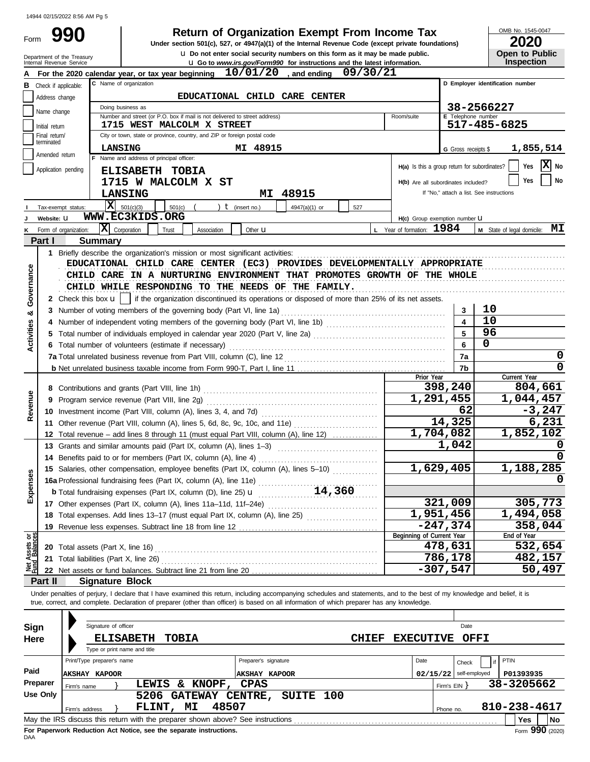Form 990

# **Return of Organization Exempt From Income Tax**<br>section 501(c), 527, or 4947(a)(1) of the Internal Revenue Code (except private foundations) 2020

u **Do not enter social security numbers on this form as it may be made public. Open to Public Under section 501(c), 527, or 4947(a)(1) of the Internal Revenue Code (except private foundations)**

OMB No. 1545-0047

|                                | Internal Revenue Service                        | Department of the Treasury    |                                       |                                          |                                                                                 |                      | U Do not enter social security numbers on this form as it may be made public.<br>La Go to www.irs.gov/Form990 for instructions and the latest information.                                                                                                                                                               |                           |                                     |                          |                                               | Open to Public<br><b>Inspection</b> |          |
|--------------------------------|-------------------------------------------------|-------------------------------|---------------------------------------|------------------------------------------|---------------------------------------------------------------------------------|----------------------|--------------------------------------------------------------------------------------------------------------------------------------------------------------------------------------------------------------------------------------------------------------------------------------------------------------------------|---------------------------|-------------------------------------|--------------------------|-----------------------------------------------|-------------------------------------|----------|
|                                |                                                 |                               |                                       |                                          | For the 2020 calendar year, or tax year beginning $10/01/20$ , and ending       |                      |                                                                                                                                                                                                                                                                                                                          | 09/30/21                  |                                     |                          |                                               |                                     |          |
| в                              | Check if applicable:                            |                               |                                       | C Name of organization                   |                                                                                 |                      |                                                                                                                                                                                                                                                                                                                          |                           |                                     |                          | D Employer identification number              |                                     |          |
|                                | EDUCATIONAL CHILD CARE CENTER<br>Address change |                               |                                       |                                          |                                                                                 |                      |                                                                                                                                                                                                                                                                                                                          |                           |                                     |                          |                                               |                                     |          |
|                                | 38-2566227<br>Doing business as                 |                               |                                       |                                          |                                                                                 |                      |                                                                                                                                                                                                                                                                                                                          |                           |                                     |                          |                                               |                                     |          |
|                                | Name change                                     |                               |                                       |                                          | Number and street (or P.O. box if mail is not delivered to street address)      |                      |                                                                                                                                                                                                                                                                                                                          | Room/suite                |                                     |                          | E Telephone number                            |                                     |          |
|                                | Initial return                                  |                               |                                       |                                          | 1715 WEST MALCOLM X STREET                                                      |                      |                                                                                                                                                                                                                                                                                                                          |                           |                                     |                          | 517-485-6825                                  |                                     |          |
|                                | Final return/<br>terminated                     |                               |                                       |                                          | City or town, state or province, country, and ZIP or foreign postal code        |                      |                                                                                                                                                                                                                                                                                                                          |                           |                                     |                          |                                               |                                     |          |
|                                | Amended return                                  |                               | LANSING                               |                                          |                                                                                 | MI 48915             |                                                                                                                                                                                                                                                                                                                          |                           |                                     | G Gross receipts \$      |                                               | 1,855,514                           |          |
|                                |                                                 |                               |                                       | F Name and address of principal officer: |                                                                                 |                      |                                                                                                                                                                                                                                                                                                                          |                           |                                     |                          | H(a) Is this a group return for subordinates? | Yes                                 | X No     |
|                                | Application pending                             |                               |                                       | ELISABETH TOBIA                          |                                                                                 |                      |                                                                                                                                                                                                                                                                                                                          |                           |                                     |                          |                                               |                                     |          |
|                                |                                                 |                               |                                       |                                          | 1715 W MALCOLM X ST                                                             |                      |                                                                                                                                                                                                                                                                                                                          |                           | H(b) Are all subordinates included? |                          |                                               | Yes                                 | No       |
|                                |                                                 |                               |                                       | <b>LANSING</b>                           |                                                                                 | MI                   | 48915                                                                                                                                                                                                                                                                                                                    |                           |                                     |                          | If "No," attach a list. See instructions      |                                     |          |
|                                | Tax-exempt status:                              |                               |                                       | $\overline{\mathbf{X}}$ 501(c)(3)        | 501(c)                                                                          | $t$ (insert no.)     | 527<br>4947(a)(1) or                                                                                                                                                                                                                                                                                                     |                           |                                     |                          |                                               |                                     |          |
|                                | Website: U                                      |                               |                                       | WWW.EC3KIDS.ORG                          |                                                                                 |                      |                                                                                                                                                                                                                                                                                                                          |                           | H(c) Group exemption number U       |                          |                                               |                                     |          |
|                                | Form of organization:                           |                               | $ \mathbf{\overline{X}} $ Corporation | Trust                                    | Association                                                                     | Other $\mathbf u$    |                                                                                                                                                                                                                                                                                                                          | L Year of formation: 1984 |                                     |                          | M State of legal domicile:                    |                                     | МI       |
|                                | Part I                                          |                               | <b>Summary</b>                        |                                          |                                                                                 |                      |                                                                                                                                                                                                                                                                                                                          |                           |                                     |                          |                                               |                                     |          |
|                                |                                                 |                               |                                       |                                          | 1 Briefly describe the organization's mission or most significant activities:   |                      |                                                                                                                                                                                                                                                                                                                          |                           |                                     |                          |                                               |                                     |          |
|                                |                                                 |                               |                                       |                                          |                                                                                 |                      | EDUCATIONAL CHILD CARE CENTER (EC3) PROVIDES DEVELOPMENTALLY APPROPRIATE                                                                                                                                                                                                                                                 |                           |                                     |                          |                                               |                                     |          |
| Governance                     |                                                 |                               |                                       |                                          |                                                                                 |                      | CHILD CARE IN A NURTURING ENVIRONMENT THAT PROMOTES GROWTH OF THE WHOLE                                                                                                                                                                                                                                                  |                           |                                     |                          |                                               |                                     |          |
|                                |                                                 |                               |                                       |                                          |                                                                                 |                      | CHILD WHILE RESPONDING TO THE NEEDS OF THE FAMILY.                                                                                                                                                                                                                                                                       |                           |                                     |                          |                                               |                                     |          |
|                                |                                                 | 2 Check this box $\mathbf{u}$ |                                       |                                          |                                                                                 |                      | if the organization discontinued its operations or disposed of more than 25% of its net assets.                                                                                                                                                                                                                          |                           |                                     |                          |                                               |                                     |          |
| ೲ                              |                                                 |                               |                                       |                                          | 3 Number of voting members of the governing body (Part VI, line 1a)             |                      |                                                                                                                                                                                                                                                                                                                          |                           |                                     | 3                        | 10<br>10                                      |                                     |          |
| Activities                     |                                                 |                               |                                       |                                          |                                                                                 |                      |                                                                                                                                                                                                                                                                                                                          |                           |                                     |                          | 96                                            |                                     |          |
|                                |                                                 |                               |                                       |                                          |                                                                                 |                      |                                                                                                                                                                                                                                                                                                                          |                           |                                     | 6                        | 0                                             |                                     |          |
|                                |                                                 |                               |                                       |                                          | 6 Total number of volunteers (estimate if necessary)                            |                      |                                                                                                                                                                                                                                                                                                                          |                           |                                     |                          |                                               |                                     | 0        |
|                                |                                                 |                               |                                       |                                          |                                                                                 |                      |                                                                                                                                                                                                                                                                                                                          |                           |                                     | 7a<br>7b                 |                                               |                                     | 0        |
|                                |                                                 |                               |                                       |                                          |                                                                                 |                      |                                                                                                                                                                                                                                                                                                                          |                           | Prior Year                          |                          |                                               | Current Year                        |          |
|                                |                                                 |                               |                                       |                                          |                                                                                 |                      |                                                                                                                                                                                                                                                                                                                          |                           |                                     | 398,240                  |                                               | 804,661                             |          |
| Revenue                        |                                                 |                               |                                       |                                          |                                                                                 |                      |                                                                                                                                                                                                                                                                                                                          |                           | 1,291,455                           |                          |                                               | 1,044,457                           |          |
|                                |                                                 |                               |                                       |                                          |                                                                                 |                      |                                                                                                                                                                                                                                                                                                                          |                           |                                     | 62                       |                                               |                                     | $-3,247$ |
|                                |                                                 |                               |                                       |                                          |                                                                                 |                      | 11 Other revenue (Part VIII, column (A), lines 5, 6d, 8c, 9c, 10c, and 11e) [[[[[[[[[[[[[[[[[[[[[[[[[[[[[[[[[                                                                                                                                                                                                            |                           |                                     | 14,325                   |                                               |                                     | 6,231    |
|                                |                                                 |                               |                                       |                                          |                                                                                 |                      | 12 Total revenue – add lines 8 through 11 (must equal Part VIII, column (A), line 12)                                                                                                                                                                                                                                    |                           | 1,704,082                           |                          |                                               | 1,852,102                           |          |
|                                |                                                 |                               |                                       |                                          | 13 Grants and similar amounts paid (Part IX, column (A), lines 1–3)             |                      |                                                                                                                                                                                                                                                                                                                          |                           |                                     | 1,042                    |                                               |                                     | 0        |
|                                |                                                 |                               |                                       |                                          | 14 Benefits paid to or for members (Part IX, column (A), line 4)                |                      |                                                                                                                                                                                                                                                                                                                          |                           |                                     |                          |                                               |                                     |          |
|                                |                                                 |                               |                                       |                                          |                                                                                 |                      | 15 Salaries, other compensation, employee benefits (Part IX, column (A), lines 5-10)                                                                                                                                                                                                                                     |                           | 1,629,405                           |                          |                                               | 1,188,285                           |          |
| ses                            |                                                 |                               |                                       |                                          | 16a Professional fundraising fees (Part IX, column (A), line 11e)               |                      |                                                                                                                                                                                                                                                                                                                          |                           |                                     |                          |                                               |                                     | 0        |
| Exper                          |                                                 |                               |                                       |                                          | <b>b</b> Total fundraising expenses (Part IX, column (D), line 25) $\mathbf{u}$ |                      | 14,360                                                                                                                                                                                                                                                                                                                   |                           |                                     |                          |                                               |                                     |          |
|                                |                                                 |                               |                                       |                                          |                                                                                 |                      |                                                                                                                                                                                                                                                                                                                          |                           |                                     | 321,009                  |                                               | 305,773                             |          |
|                                |                                                 |                               |                                       |                                          |                                                                                 |                      | 18 Total expenses. Add lines 13-17 (must equal Part IX, column (A), line 25) [                                                                                                                                                                                                                                           |                           | 1,951,456                           |                          |                                               | 1,494,058                           |          |
|                                |                                                 |                               |                                       |                                          |                                                                                 |                      |                                                                                                                                                                                                                                                                                                                          |                           |                                     | $-247,374$               |                                               | 358,044                             |          |
| Net Assets or<br>Fund Balances |                                                 |                               |                                       |                                          |                                                                                 |                      |                                                                                                                                                                                                                                                                                                                          |                           | Beginning of Current Year           |                          |                                               | End of Year                         |          |
|                                |                                                 |                               |                                       |                                          |                                                                                 |                      |                                                                                                                                                                                                                                                                                                                          |                           |                                     | 478,631                  |                                               | 532,654                             |          |
|                                |                                                 |                               |                                       |                                          |                                                                                 |                      |                                                                                                                                                                                                                                                                                                                          |                           |                                     | 786,178                  |                                               | 482,157                             |          |
|                                |                                                 |                               |                                       |                                          |                                                                                 |                      |                                                                                                                                                                                                                                                                                                                          |                           |                                     | $-307,547$               |                                               |                                     | 50,497   |
|                                | Part II                                         |                               |                                       | <b>Signature Block</b>                   |                                                                                 |                      |                                                                                                                                                                                                                                                                                                                          |                           |                                     |                          |                                               |                                     |          |
|                                |                                                 |                               |                                       |                                          |                                                                                 |                      | Under penalties of perjury, I declare that I have examined this return, including accompanying schedules and statements, and to the best of my knowledge and belief, it is<br>true, correct, and complete. Declaration of preparer (other than officer) is based on all information of which preparer has any knowledge. |                           |                                     |                          |                                               |                                     |          |
|                                |                                                 |                               |                                       |                                          |                                                                                 |                      |                                                                                                                                                                                                                                                                                                                          |                           |                                     |                          |                                               |                                     |          |
| <b>Sign</b>                    |                                                 |                               | Signature of officer                  |                                          |                                                                                 |                      |                                                                                                                                                                                                                                                                                                                          |                           |                                     | Date                     |                                               |                                     |          |
| Here                           |                                                 |                               |                                       | <b>ELISABETH</b>                         | <b>TOBIA</b>                                                                    |                      |                                                                                                                                                                                                                                                                                                                          | <b>CHIEF</b>              | <b>EXECUTIVE</b>                    |                          | <b>OFFI</b>                                   |                                     |          |
|                                |                                                 |                               |                                       | Type or print name and title             |                                                                                 |                      |                                                                                                                                                                                                                                                                                                                          |                           |                                     |                          |                                               |                                     |          |
|                                |                                                 | Print/Type preparer's name    |                                       |                                          |                                                                                 | Preparer's signature |                                                                                                                                                                                                                                                                                                                          |                           | Date                                | Check                    | PTIN                                          |                                     |          |
| Paid                           |                                                 | <b>AKSHAY KAPOOR</b>          |                                       |                                          |                                                                                 | <b>AKSHAY KAPOOR</b> |                                                                                                                                                                                                                                                                                                                          |                           |                                     | $02/15/22$ self-employed |                                               | P01393935                           |          |
|                                | Preparer                                        | Firm's name                   |                                       |                                          | LEWIS & KNOPF,                                                                  | <b>CPAS</b>          |                                                                                                                                                                                                                                                                                                                          |                           |                                     | Firm's $EIN$ }           |                                               | 38-3205662                          |          |
|                                | <b>Use Only</b>                                 |                               |                                       |                                          | 5206 GATEWAY CENTRE, SUITE 100                                                  |                      |                                                                                                                                                                                                                                                                                                                          |                           |                                     |                          |                                               |                                     |          |
|                                |                                                 | Firm's address                |                                       | FLINT, MI                                | 48507                                                                           |                      |                                                                                                                                                                                                                                                                                                                          |                           |                                     | Phone no.                | 810-238-4617                                  |                                     |          |
|                                |                                                 |                               |                                       |                                          |                                                                                 |                      |                                                                                                                                                                                                                                                                                                                          |                           |                                     |                          |                                               | Yes                                 | No       |

| Sign     | Signature of officer                                                                            | Date                                     |  |  |  |  |  |  |  |  |  |
|----------|-------------------------------------------------------------------------------------------------|------------------------------------------|--|--|--|--|--|--|--|--|--|
| Here     | <b>ELISABETH</b><br><b>TOBIA</b>                                                                | <b>EXECUTIVE</b><br>OFFI<br><b>CHIEF</b> |  |  |  |  |  |  |  |  |  |
|          | Type or print name and title                                                                    |                                          |  |  |  |  |  |  |  |  |  |
|          | Preparer's signature<br>Print/Type preparer's name                                              | Date<br><b>PTIN</b><br>Check             |  |  |  |  |  |  |  |  |  |
| Paid     | <b>AKSHAY KAPOOR</b><br>AKSHAY KAPOOR                                                           | 02/15/22<br>self-employed<br>P01393935   |  |  |  |  |  |  |  |  |  |
| Preparer | & KNOPF,<br><b>CPAS</b><br>LEWIS<br>Firm's name                                                 | 38-3205662<br>Firm's $EIN$ $\}$          |  |  |  |  |  |  |  |  |  |
| Use Only | CENTRE, SUITE 100<br><b>GATEWAY</b><br>5206                                                     |                                          |  |  |  |  |  |  |  |  |  |
|          | 48507<br>МI<br>FLINT,<br>Firm's address                                                         | 810-238-4617<br>Phone no.                |  |  |  |  |  |  |  |  |  |
|          | May the IRS discuss this return with the preparer shown above? See instructions                 | l No<br><b>Yes</b>                       |  |  |  |  |  |  |  |  |  |
| DAA      | <b>990</b> (2020)<br>For Paperwork Reduction Act Notice, see the separate instructions.<br>Form |                                          |  |  |  |  |  |  |  |  |  |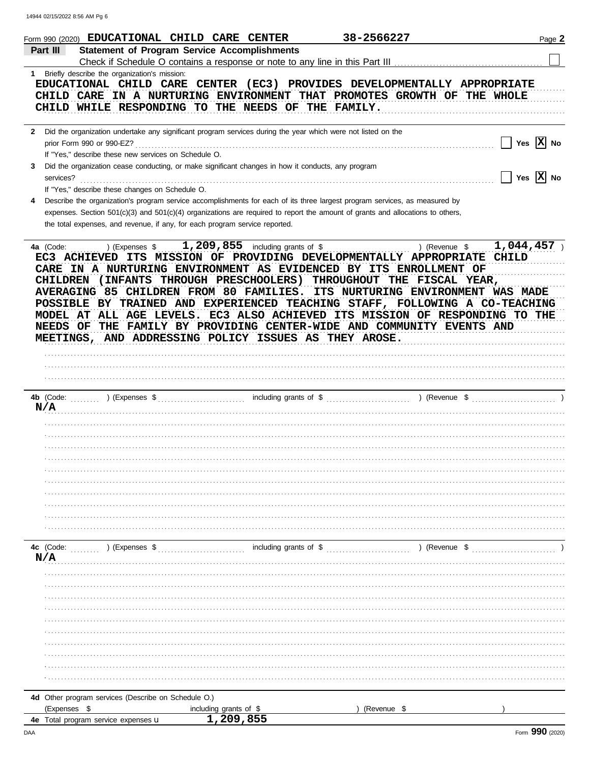|   | 38-2566227<br>Form 990 (2020) EDUCATIONAL CHILD CARE CENTER                                                                                                                                                                                                                                                                                                                                                                                                                                                                                                                                       | Page 2                                           |
|---|---------------------------------------------------------------------------------------------------------------------------------------------------------------------------------------------------------------------------------------------------------------------------------------------------------------------------------------------------------------------------------------------------------------------------------------------------------------------------------------------------------------------------------------------------------------------------------------------------|--------------------------------------------------|
|   | <b>Statement of Program Service Accomplishments</b><br>Part III                                                                                                                                                                                                                                                                                                                                                                                                                                                                                                                                   |                                                  |
|   |                                                                                                                                                                                                                                                                                                                                                                                                                                                                                                                                                                                                   |                                                  |
|   | 1 Briefly describe the organization's mission:                                                                                                                                                                                                                                                                                                                                                                                                                                                                                                                                                    |                                                  |
|   | EDUCATIONAL CHILD CARE CENTER (EC3) PROVIDES DEVELOPMENTALLY APPROPRIATE                                                                                                                                                                                                                                                                                                                                                                                                                                                                                                                          |                                                  |
|   | CHILD CARE IN A NURTURING ENVIRONMENT THAT PROMOTES GROWTH OF THE WHOLE                                                                                                                                                                                                                                                                                                                                                                                                                                                                                                                           |                                                  |
|   | CHILD WHILE RESPONDING TO THE NEEDS OF THE FAMILY.                                                                                                                                                                                                                                                                                                                                                                                                                                                                                                                                                |                                                  |
|   |                                                                                                                                                                                                                                                                                                                                                                                                                                                                                                                                                                                                   |                                                  |
|   | 2 Did the organization undertake any significant program services during the year which were not listed on the                                                                                                                                                                                                                                                                                                                                                                                                                                                                                    |                                                  |
|   | prior Form 990 or 990-EZ?                                                                                                                                                                                                                                                                                                                                                                                                                                                                                                                                                                         | Yes $\boxed{\mathbf{X}}$ No<br>$\vert \ \ \vert$ |
|   | If "Yes," describe these new services on Schedule O.                                                                                                                                                                                                                                                                                                                                                                                                                                                                                                                                              |                                                  |
| 3 | Did the organization cease conducting, or make significant changes in how it conducts, any program                                                                                                                                                                                                                                                                                                                                                                                                                                                                                                |                                                  |
|   | services?                                                                                                                                                                                                                                                                                                                                                                                                                                                                                                                                                                                         | $\Box$ Yes $\boxed{\text{X}}$ No                 |
|   |                                                                                                                                                                                                                                                                                                                                                                                                                                                                                                                                                                                                   |                                                  |
|   | If "Yes," describe these changes on Schedule O.                                                                                                                                                                                                                                                                                                                                                                                                                                                                                                                                                   |                                                  |
|   | Describe the organization's program service accomplishments for each of its three largest program services, as measured by                                                                                                                                                                                                                                                                                                                                                                                                                                                                        |                                                  |
|   | expenses. Section 501(c)(3) and 501(c)(4) organizations are required to report the amount of grants and allocations to others,                                                                                                                                                                                                                                                                                                                                                                                                                                                                    |                                                  |
|   | the total expenses, and revenue, if any, for each program service reported.                                                                                                                                                                                                                                                                                                                                                                                                                                                                                                                       |                                                  |
|   | ) (Expenses $\frac{1}{209,855}$ including grants of $\frac{1}{209,857}$ ) (Revenue $\frac{1}{2044,457}$ )<br>4a (Code:                                                                                                                                                                                                                                                                                                                                                                                                                                                                            |                                                  |
|   | EC3 ACHIEVED ITS MISSION OF PROVIDING DEVELOPMENTALLY APPROPRIATE CHILD<br>CARE IN A NURTURING ENVIRONMENT AS EVIDENCED BY ITS ENROLLMENT OF<br>CHILDREN (INFANTS THROUGH PRESCHOOLERS) THROUGHOUT THE FISCAL YEAR,<br>AVERAGING 85 CHILDREN FROM 80 FAMILIES. ITS NURTURING ENVIRONMENT WAS MADE<br>POSSIBLE BY TRAINED AND EXPERIENCED TEACHING STAFF, FOLLOWING A CO-TEACHING<br>MODEL AT ALL AGE LEVELS. EC3 ALSO ACHIEVED ITS MISSION OF RESPONDING TO THE<br>NEEDS OF THE FAMILY BY PROVIDING CENTER-WIDE AND COMMUNITY EVENTS AND<br>MEETINGS, AND ADDRESSING POLICY ISSUES AS THEY AROSE. |                                                  |
|   |                                                                                                                                                                                                                                                                                                                                                                                                                                                                                                                                                                                                   |                                                  |
|   |                                                                                                                                                                                                                                                                                                                                                                                                                                                                                                                                                                                                   |                                                  |
|   |                                                                                                                                                                                                                                                                                                                                                                                                                                                                                                                                                                                                   |                                                  |
|   |                                                                                                                                                                                                                                                                                                                                                                                                                                                                                                                                                                                                   |                                                  |
|   |                                                                                                                                                                                                                                                                                                                                                                                                                                                                                                                                                                                                   |                                                  |
|   | N/A                                                                                                                                                                                                                                                                                                                                                                                                                                                                                                                                                                                               |                                                  |
|   |                                                                                                                                                                                                                                                                                                                                                                                                                                                                                                                                                                                                   |                                                  |
|   |                                                                                                                                                                                                                                                                                                                                                                                                                                                                                                                                                                                                   |                                                  |
|   |                                                                                                                                                                                                                                                                                                                                                                                                                                                                                                                                                                                                   |                                                  |
|   |                                                                                                                                                                                                                                                                                                                                                                                                                                                                                                                                                                                                   |                                                  |
|   |                                                                                                                                                                                                                                                                                                                                                                                                                                                                                                                                                                                                   |                                                  |
|   |                                                                                                                                                                                                                                                                                                                                                                                                                                                                                                                                                                                                   |                                                  |
|   |                                                                                                                                                                                                                                                                                                                                                                                                                                                                                                                                                                                                   |                                                  |
|   |                                                                                                                                                                                                                                                                                                                                                                                                                                                                                                                                                                                                   |                                                  |
|   |                                                                                                                                                                                                                                                                                                                                                                                                                                                                                                                                                                                                   |                                                  |
|   |                                                                                                                                                                                                                                                                                                                                                                                                                                                                                                                                                                                                   |                                                  |
|   |                                                                                                                                                                                                                                                                                                                                                                                                                                                                                                                                                                                                   |                                                  |
|   | 4c (Code:<br>) (Revenue \$<br>$\sim$ (Expenses \$                                                                                                                                                                                                                                                                                                                                                                                                                                                                                                                                                 |                                                  |
|   | N/A                                                                                                                                                                                                                                                                                                                                                                                                                                                                                                                                                                                               |                                                  |
|   |                                                                                                                                                                                                                                                                                                                                                                                                                                                                                                                                                                                                   |                                                  |
|   |                                                                                                                                                                                                                                                                                                                                                                                                                                                                                                                                                                                                   |                                                  |
|   |                                                                                                                                                                                                                                                                                                                                                                                                                                                                                                                                                                                                   |                                                  |
|   |                                                                                                                                                                                                                                                                                                                                                                                                                                                                                                                                                                                                   |                                                  |
|   |                                                                                                                                                                                                                                                                                                                                                                                                                                                                                                                                                                                                   |                                                  |
|   |                                                                                                                                                                                                                                                                                                                                                                                                                                                                                                                                                                                                   |                                                  |
|   |                                                                                                                                                                                                                                                                                                                                                                                                                                                                                                                                                                                                   |                                                  |
|   |                                                                                                                                                                                                                                                                                                                                                                                                                                                                                                                                                                                                   |                                                  |
|   |                                                                                                                                                                                                                                                                                                                                                                                                                                                                                                                                                                                                   |                                                  |
|   |                                                                                                                                                                                                                                                                                                                                                                                                                                                                                                                                                                                                   |                                                  |
|   |                                                                                                                                                                                                                                                                                                                                                                                                                                                                                                                                                                                                   |                                                  |
|   |                                                                                                                                                                                                                                                                                                                                                                                                                                                                                                                                                                                                   |                                                  |
|   | 4d Other program services (Describe on Schedule O.)                                                                                                                                                                                                                                                                                                                                                                                                                                                                                                                                               |                                                  |
|   | (Expenses \$<br>including grants of \$<br>(Revenue \$                                                                                                                                                                                                                                                                                                                                                                                                                                                                                                                                             |                                                  |
|   | 1,209,855<br>4e Total program service expenses u                                                                                                                                                                                                                                                                                                                                                                                                                                                                                                                                                  |                                                  |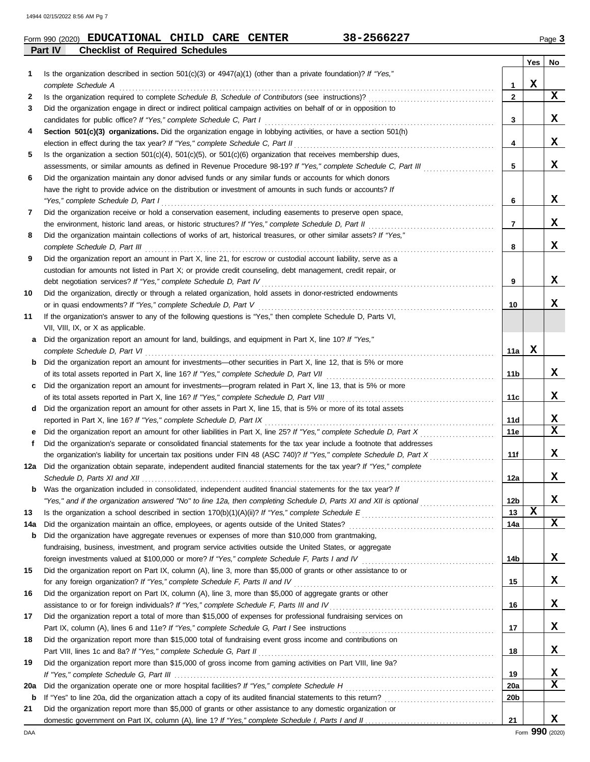| Form 990 (2020) | <b>EDUCATIONAL CHILD CARE</b>          |  | <b>CENTER</b> | 38-2566227 | $P$ aqe $\sim$ |
|-----------------|----------------------------------------|--|---------------|------------|----------------|
| Part IV         | <b>Checklist of Required Schedules</b> |  |               |            |                |

**Yes No**

| 1        | Is the organization described in section $501(c)(3)$ or $4947(a)(1)$ (other than a private foundation)? If "Yes,"                                                                               |                 | X |   |
|----------|-------------------------------------------------------------------------------------------------------------------------------------------------------------------------------------------------|-----------------|---|---|
|          | complete Schedule A                                                                                                                                                                             | 1               |   | X |
| 2        | Is the organization required to complete Schedule B, Schedule of Contributors (see instructions)?                                                                                               | $\mathbf{2}$    |   |   |
| 3        | Did the organization engage in direct or indirect political campaign activities on behalf of or in opposition to<br>candidates for public office? If "Yes," complete Schedule C, Part I         | 3               |   | X |
| 4        | Section 501(c)(3) organizations. Did the organization engage in lobbying activities, or have a section 501(h)                                                                                   |                 |   |   |
|          | election in effect during the tax year? If "Yes," complete Schedule C, Part II                                                                                                                  | 4               |   | X |
| 5        | Is the organization a section $501(c)(4)$ , $501(c)(5)$ , or $501(c)(6)$ organization that receives membership dues,                                                                            |                 |   |   |
|          | assessments, or similar amounts as defined in Revenue Procedure 98-19? If "Yes," complete Schedule C, Part III                                                                                  | 5               |   | X |
| 6        | Did the organization maintain any donor advised funds or any similar funds or accounts for which donors                                                                                         |                 |   |   |
|          | have the right to provide advice on the distribution or investment of amounts in such funds or accounts? If                                                                                     |                 |   |   |
|          | "Yes," complete Schedule D, Part I                                                                                                                                                              | 6               |   | X |
| 7        | Did the organization receive or hold a conservation easement, including easements to preserve open space,                                                                                       |                 |   |   |
|          | the environment, historic land areas, or historic structures? If "Yes," complete Schedule D, Part II                                                                                            | 7               |   | X |
| 8        | Did the organization maintain collections of works of art, historical treasures, or other similar assets? If "Yes,"                                                                             |                 |   |   |
|          | complete Schedule D, Part III                                                                                                                                                                   | 8               |   | X |
| 9        | Did the organization report an amount in Part X, line 21, for escrow or custodial account liability, serve as a                                                                                 |                 |   |   |
|          | custodian for amounts not listed in Part X; or provide credit counseling, debt management, credit repair, or                                                                                    |                 |   |   |
|          | debt negotiation services? If "Yes," complete Schedule D, Part IV                                                                                                                               | 9               |   | X |
| 10       | Did the organization, directly or through a related organization, hold assets in donor-restricted endowments                                                                                    |                 |   |   |
|          | or in quasi endowments? If "Yes," complete Schedule D, Part V                                                                                                                                   | 10              |   | X |
| 11       | If the organization's answer to any of the following questions is "Yes," then complete Schedule D, Parts VI,                                                                                    |                 |   |   |
|          | VII, VIII, IX, or X as applicable.                                                                                                                                                              |                 |   |   |
| a        | Did the organization report an amount for land, buildings, and equipment in Part X, line 10? If "Yes,"                                                                                          |                 |   |   |
|          | complete Schedule D, Part VI                                                                                                                                                                    | 11a             | X |   |
| b        | Did the organization report an amount for investments—other securities in Part X, line 12, that is 5% or more                                                                                   |                 |   |   |
|          | of its total assets reported in Part X, line 16? If "Yes," complete Schedule D, Part VII                                                                                                        | 11b             |   | X |
| C        | Did the organization report an amount for investments—program related in Part X, line 13, that is 5% or more                                                                                    |                 |   |   |
|          | of its total assets reported in Part X, line 16? If "Yes," complete Schedule D, Part VIII                                                                                                       | 11c             |   | X |
| d        | Did the organization report an amount for other assets in Part X, line 15, that is 5% or more of its total assets                                                                               |                 |   |   |
|          | reported in Part X, line 16? If "Yes," complete Schedule D, Part IX                                                                                                                             | <b>11d</b>      |   | X |
| е        | Did the organization report an amount for other liabilities in Part X, line 25? If "Yes," complete Schedule D, Part X                                                                           | 11e             |   | X |
| f.       | Did the organization's separate or consolidated financial statements for the tax year include a footnote that addresses                                                                         |                 |   |   |
|          | the organization's liability for uncertain tax positions under FIN 48 (ASC 740)? If "Yes," complete Schedule D, Part X                                                                          | 11f             |   | X |
|          | 12a Did the organization obtain separate, independent audited financial statements for the tax year? If "Yes," complete                                                                         |                 |   | X |
|          | Schedule D. Parts XI and XII                                                                                                                                                                    | 12a             |   |   |
|          | Was the organization included in consolidated, independent audited financial statements for the tax year? If                                                                                    | 12 <sub>b</sub> |   | X |
|          | Yes," and if the organization answered "No" to line 12a, then completing Schedule D, Parts XI and XII is optional                                                                               |                 | X |   |
| 13       |                                                                                                                                                                                                 | 13<br>14a       |   | X |
| 14a<br>b | Did the organization maintain an office, employees, or agents outside of the United States?<br>Did the organization have aggregate revenues or expenses of more than \$10,000 from grantmaking, |                 |   |   |
|          | fundraising, business, investment, and program service activities outside the United States, or aggregate                                                                                       |                 |   |   |
|          | foreign investments valued at \$100,000 or more? If "Yes," complete Schedule F, Parts I and IV [[[[[[[[[[[[[[[                                                                                  | 14b             |   | X |
| 15       | Did the organization report on Part IX, column (A), line 3, more than \$5,000 of grants or other assistance to or                                                                               |                 |   |   |
|          | for any foreign organization? If "Yes," complete Schedule F, Parts II and IV                                                                                                                    | 15              |   | X |
| 16       | Did the organization report on Part IX, column (A), line 3, more than \$5,000 of aggregate grants or other                                                                                      |                 |   |   |
|          | assistance to or for foreign individuals? If "Yes," complete Schedule F, Parts III and IV                                                                                                       | 16              |   | X |
| 17       | Did the organization report a total of more than \$15,000 of expenses for professional fundraising services on                                                                                  |                 |   |   |
|          |                                                                                                                                                                                                 | 17              |   | X |
| 18       | Did the organization report more than \$15,000 total of fundraising event gross income and contributions on                                                                                     |                 |   |   |
|          | Part VIII, lines 1c and 8a? If "Yes," complete Schedule G, Part II                                                                                                                              | 18              |   | X |
| 19       | Did the organization report more than \$15,000 of gross income from gaming activities on Part VIII, line 9a?                                                                                    |                 |   |   |
|          |                                                                                                                                                                                                 | 19              |   | х |
| 20a      | Did the organization operate one or more hospital facilities? If "Yes," complete Schedule H                                                                                                     | <b>20a</b>      |   | X |
| b        |                                                                                                                                                                                                 | 20b             |   |   |
| 21       | Did the organization report more than \$5,000 of grants or other assistance to any domestic organization or                                                                                     |                 |   |   |
|          |                                                                                                                                                                                                 | 21              |   | X |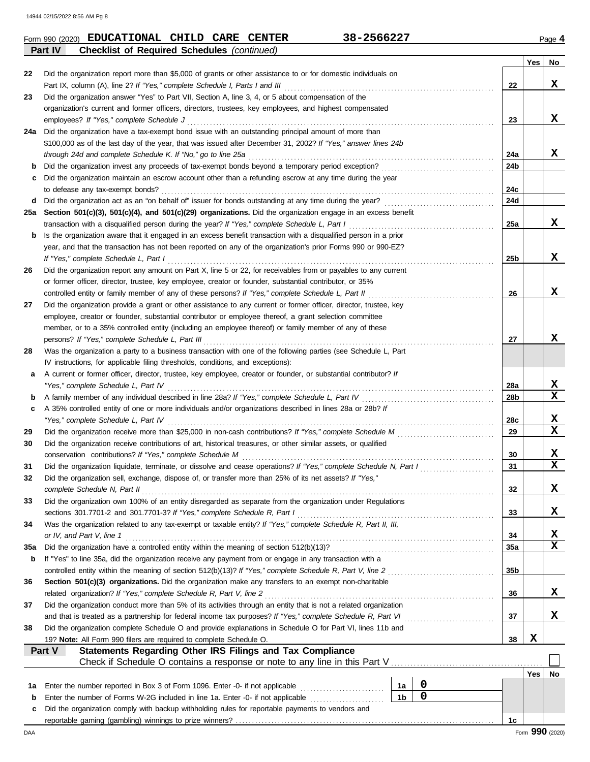|     |                                                                                                                    |                 | Yes        | No                      |
|-----|--------------------------------------------------------------------------------------------------------------------|-----------------|------------|-------------------------|
| 22  | Did the organization report more than \$5,000 of grants or other assistance to or for domestic individuals on      |                 |            |                         |
|     | Part IX, column (A), line 2? If "Yes," complete Schedule I, Parts I and III                                        | 22              |            | X                       |
| 23  | Did the organization answer "Yes" to Part VII, Section A, line 3, 4, or 5 about compensation of the                |                 |            |                         |
|     | organization's current and former officers, directors, trustees, key employees, and highest compensated            |                 |            |                         |
|     | employees? If "Yes," complete Schedule J                                                                           | 23              |            | x                       |
| 24a | Did the organization have a tax-exempt bond issue with an outstanding principal amount of more than                |                 |            |                         |
|     | \$100,000 as of the last day of the year, that was issued after December 31, 2002? If "Yes," answer lines 24b      |                 |            |                         |
|     | through 24d and complete Schedule K. If "No," go to line 25a                                                       | 24a             |            | X                       |
| b   |                                                                                                                    | 24b             |            |                         |
| c   | Did the organization maintain an escrow account other than a refunding escrow at any time during the year          |                 |            |                         |
|     | to defease any tax-exempt bonds?                                                                                   | 24c             |            |                         |
| d   |                                                                                                                    | 24d             |            |                         |
| 25a | Section 501(c)(3), 501(c)(4), and 501(c)(29) organizations. Did the organization engage in an excess benefit       |                 |            |                         |
|     | transaction with a disqualified person during the year? If "Yes," complete Schedule L, Part I                      | 25a             |            | X                       |
| b   | Is the organization aware that it engaged in an excess benefit transaction with a disqualified person in a prior   |                 |            |                         |
|     | year, and that the transaction has not been reported on any of the organization's prior Forms 990 or 990-EZ?       |                 |            |                         |
|     | If "Yes," complete Schedule L, Part I                                                                              | 25 <sub>b</sub> |            | x                       |
|     | Did the organization report any amount on Part X, line 5 or 22, for receivables from or payables to any current    |                 |            |                         |
|     | or former officer, director, trustee, key employee, creator or founder, substantial contributor, or 35%            |                 |            |                         |
|     | controlled entity or family member of any of these persons? If "Yes," complete Schedule L, Part II                 | 26              |            | x                       |
|     | Did the organization provide a grant or other assistance to any current or former officer, director, trustee, key  |                 |            |                         |
|     | employee, creator or founder, substantial contributor or employee thereof, a grant selection committee             |                 |            |                         |
|     | member, or to a 35% controlled entity (including an employee thereof) or family member of any of these             |                 |            |                         |
|     | persons? If "Yes," complete Schedule L, Part III                                                                   | 27              |            | x                       |
|     | Was the organization a party to a business transaction with one of the following parties (see Schedule L, Part     |                 |            |                         |
|     | IV instructions, for applicable filing thresholds, conditions, and exceptions):                                    |                 |            |                         |
| a   | A current or former officer, director, trustee, key employee, creator or founder, or substantial contributor? If   |                 |            |                         |
|     | "Yes," complete Schedule L, Part IV                                                                                | 28a             |            | X                       |
|     | A family member of any individual described in line 28a? If "Yes," complete Schedule L, Part IV [[[[[[[[[[[[[      | 28b             |            | $\overline{\mathbf{x}}$ |
|     | A 35% controlled entity of one or more individuals and/or organizations described in lines 28a or 28b? If          |                 |            |                         |
|     | "Yes," complete Schedule L, Part IV                                                                                | 28c             |            | X                       |
|     |                                                                                                                    | 29              |            | $\mathbf x$             |
|     | Did the organization receive contributions of art, historical treasures, or other similar assets, or qualified     |                 |            |                         |
|     | conservation contributions? If "Yes," complete Schedule M                                                          | 30              |            | X                       |
|     | Did the organization liquidate, terminate, or dissolve and cease operations? If "Yes," complete Schedule N, Part I | 31              |            | $\overline{\mathbf{x}}$ |
|     | Did the organization sell, exchange, dispose of, or transfer more than 25% of its net assets? If "Yes,"            |                 |            |                         |
|     | complete Schedule N, Part II                                                                                       | 32              |            | X                       |
|     | Did the organization own 100% of an entity disregarded as separate from the organization under Regulations         |                 |            |                         |
|     | sections 301.7701-2 and 301.7701-3? If "Yes," complete Schedule R, Part I                                          | 33              |            | X.                      |
|     | Was the organization related to any tax-exempt or taxable entity? If "Yes," complete Schedule R, Part II, III,     |                 |            |                         |
|     | or IV, and Part V, line 1                                                                                          | 34              |            | X                       |
| 35a |                                                                                                                    |                 |            | $\mathbf x$             |
|     |                                                                                                                    | <b>35a</b>      |            |                         |
| b   | If "Yes" to line 35a, did the organization receive any payment from or engage in any transaction with a            |                 |            |                         |
|     | controlled entity within the meaning of section 512(b)(13)? If "Yes," complete Schedule R, Part V, line 2          | 35 <sub>b</sub> |            |                         |
|     | Section 501(c)(3) organizations. Did the organization make any transfers to an exempt non-charitable               |                 |            |                         |
|     | related organization? If "Yes," complete Schedule R, Part V, line 2                                                | 36              |            | X,                      |
|     | Did the organization conduct more than 5% of its activities through an entity that is not a related organization   |                 |            |                         |
|     | and that is treated as a partnership for federal income tax purposes? If "Yes," complete Schedule R, Part VI       | 37              |            | X                       |
|     | Did the organization complete Schedule O and provide explanations in Schedule O for Part VI, lines 11b and         |                 |            |                         |
|     | 19? Note: All Form 990 filers are required to complete Schedule O.                                                 | 38              | x          |                         |
|     | Part V<br>Statements Regarding Other IRS Filings and Tax Compliance                                                |                 |            |                         |
|     |                                                                                                                    |                 |            |                         |
|     |                                                                                                                    |                 | <b>Yes</b> | No                      |
| 1а  | 0<br>Enter the number reported in Box 3 of Form 1096. Enter -0- if not applicable<br>1а                            |                 |            |                         |
| b   | $\mathbf 0$<br>1 <sub>b</sub><br>Enter the number of Forms W-2G included in line 1a. Enter -0- if not applicable   |                 |            |                         |
| c   | Did the organization comply with backup withholding rules for reportable payments to vendors and                   |                 |            |                         |

DAA Form **990** (2020) reportable gaming (gambling) winnings to prize winners? . . . . . . . . . . . . . . . . . . . . . . . . . . . . . . . . . . . . . . . . . . . . . . . . . . . . . . . . . . . . . . . . . . . . . . . . . . . . . . . . **1c**

**Form 990 (2020) EDUCATIONAL CHILD CARE CENTER** 38-2566227 Page 4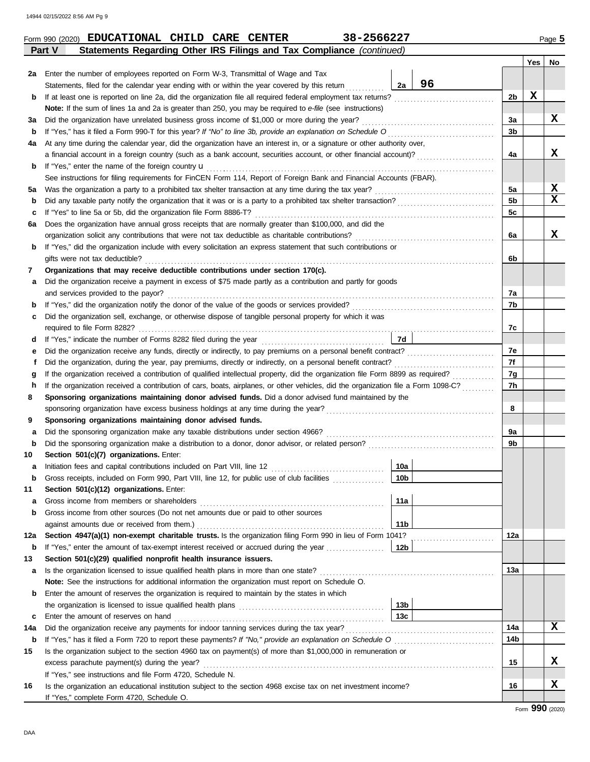|             | Statements Regarding Other IRS Filings and Tax Compliance (continued)<br>Part V                                                    |                 |  |                |     |             |  |  |  |  |  |
|-------------|------------------------------------------------------------------------------------------------------------------------------------|-----------------|--|----------------|-----|-------------|--|--|--|--|--|
|             |                                                                                                                                    |                 |  |                | Yes | No          |  |  |  |  |  |
| 2a          | Enter the number of employees reported on Form W-3, Transmittal of Wage and Tax                                                    |                 |  |                |     |             |  |  |  |  |  |
|             | 96<br>2a<br>Statements, filed for the calendar year ending with or within the year covered by this return                          |                 |  |                |     |             |  |  |  |  |  |
| b           | If at least one is reported on line 2a, did the organization file all required federal employment tax returns?                     |                 |  |                |     |             |  |  |  |  |  |
|             | Note: If the sum of lines 1a and 2a is greater than 250, you may be required to e-file (see instructions)                          |                 |  |                |     |             |  |  |  |  |  |
| За          | Did the organization have unrelated business gross income of \$1,000 or more during the year?                                      |                 |  | 3a<br>3b       |     | x           |  |  |  |  |  |
| b           |                                                                                                                                    |                 |  |                |     |             |  |  |  |  |  |
| 4a          | At any time during the calendar year, did the organization have an interest in, or a signature or other authority over,            |                 |  |                |     |             |  |  |  |  |  |
|             |                                                                                                                                    |                 |  | 4a             |     | x           |  |  |  |  |  |
| b           | If "Yes," enter the name of the foreign country <b>u</b>                                                                           |                 |  |                |     |             |  |  |  |  |  |
|             | See instructions for filing requirements for FinCEN Form 114, Report of Foreign Bank and Financial Accounts (FBAR).                |                 |  |                |     |             |  |  |  |  |  |
| 5a          | Was the organization a party to a prohibited tax shelter transaction at any time during the tax year?                              |                 |  | 5a             |     | X           |  |  |  |  |  |
| b           |                                                                                                                                    |                 |  | 5 <sub>b</sub> |     | $\mathbf x$ |  |  |  |  |  |
| c           | If "Yes" to line 5a or 5b, did the organization file Form 8886-T?                                                                  |                 |  | 5c             |     |             |  |  |  |  |  |
| 6а          | Does the organization have annual gross receipts that are normally greater than \$100,000, and did the                             |                 |  |                |     |             |  |  |  |  |  |
|             | organization solicit any contributions that were not tax deductible as charitable contributions?                                   |                 |  | 6a             |     | x           |  |  |  |  |  |
| b           | If "Yes," did the organization include with every solicitation an express statement that such contributions or                     |                 |  |                |     |             |  |  |  |  |  |
|             | gifts were not tax deductible?                                                                                                     |                 |  | 6b             |     |             |  |  |  |  |  |
| 7           | Organizations that may receive deductible contributions under section 170(c).                                                      |                 |  |                |     |             |  |  |  |  |  |
| а           | Did the organization receive a payment in excess of \$75 made partly as a contribution and partly for goods                        |                 |  |                |     |             |  |  |  |  |  |
|             | and services provided to the payor?                                                                                                |                 |  | 7a             |     |             |  |  |  |  |  |
| b           |                                                                                                                                    |                 |  | 7b             |     |             |  |  |  |  |  |
| c           | Did the organization sell, exchange, or otherwise dispose of tangible personal property for which it was                           |                 |  |                |     |             |  |  |  |  |  |
|             |                                                                                                                                    | 7d              |  | 7c             |     |             |  |  |  |  |  |
| a           |                                                                                                                                    |                 |  | 7e             |     |             |  |  |  |  |  |
| е<br>f      | Did the organization, during the year, pay premiums, directly or indirectly, on a personal benefit contract?                       |                 |  | 7f             |     |             |  |  |  |  |  |
|             | If the organization received a contribution of qualified intellectual property, did the organization file Form 8899 as required?   |                 |  | 7g             |     |             |  |  |  |  |  |
| g<br>h      | If the organization received a contribution of cars, boats, airplanes, or other vehicles, did the organization file a Form 1098-C? |                 |  | 7h             |     |             |  |  |  |  |  |
| 8           | Sponsoring organizations maintaining donor advised funds. Did a donor advised fund maintained by the                               |                 |  |                |     |             |  |  |  |  |  |
|             | sponsoring organization have excess business holdings at any time during the year?                                                 |                 |  | 8              |     |             |  |  |  |  |  |
| 9           | Sponsoring organizations maintaining donor advised funds.                                                                          |                 |  |                |     |             |  |  |  |  |  |
| а           | Did the sponsoring organization make any taxable distributions under section 4966?                                                 |                 |  | 9a             |     |             |  |  |  |  |  |
| $\mathbf b$ |                                                                                                                                    |                 |  | 9b             |     |             |  |  |  |  |  |
| 10          | Section 501(c)(7) organizations. Enter:                                                                                            |                 |  |                |     |             |  |  |  |  |  |
| a           |                                                                                                                                    | 10a             |  |                |     |             |  |  |  |  |  |
|             | Gross receipts, included on Form 990, Part VIII, line 12, for public use of club facilities                                        | 10 <sub>b</sub> |  |                |     |             |  |  |  |  |  |
| 11          | Section 501(c)(12) organizations. Enter:                                                                                           |                 |  |                |     |             |  |  |  |  |  |
| a           | Gross income from members or shareholders                                                                                          | 11a             |  |                |     |             |  |  |  |  |  |
| b           | Gross income from other sources (Do not net amounts due or paid to other sources                                                   |                 |  |                |     |             |  |  |  |  |  |
|             | against amounts due or received from them.)                                                                                        | 11 <sub>b</sub> |  |                |     |             |  |  |  |  |  |
| 12a         | Section 4947(a)(1) non-exempt charitable trusts. Is the organization filing Form 990 in lieu of Form 1041?                         |                 |  | 12a            |     |             |  |  |  |  |  |
| b           |                                                                                                                                    |                 |  |                |     |             |  |  |  |  |  |
| 13          | Section 501(c)(29) qualified nonprofit health insurance issuers.                                                                   |                 |  |                |     |             |  |  |  |  |  |
| а           | Is the organization licensed to issue qualified health plans in more than one state?                                               |                 |  | 13а            |     |             |  |  |  |  |  |
|             | Note: See the instructions for additional information the organization must report on Schedule O.                                  |                 |  |                |     |             |  |  |  |  |  |
| b           | Enter the amount of reserves the organization is required to maintain by the states in which                                       |                 |  |                |     |             |  |  |  |  |  |
|             |                                                                                                                                    | 13 <sub>b</sub> |  |                |     |             |  |  |  |  |  |
| c           | Enter the amount of reserves on hand                                                                                               | 13 <sub>c</sub> |  |                |     |             |  |  |  |  |  |
| 14a         | Did the organization receive any payments for indoor tanning services during the tax year?                                         |                 |  | 14a            |     | x           |  |  |  |  |  |
| b           |                                                                                                                                    |                 |  | 14b            |     |             |  |  |  |  |  |
| 15          | Is the organization subject to the section 4960 tax on payment(s) of more than \$1,000,000 in remuneration or                      |                 |  |                |     |             |  |  |  |  |  |
|             | excess parachute payment(s) during the year?                                                                                       |                 |  | 15             |     | x           |  |  |  |  |  |
|             | If "Yes," see instructions and file Form 4720, Schedule N.                                                                         |                 |  |                |     |             |  |  |  |  |  |
| 16          | Is the organization an educational institution subject to the section 4968 excise tax on net investment income?                    |                 |  | 16             |     | x           |  |  |  |  |  |
|             | If "Yes," complete Form 4720, Schedule O.                                                                                          |                 |  |                |     |             |  |  |  |  |  |

| 38-2566227<br><b>CARE</b><br><b>EDUCATIONAL</b><br>CHILD<br><b>CENTER</b><br>Form 990 (2020) | Page 5 |
|----------------------------------------------------------------------------------------------|--------|
|----------------------------------------------------------------------------------------------|--------|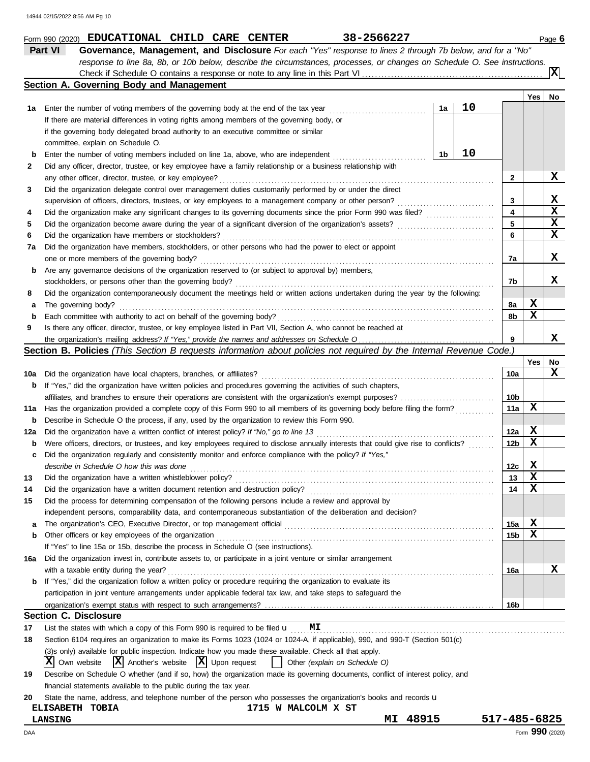|     | Part VI<br>Governance, Management, and Disclosure For each "Yes" response to lines 2 through 7b below, and for a "No"               |    |    |                         |     |                         |  |  |  |  |
|-----|-------------------------------------------------------------------------------------------------------------------------------------|----|----|-------------------------|-----|-------------------------|--|--|--|--|
|     | response to line 8a, 8b, or 10b below, describe the circumstances, processes, or changes on Schedule O. See instructions.           |    |    |                         |     |                         |  |  |  |  |
|     |                                                                                                                                     |    |    |                         |     | $\overline{\mathbf{x}}$ |  |  |  |  |
|     | Section A. Governing Body and Management                                                                                            |    |    |                         |     |                         |  |  |  |  |
|     |                                                                                                                                     |    |    |                         | Yes | No                      |  |  |  |  |
| 1a  |                                                                                                                                     | 1a | 10 |                         |     |                         |  |  |  |  |
|     | If there are material differences in voting rights among members of the governing body, or                                          |    |    |                         |     |                         |  |  |  |  |
|     | if the governing body delegated broad authority to an executive committee or similar                                                |    |    |                         |     |                         |  |  |  |  |
|     |                                                                                                                                     |    |    |                         |     |                         |  |  |  |  |
| b   | committee, explain on Schedule O.<br>10<br>1b<br>Enter the number of voting members included on line 1a, above, who are independent |    |    |                         |     |                         |  |  |  |  |
| 2   | Did any officer, director, trustee, or key employee have a family relationship or a business relationship with                      |    |    |                         |     |                         |  |  |  |  |
|     | any other officer, director, trustee, or key employee?                                                                              |    |    | $\mathbf{2}$            |     | X                       |  |  |  |  |
| 3   | Did the organization delegate control over management duties customarily performed by or under the direct                           |    |    |                         |     |                         |  |  |  |  |
|     |                                                                                                                                     |    |    | 3                       |     | X                       |  |  |  |  |
|     | supervision of officers, directors, trustees, or key employees to a management company or other person?                             |    |    | $\overline{\mathbf{4}}$ |     | X                       |  |  |  |  |
| 4   |                                                                                                                                     |    |    | 5                       |     | X                       |  |  |  |  |
| 5   |                                                                                                                                     |    |    |                         |     | X                       |  |  |  |  |
| 6   |                                                                                                                                     |    |    | 6                       |     |                         |  |  |  |  |
| 7a  | Did the organization have members, stockholders, or other persons who had the power to elect or appoint                             |    |    |                         |     |                         |  |  |  |  |
|     | one or more members of the governing body?                                                                                          |    |    | 7a                      |     | x                       |  |  |  |  |
| b   | Are any governance decisions of the organization reserved to (or subject to approval by) members,                                   |    |    |                         |     |                         |  |  |  |  |
|     | stockholders, or persons other than the governing body?                                                                             |    |    | 7b                      |     | x                       |  |  |  |  |
| 8   | Did the organization contemporaneously document the meetings held or written actions undertaken during the year by the following:   |    |    |                         |     |                         |  |  |  |  |
| а   | The governing body?                                                                                                                 |    |    | 8a                      | х   |                         |  |  |  |  |
| b   |                                                                                                                                     |    |    | 8b                      | X   |                         |  |  |  |  |
| 9   | Is there any officer, director, trustee, or key employee listed in Part VII, Section A, who cannot be reached at                    |    |    |                         |     |                         |  |  |  |  |
|     |                                                                                                                                     |    |    | 9                       |     | x                       |  |  |  |  |
|     | Section B. Policies (This Section B requests information about policies not required by the Internal Revenue Code.)                 |    |    |                         |     |                         |  |  |  |  |
|     |                                                                                                                                     |    |    |                         | Yes | No                      |  |  |  |  |
| 10a | Did the organization have local chapters, branches, or affiliates?                                                                  |    |    | 10a                     |     | x                       |  |  |  |  |
| b   | If "Yes," did the organization have written policies and procedures governing the activities of such chapters,                      |    |    |                         |     |                         |  |  |  |  |
|     |                                                                                                                                     |    |    | 10b                     |     |                         |  |  |  |  |
| 11a | Has the organization provided a complete copy of this Form 990 to all members of its governing body before filing the form?         |    |    | 11a                     | х   |                         |  |  |  |  |
| b   | Describe in Schedule O the process, if any, used by the organization to review this Form 990.                                       |    |    |                         |     |                         |  |  |  |  |
| 12a |                                                                                                                                     |    |    | 12a                     | X   |                         |  |  |  |  |
| b   | Were officers, directors, or trustees, and key employees required to disclose annually interests that could give rise to conflicts? |    |    | 12 <sub>b</sub>         | X   |                         |  |  |  |  |
| c   | Did the organization regularly and consistently monitor and enforce compliance with the policy? If "Yes,"                           |    |    |                         |     |                         |  |  |  |  |
|     | describe in Schedule O how this was done <i>communication</i> and container and container and container and container               |    |    | 12c                     | X   |                         |  |  |  |  |
| 13  | Did the organization have a written whistleblower policy?                                                                           |    |    | 13                      | X   |                         |  |  |  |  |
| 14  | Did the organization have a written document retention and destruction policy?                                                      |    |    | 14                      | X   |                         |  |  |  |  |
| 15  | Did the process for determining compensation of the following persons include a review and approval by                              |    |    |                         |     |                         |  |  |  |  |
|     | independent persons, comparability data, and contemporaneous substantiation of the deliberation and decision?                       |    |    |                         |     |                         |  |  |  |  |
| а   |                                                                                                                                     |    |    | 15a                     | X   |                         |  |  |  |  |
| b   | Other officers or key employees of the organization                                                                                 |    |    | 15 <sub>b</sub>         | X   |                         |  |  |  |  |
|     | If "Yes" to line 15a or 15b, describe the process in Schedule O (see instructions).                                                 |    |    |                         |     |                         |  |  |  |  |
|     |                                                                                                                                     |    |    |                         |     |                         |  |  |  |  |
| 16a | Did the organization invest in, contribute assets to, or participate in a joint venture or similar arrangement                      |    |    |                         |     | x                       |  |  |  |  |
|     | with a taxable entity during the year?                                                                                              |    |    | 16a                     |     |                         |  |  |  |  |
| b   | If "Yes," did the organization follow a written policy or procedure requiring the organization to evaluate its                      |    |    |                         |     |                         |  |  |  |  |
|     | participation in joint venture arrangements under applicable federal tax law, and take steps to safeguard the                       |    |    |                         |     |                         |  |  |  |  |
|     |                                                                                                                                     |    |    | 16b                     |     |                         |  |  |  |  |
|     | <b>Section C. Disclosure</b>                                                                                                        |    |    |                         |     |                         |  |  |  |  |
| 17  | List the states with which a copy of this Form 990 is required to be filed $\mathbf u$<br>МI                                        |    |    |                         |     |                         |  |  |  |  |
| 18  | Section 6104 requires an organization to make its Forms 1023 (1024 or 1024-A, if applicable), 990, and 990-T (Section 501(c)        |    |    |                         |     |                         |  |  |  |  |
|     | (3)s only) available for public inspection. Indicate how you made these available. Check all that apply.                            |    |    |                         |     |                         |  |  |  |  |
|     | $ \mathbf{X} $ Upon request<br>х<br>$ X $ Another's website<br>Other (explain on Schedule O)<br>Own website                         |    |    |                         |     |                         |  |  |  |  |
| 19  | Describe on Schedule O whether (and if so, how) the organization made its governing documents, conflict of interest policy, and     |    |    |                         |     |                         |  |  |  |  |
|     | financial statements available to the public during the tax year.                                                                   |    |    |                         |     |                         |  |  |  |  |
| 20  | State the name, address, and telephone number of the person who possesses the organization's books and records u                    |    |    |                         |     |                         |  |  |  |  |
|     | ELISABETH TOBIA<br>1715 W MALCOLM X ST                                                                                              |    |    |                         |     |                         |  |  |  |  |
|     | 48915<br>МI<br><b>LANSING</b>                                                                                                       |    |    | 517-485-6825            |     |                         |  |  |  |  |

**Form 990 (2020) EDUCATIONAL CHILD CARE CENTER** 38-2566227 Page 6

DAA Form **990** (2020)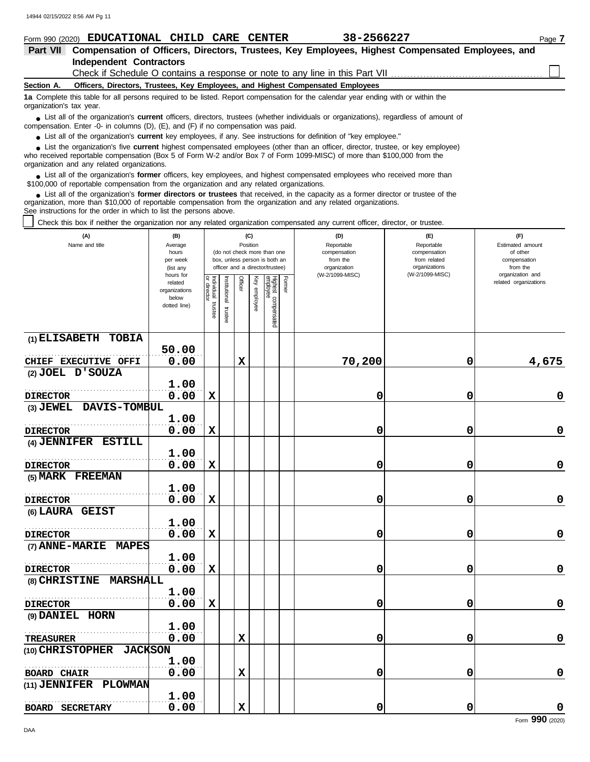|                          | 38-2566227<br>Form 990 (2020) EDUCATIONAL<br>CHILD<br>CARE CENTER                                                                                                                                                                                                                                               | Page 7 |
|--------------------------|-----------------------------------------------------------------------------------------------------------------------------------------------------------------------------------------------------------------------------------------------------------------------------------------------------------------|--------|
| <b>Part VII</b>          | Compensation of Officers, Directors, Trustees, Key Employees, Highest Compensated Employees, and                                                                                                                                                                                                                |        |
|                          | <b>Independent Contractors</b>                                                                                                                                                                                                                                                                                  |        |
|                          | Check if Schedule O contains a response or note to any line in this Part VII [11] [11] [11] Check if Schedule O contains a response or note to any line in this Part VII [11] [11] [11] $\alpha$                                                                                                                |        |
| Section A.               | Officers, Directors, Trustees, Key Employees, and Highest Compensated Employees                                                                                                                                                                                                                                 |        |
| organization's tax year. | 1a Complete this table for all persons required to be listed. Report compensation for the calendar year ending with or within the                                                                                                                                                                               |        |
|                          | • List all of the organization's <b>current</b> officers, directors, trustees (whether individuals or organizations), regardless of amount of<br>compensation. Enter -0- in columns (D), (E), and (F) if no compensation was paid.                                                                              |        |
|                          | • List all of the organization's current key employees, if any. See instructions for definition of "key employee."                                                                                                                                                                                              |        |
|                          | List the organization's five <b>current</b> highest compensated employees (other than an officer, director, trustee, or key employee)<br>who received reportable compensation (Box 5 of Form W-2 and/or Box 7 of Form 1099-MISC) of more than \$100,000 from the<br>organization and any related organizations. |        |
|                          | List all of the organization's <b>former</b> officers, key employees, and highest compensated employees who received more than<br>\$100,000 of reportable compensation from the organization and any related organizations.                                                                                     |        |

List all of the organization's **former directors or trustees** that received, in the capacity as a former director or trustee of the organization, more than \$10,000 of reportable compensation from the organization and any related organizations. See instructions for the order in which to list the persons above. **•**

Check this box if neither the organization nor any related organization compensated any current officer, director, or trustee.

| (A)<br>Name and title                    | (B)<br>Average<br>hours<br>per week<br>(list any<br>hours for |                                   |                         | (C)<br>Position<br>(do not check more than one<br>box, unless person is both an<br>officer and a director/trustee) |              |                                 |        | (D)<br>Reportable<br>compensation<br>from the<br>organization<br>(W-2/1099-MISC) | (E)<br>Reportable<br>compensation<br>from related<br>organizations<br>(W-2/1099-MISC) | (F)<br>Estimated amount<br>of other<br>compensation<br>from the<br>organization and |  |
|------------------------------------------|---------------------------------------------------------------|-----------------------------------|-------------------------|--------------------------------------------------------------------------------------------------------------------|--------------|---------------------------------|--------|----------------------------------------------------------------------------------|---------------------------------------------------------------------------------------|-------------------------------------------------------------------------------------|--|
|                                          | related<br>organizations<br>below<br>dotted line)             | Individual trustee<br>or director | nstitutional<br>trustee | Officer                                                                                                            | Key employee | Highest compensated<br>employee | Former |                                                                                  |                                                                                       | related organizations                                                               |  |
| (1) ELISABETH TOBIA                      |                                                               |                                   |                         |                                                                                                                    |              |                                 |        |                                                                                  |                                                                                       |                                                                                     |  |
|                                          | 50.00<br>0.00                                                 |                                   |                         |                                                                                                                    |              |                                 |        |                                                                                  |                                                                                       |                                                                                     |  |
| CHIEF EXECUTIVE OFFI<br>(2) JOEL D'SOUZA |                                                               |                                   |                         | $\mathbf x$                                                                                                        |              |                                 |        | 70,200                                                                           | 0                                                                                     | 4,675                                                                               |  |
|                                          | 1.00                                                          |                                   |                         |                                                                                                                    |              |                                 |        |                                                                                  |                                                                                       |                                                                                     |  |
| <b>DIRECTOR</b>                          | 0.00                                                          | X                                 |                         |                                                                                                                    |              |                                 |        | 0                                                                                | 0                                                                                     | 0                                                                                   |  |
| DAVIS-TOMBUL<br>$(3)$ JEWEL              |                                                               |                                   |                         |                                                                                                                    |              |                                 |        |                                                                                  |                                                                                       |                                                                                     |  |
|                                          | 1.00                                                          |                                   |                         |                                                                                                                    |              |                                 |        |                                                                                  |                                                                                       |                                                                                     |  |
| <b>DIRECTOR</b>                          | 0.00                                                          | X                                 |                         |                                                                                                                    |              |                                 |        | 0                                                                                | 0                                                                                     | 0                                                                                   |  |
| (4) JENNIFER ESTILL                      |                                                               |                                   |                         |                                                                                                                    |              |                                 |        |                                                                                  |                                                                                       |                                                                                     |  |
|                                          | 1.00                                                          |                                   |                         |                                                                                                                    |              |                                 |        |                                                                                  |                                                                                       |                                                                                     |  |
| <b>DIRECTOR</b>                          | 0.00                                                          | X                                 |                         |                                                                                                                    |              |                                 |        | 0                                                                                | 0                                                                                     | 0                                                                                   |  |
| (5) MARK FREEMAN                         |                                                               |                                   |                         |                                                                                                                    |              |                                 |        |                                                                                  |                                                                                       |                                                                                     |  |
|                                          | 1.00                                                          |                                   |                         |                                                                                                                    |              |                                 |        |                                                                                  |                                                                                       |                                                                                     |  |
| <b>DIRECTOR</b>                          | 0.00                                                          | X                                 |                         |                                                                                                                    |              |                                 |        | 0                                                                                | 0                                                                                     | 0                                                                                   |  |
| (6) LAURA GEIST                          |                                                               |                                   |                         |                                                                                                                    |              |                                 |        |                                                                                  |                                                                                       |                                                                                     |  |
|                                          | 1.00                                                          |                                   |                         |                                                                                                                    |              |                                 |        |                                                                                  |                                                                                       |                                                                                     |  |
| <b>DIRECTOR</b>                          | 0.00                                                          | X                                 |                         |                                                                                                                    |              |                                 |        | 0                                                                                | 0                                                                                     | 0                                                                                   |  |
| (7) ANNE-MARIE MAPES                     |                                                               |                                   |                         |                                                                                                                    |              |                                 |        |                                                                                  |                                                                                       |                                                                                     |  |
|                                          | 1.00                                                          |                                   |                         |                                                                                                                    |              |                                 |        |                                                                                  |                                                                                       |                                                                                     |  |
| <b>DIRECTOR</b>                          | 0.00                                                          | $\mathbf x$                       |                         |                                                                                                                    |              |                                 |        | 0                                                                                | 0                                                                                     | 0                                                                                   |  |
| (8) CHRISTINE MARSHALL                   |                                                               |                                   |                         |                                                                                                                    |              |                                 |        |                                                                                  |                                                                                       |                                                                                     |  |
|                                          | 1.00                                                          |                                   |                         |                                                                                                                    |              |                                 |        |                                                                                  |                                                                                       |                                                                                     |  |
| <b>DIRECTOR</b>                          | 0.00                                                          | X                                 |                         |                                                                                                                    |              |                                 |        | 0                                                                                | 0                                                                                     | 0                                                                                   |  |
| (9) DANIEL HORN                          |                                                               |                                   |                         |                                                                                                                    |              |                                 |        |                                                                                  |                                                                                       |                                                                                     |  |
|                                          | 1.00                                                          |                                   |                         |                                                                                                                    |              |                                 |        |                                                                                  |                                                                                       |                                                                                     |  |
| <b>TREASURER</b>                         | 0.00                                                          |                                   |                         | $\mathbf x$                                                                                                        |              |                                 |        | 0                                                                                | 0                                                                                     | 0                                                                                   |  |
| (10) CHRISTOPHER<br><b>JACKSON</b>       |                                                               |                                   |                         |                                                                                                                    |              |                                 |        |                                                                                  |                                                                                       |                                                                                     |  |
|                                          | 1.00                                                          |                                   |                         |                                                                                                                    |              |                                 |        |                                                                                  |                                                                                       |                                                                                     |  |
| <b>BOARD CHAIR</b>                       | 0.00                                                          |                                   |                         | $\mathbf X$                                                                                                        |              |                                 |        | 0                                                                                | 0                                                                                     | $\mathbf 0$                                                                         |  |
| PLOWMAN<br>$(11)$ JENNIFER               |                                                               |                                   |                         |                                                                                                                    |              |                                 |        |                                                                                  |                                                                                       |                                                                                     |  |
|                                          | 1.00                                                          |                                   |                         |                                                                                                                    |              |                                 |        |                                                                                  |                                                                                       |                                                                                     |  |
| <b>BOARD SECRETARY</b>                   | 0.00                                                          |                                   |                         | $\mathbf x$                                                                                                        |              |                                 |        | 0                                                                                | 0                                                                                     | 0                                                                                   |  |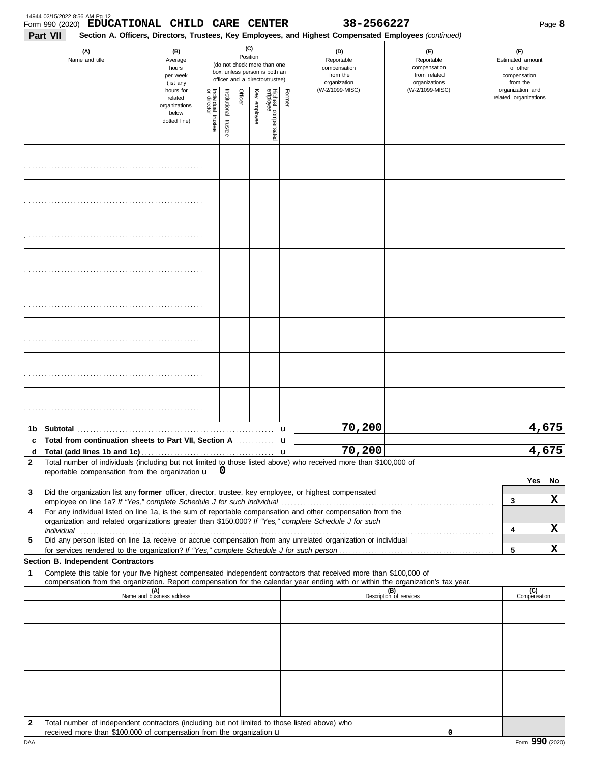| Part VII | 14944 02/15/2022 8:56 AM Pg 12<br>Form 990 (2020) EDUCATIONAL CHILD CARE CENTER                                                                                                                                                |                                                                |                       |                       |         |                 |                                                                                                 |        | 38-2566227<br>Section A. Officers, Directors, Trustees, Key Employees, and Highest Compensated Employees (continued) |                                                                    |                                                                 |                     | Page 8 |
|----------|--------------------------------------------------------------------------------------------------------------------------------------------------------------------------------------------------------------------------------|----------------------------------------------------------------|-----------------------|-----------------------|---------|-----------------|-------------------------------------------------------------------------------------------------|--------|----------------------------------------------------------------------------------------------------------------------|--------------------------------------------------------------------|-----------------------------------------------------------------|---------------------|--------|
|          | (A)<br>Name and title                                                                                                                                                                                                          | (B)<br>Average<br>hours<br>per week<br>(list any               |                       |                       |         | (C)<br>Position | (do not check more than one<br>box, unless person is both an<br>officer and a director/trustee) |        | (D)<br>Reportable<br>compensation<br>from the<br>organization                                                        | (E)<br>Reportable<br>compensation<br>from related<br>organizations | (F)<br>Estimated amount<br>of other<br>compensation<br>from the |                     |        |
|          |                                                                                                                                                                                                                                | hours for<br>related<br>organizations<br>below<br>dotted line) | Individual<br>trustee | Institutional trustee | Officer | Key employee    | Highest compensated<br>employee                                                                 | Former | (W-2/1099-MISC)                                                                                                      | (W-2/1099-MISC)                                                    | organization and<br>related organizations                       |                     |        |
|          |                                                                                                                                                                                                                                |                                                                |                       |                       |         |                 |                                                                                                 |        |                                                                                                                      |                                                                    |                                                                 |                     |        |
|          |                                                                                                                                                                                                                                |                                                                |                       |                       |         |                 |                                                                                                 |        |                                                                                                                      |                                                                    |                                                                 |                     |        |
|          |                                                                                                                                                                                                                                |                                                                |                       |                       |         |                 |                                                                                                 |        |                                                                                                                      |                                                                    |                                                                 |                     |        |
|          |                                                                                                                                                                                                                                |                                                                |                       |                       |         |                 |                                                                                                 |        |                                                                                                                      |                                                                    |                                                                 |                     |        |
|          |                                                                                                                                                                                                                                |                                                                |                       |                       |         |                 |                                                                                                 |        |                                                                                                                      |                                                                    |                                                                 |                     |        |
|          |                                                                                                                                                                                                                                |                                                                |                       |                       |         |                 |                                                                                                 |        |                                                                                                                      |                                                                    |                                                                 |                     |        |
|          |                                                                                                                                                                                                                                |                                                                |                       |                       |         |                 |                                                                                                 |        |                                                                                                                      |                                                                    |                                                                 |                     |        |
|          |                                                                                                                                                                                                                                |                                                                |                       |                       |         |                 |                                                                                                 |        |                                                                                                                      |                                                                    |                                                                 |                     |        |
|          |                                                                                                                                                                                                                                |                                                                |                       |                       |         |                 |                                                                                                 | u      | 70,200                                                                                                               |                                                                    |                                                                 | 4,675               |        |
| d        | c Total from continuation sheets to Part VII, Section A                                                                                                                                                                        |                                                                |                       |                       |         |                 |                                                                                                 | u      | 70,200                                                                                                               |                                                                    |                                                                 | 4,675               |        |
| 2        | Total number of individuals (including but not limited to those listed above) who received more than \$100,000 of<br>reportable compensation from the organization u                                                           |                                                                |                       | 0                     |         |                 |                                                                                                 |        |                                                                                                                      |                                                                    |                                                                 |                     |        |
|          |                                                                                                                                                                                                                                |                                                                |                       |                       |         |                 |                                                                                                 |        |                                                                                                                      |                                                                    |                                                                 | Yes                 | No     |
| 3        | Did the organization list any former officer, director, trustee, key employee, or highest compensated                                                                                                                          |                                                                |                       |                       |         |                 |                                                                                                 |        |                                                                                                                      |                                                                    | 3                                                               |                     | x      |
| 4        | For any individual listed on line 1a, is the sum of reportable compensation and other compensation from the<br>organization and related organizations greater than \$150,000? If "Yes," complete Schedule J for such           |                                                                |                       |                       |         |                 |                                                                                                 |        |                                                                                                                      |                                                                    |                                                                 |                     |        |
|          | individual communications and contact the contract of the contract of the contract of the contract of the contract of the contract of the contract of the contract of the contract of the contract of the contract of the cont |                                                                |                       |                       |         |                 |                                                                                                 |        |                                                                                                                      |                                                                    | 4                                                               |                     | x      |
| 5        | Did any person listed on line 1a receive or accrue compensation from any unrelated organization or individual<br>for services rendered to the organization? If "Yes," complete Schedule J for such person                      |                                                                |                       |                       |         |                 |                                                                                                 |        |                                                                                                                      |                                                                    | 5                                                               |                     | x      |
| 1        | Section B. Independent Contractors<br>Complete this table for your five highest compensated independent contractors that received more than \$100,000 of                                                                       |                                                                |                       |                       |         |                 |                                                                                                 |        |                                                                                                                      |                                                                    |                                                                 |                     |        |
|          | compensation from the organization. Report compensation for the calendar year ending with or within the organization's tax year.                                                                                               |                                                                |                       |                       |         |                 |                                                                                                 |        |                                                                                                                      |                                                                    |                                                                 |                     |        |
|          |                                                                                                                                                                                                                                | $(A)$<br>Name and business address                             |                       |                       |         |                 |                                                                                                 |        |                                                                                                                      | (B)<br>Description of services                                     |                                                                 | (C)<br>Compensation |        |
|          |                                                                                                                                                                                                                                |                                                                |                       |                       |         |                 |                                                                                                 |        |                                                                                                                      |                                                                    |                                                                 |                     |        |
|          |                                                                                                                                                                                                                                |                                                                |                       |                       |         |                 |                                                                                                 |        |                                                                                                                      |                                                                    |                                                                 |                     |        |
|          |                                                                                                                                                                                                                                |                                                                |                       |                       |         |                 |                                                                                                 |        |                                                                                                                      |                                                                    |                                                                 |                     |        |
|          |                                                                                                                                                                                                                                |                                                                |                       |                       |         |                 |                                                                                                 |        |                                                                                                                      |                                                                    |                                                                 |                     |        |
|          |                                                                                                                                                                                                                                |                                                                |                       |                       |         |                 |                                                                                                 |        |                                                                                                                      |                                                                    |                                                                 |                     |        |
|          |                                                                                                                                                                                                                                |                                                                |                       |                       |         |                 |                                                                                                 |        |                                                                                                                      |                                                                    |                                                                 |                     |        |
| 2        | Total number of independent contractors (including but not limited to those listed above) who<br>received more than \$100,000 of compensation from the organization u                                                          |                                                                |                       |                       |         |                 |                                                                                                 |        |                                                                                                                      | 0                                                                  |                                                                 |                     |        |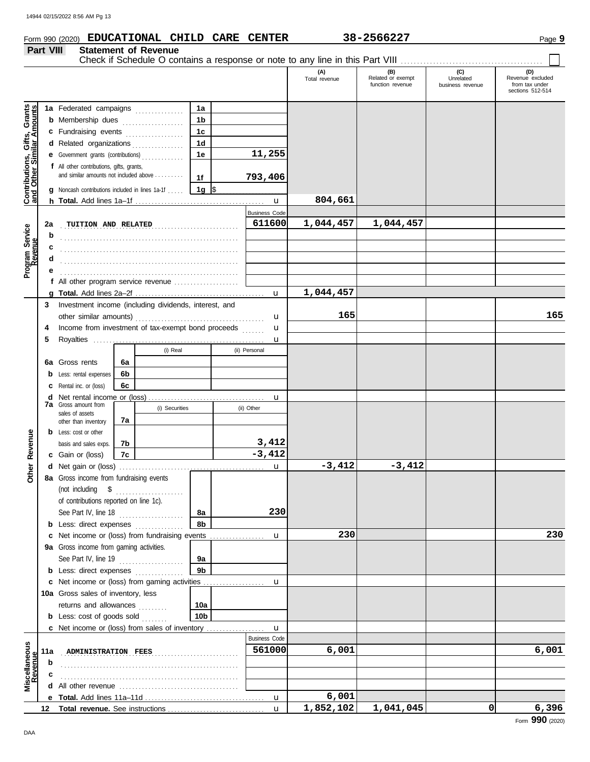**Part VIII Statement of Revenue**

## **Form 990 (2020) EDUCATIONAL CHILD CARE CENTER** 38-2566227 Page 9

Check if Schedule O contains a response or note to any line in this Part VIII . . . . . . . . . . . . . . . . . . . . . . . . . . . . . . . . . . . . . . . . . . . .

|                                                                  |                                                            |                                                                                     |    |                |                 |  |                      | (A)<br>Total revenue | (B)<br>Related or exempt<br>function revenue | (C)<br>Unrelated<br>business revenue | (D)<br>Revenue excluded<br>from tax under<br>sections 512-514 |
|------------------------------------------------------------------|------------------------------------------------------------|-------------------------------------------------------------------------------------|----|----------------|-----------------|--|----------------------|----------------------|----------------------------------------------|--------------------------------------|---------------------------------------------------------------|
|                                                                  |                                                            |                                                                                     |    |                |                 |  |                      |                      |                                              |                                      |                                                               |
| <b>Contributions, Gifts, Grants</b><br>and Other Similar Amounts |                                                            | 1a Federated campaigns                                                              |    |                | 1a              |  |                      |                      |                                              |                                      |                                                               |
|                                                                  |                                                            | <b>b</b> Membership dues <i></i>                                                    |    |                | 1b              |  |                      |                      |                                              |                                      |                                                               |
|                                                                  |                                                            | c Fundraising events                                                                |    |                | 1 <sub>c</sub>  |  |                      |                      |                                              |                                      |                                                               |
|                                                                  |                                                            | d Related organizations                                                             |    |                | 1 <sub>d</sub>  |  |                      |                      |                                              |                                      |                                                               |
|                                                                  |                                                            | e Government grants (contributions)                                                 |    |                | 1e              |  | 11,255               |                      |                                              |                                      |                                                               |
|                                                                  |                                                            | f All other contributions, gifts, grants,<br>and similar amounts not included above |    |                |                 |  |                      |                      |                                              |                                      |                                                               |
|                                                                  |                                                            |                                                                                     |    |                | 1f              |  | 793,406              |                      |                                              |                                      |                                                               |
|                                                                  |                                                            | g Noncash contributions included in lines 1a-1f                                     |    |                | 1g  \$          |  |                      |                      |                                              |                                      |                                                               |
|                                                                  |                                                            |                                                                                     |    |                |                 |  | $\mathbf u$          | 804,661              |                                              |                                      |                                                               |
|                                                                  |                                                            |                                                                                     |    |                |                 |  | <b>Business Code</b> |                      |                                              |                                      |                                                               |
|                                                                  | 2a                                                         | TUITION AND RELATED                                                                 |    |                |                 |  | 611600               | 1,044,457            | 1,044,457                                    |                                      |                                                               |
| Program Service<br>Revenue                                       | b                                                          |                                                                                     |    |                |                 |  |                      |                      |                                              |                                      |                                                               |
|                                                                  | c                                                          |                                                                                     |    |                |                 |  |                      |                      |                                              |                                      |                                                               |
|                                                                  | d                                                          |                                                                                     |    |                |                 |  |                      |                      |                                              |                                      |                                                               |
|                                                                  |                                                            |                                                                                     |    |                |                 |  |                      |                      |                                              |                                      |                                                               |
|                                                                  |                                                            | f All other program service revenue $\ldots$ , $\ldots$ , $\ldots$                  |    |                |                 |  |                      |                      |                                              |                                      |                                                               |
|                                                                  |                                                            |                                                                                     |    |                |                 |  | u                    | 1,044,457            |                                              |                                      |                                                               |
|                                                                  | Investment income (including dividends, interest, and<br>3 |                                                                                     |    |                |                 |  |                      |                      |                                              |                                      |                                                               |
|                                                                  |                                                            |                                                                                     |    | u              | 165             |  |                      | 165                  |                                              |                                      |                                                               |
|                                                                  | 4                                                          | Income from investment of tax-exempt bond proceeds                                  |    | u              |                 |  |                      |                      |                                              |                                      |                                                               |
|                                                                  | 5                                                          |                                                                                     |    |                |                 |  | u                    |                      |                                              |                                      |                                                               |
|                                                                  |                                                            |                                                                                     |    | (i) Real       |                 |  | (ii) Personal        |                      |                                              |                                      |                                                               |
|                                                                  |                                                            | 6a Gross rents                                                                      | 6a |                |                 |  |                      |                      |                                              |                                      |                                                               |
|                                                                  |                                                            | <b>b</b> Less: rental expenses                                                      | 6b |                |                 |  |                      |                      |                                              |                                      |                                                               |
|                                                                  |                                                            | <b>c</b> Rental inc. or (loss)                                                      | 6c |                |                 |  |                      |                      |                                              |                                      |                                                               |
|                                                                  |                                                            |                                                                                     |    |                |                 |  | u                    |                      |                                              |                                      |                                                               |
|                                                                  |                                                            | <b>7a</b> Gross amount from<br>sales of assets                                      |    | (i) Securities |                 |  | (ii) Other           |                      |                                              |                                      |                                                               |
|                                                                  |                                                            | other than inventory                                                                | 7a |                |                 |  |                      |                      |                                              |                                      |                                                               |
|                                                                  |                                                            | <b>b</b> Less: cost or other                                                        |    |                |                 |  |                      |                      |                                              |                                      |                                                               |
|                                                                  |                                                            | basis and sales exps.                                                               | 7b |                |                 |  | 3,412                |                      |                                              |                                      |                                                               |
| Revenue                                                          |                                                            | c Gain or (loss)                                                                    | 7c |                |                 |  | $-3,412$             |                      |                                              |                                      |                                                               |
| Other                                                            |                                                            |                                                                                     |    |                |                 |  | u                    | $-3,412$             | $-3,412$                                     |                                      |                                                               |
|                                                                  |                                                            | 8a Gross income from fundraising events                                             |    |                |                 |  |                      |                      |                                              |                                      |                                                               |
|                                                                  |                                                            | (not including \$                                                                   |    |                |                 |  |                      |                      |                                              |                                      |                                                               |
|                                                                  |                                                            | of contributions reported on line 1c).                                              |    |                |                 |  |                      |                      |                                              |                                      |                                                               |
|                                                                  |                                                            | See Part IV, line 18 $\ldots$                                                       |    |                | 8а              |  | 230                  |                      |                                              |                                      |                                                               |
|                                                                  |                                                            | <b>b</b> Less: direct expenses                                                      |    |                | 8b              |  |                      |                      |                                              |                                      |                                                               |
|                                                                  |                                                            | c Net income or (loss) from fundraising events                                      |    |                |                 |  | u                    | 230                  |                                              |                                      | 230                                                           |
|                                                                  |                                                            | 9a Gross income from gaming activities.                                             |    |                |                 |  |                      |                      |                                              |                                      |                                                               |
|                                                                  |                                                            | See Part IV, line 19                                                                |    |                | 9а              |  |                      |                      |                                              |                                      |                                                               |
|                                                                  |                                                            | <b>b</b> Less: direct expenses                                                      |    |                | 9 <sub>b</sub>  |  |                      |                      |                                              |                                      |                                                               |
|                                                                  |                                                            | c Net income or (loss) from gaming activities                                       |    |                |                 |  | u                    |                      |                                              |                                      |                                                               |
|                                                                  |                                                            | 10a Gross sales of inventory, less                                                  |    |                |                 |  |                      |                      |                                              |                                      |                                                               |
|                                                                  |                                                            | returns and allowances                                                              |    |                | 10a             |  |                      |                      |                                              |                                      |                                                               |
|                                                                  |                                                            | <b>b</b> Less: cost of goods sold $\ldots$                                          |    |                | 10 <sub>b</sub> |  |                      |                      |                                              |                                      |                                                               |
|                                                                  |                                                            | c Net income or (loss) from sales of inventory                                      |    |                |                 |  | u                    |                      |                                              |                                      |                                                               |
|                                                                  |                                                            |                                                                                     |    |                |                 |  | <b>Business Code</b> |                      |                                              |                                      |                                                               |
| Miscellaneous<br>Revenue                                         | 11a                                                        | ADMINISTRATION FEES                                                                 |    |                |                 |  | 561000               | 6,001                |                                              |                                      | 6,001                                                         |
|                                                                  | b                                                          |                                                                                     |    |                |                 |  |                      |                      |                                              |                                      |                                                               |
|                                                                  |                                                            |                                                                                     |    |                |                 |  |                      |                      |                                              |                                      |                                                               |
|                                                                  |                                                            |                                                                                     |    |                |                 |  |                      |                      |                                              |                                      |                                                               |
|                                                                  |                                                            |                                                                                     |    |                |                 |  | $\mathbf u$          | 6,001                |                                              |                                      |                                                               |
|                                                                  | 12                                                         |                                                                                     |    |                |                 |  | $\mathbf{u}$         | 1,852,102            | 1,041,045                                    | 0                                    | 6,396                                                         |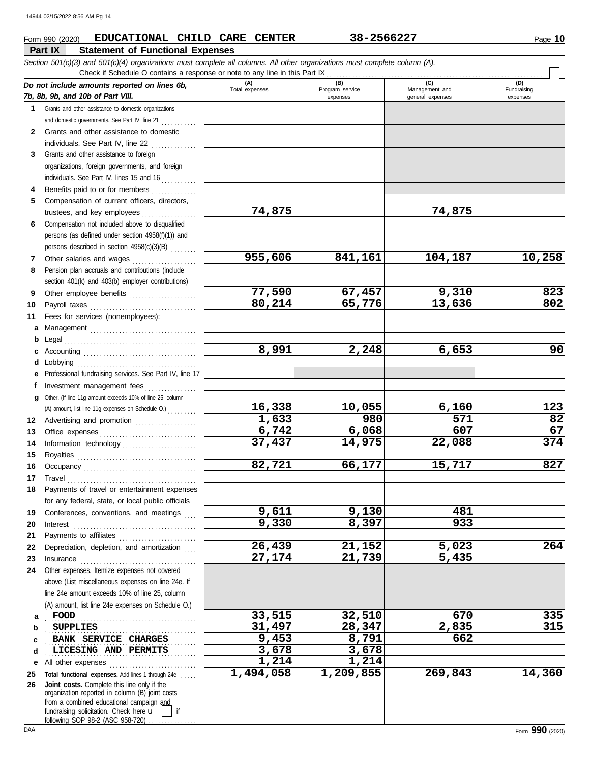### **Part IX Statement of Functional Expenses Form 990 (2020) EDUCATIONAL CHILD CARE CENTER** 38-2566227 Page 10

|              | Section 501(c)(3) and 501(c)(4) organizations must complete all columns. All other organizations must complete column (A).<br>Check if Schedule O contains a response or note to any line in this Part IX                                                                                                                                                                                                             |                       |                        |                       |                    |
|--------------|-----------------------------------------------------------------------------------------------------------------------------------------------------------------------------------------------------------------------------------------------------------------------------------------------------------------------------------------------------------------------------------------------------------------------|-----------------------|------------------------|-----------------------|--------------------|
|              | Do not include amounts reported on lines 6b,                                                                                                                                                                                                                                                                                                                                                                          | (A)<br>Total expenses | (B)<br>Program service | (C)<br>Management and | (D)<br>Fundraising |
|              | 7b, 8b, 9b, and 10b of Part VIII.                                                                                                                                                                                                                                                                                                                                                                                     |                       | expenses               | general expenses      | expenses           |
|              | 1 Grants and other assistance to domestic organizations                                                                                                                                                                                                                                                                                                                                                               |                       |                        |                       |                    |
|              | and domestic governments. See Part IV, line 21                                                                                                                                                                                                                                                                                                                                                                        |                       |                        |                       |                    |
| $\mathbf{2}$ | Grants and other assistance to domestic                                                                                                                                                                                                                                                                                                                                                                               |                       |                        |                       |                    |
|              | individuals. See Part IV, line 22                                                                                                                                                                                                                                                                                                                                                                                     |                       |                        |                       |                    |
| 3            | Grants and other assistance to foreign                                                                                                                                                                                                                                                                                                                                                                                |                       |                        |                       |                    |
|              | organizations, foreign governments, and foreign                                                                                                                                                                                                                                                                                                                                                                       |                       |                        |                       |                    |
|              | individuals. See Part IV, lines 15 and 16                                                                                                                                                                                                                                                                                                                                                                             |                       |                        |                       |                    |
|              | Benefits paid to or for members                                                                                                                                                                                                                                                                                                                                                                                       |                       |                        |                       |                    |
| 5            | Compensation of current officers, directors,                                                                                                                                                                                                                                                                                                                                                                          |                       |                        |                       |                    |
|              | trustees, and key employees                                                                                                                                                                                                                                                                                                                                                                                           | 74,875                |                        | 74,875                |                    |
| 6            | Compensation not included above to disqualified                                                                                                                                                                                                                                                                                                                                                                       |                       |                        |                       |                    |
|              | persons (as defined under section 4958(f)(1)) and                                                                                                                                                                                                                                                                                                                                                                     |                       |                        |                       |                    |
|              | persons described in section 4958(c)(3)(B)                                                                                                                                                                                                                                                                                                                                                                            |                       |                        |                       |                    |
| 7            | Other salaries and wages                                                                                                                                                                                                                                                                                                                                                                                              | 955,606               | 841,161                | 104,187               | 10,258             |
| 8            | Pension plan accruals and contributions (include                                                                                                                                                                                                                                                                                                                                                                      |                       |                        |                       |                    |
|              | section 401(k) and 403(b) employer contributions)                                                                                                                                                                                                                                                                                                                                                                     |                       |                        |                       |                    |
| 9            | Other employee benefits                                                                                                                                                                                                                                                                                                                                                                                               | 77,590                | 67,457                 | 9,310                 | 823                |
| 10           |                                                                                                                                                                                                                                                                                                                                                                                                                       | 80,214                | 65,776                 | 13,636                | 802                |
| 11           | Fees for services (nonemployees):                                                                                                                                                                                                                                                                                                                                                                                     |                       |                        |                       |                    |
| а            |                                                                                                                                                                                                                                                                                                                                                                                                                       |                       |                        |                       |                    |
| b            |                                                                                                                                                                                                                                                                                                                                                                                                                       |                       |                        |                       |                    |
| c            |                                                                                                                                                                                                                                                                                                                                                                                                                       | 8,991                 | 2,248                  | 6,653                 | 90                 |
| d            | Lobbying                                                                                                                                                                                                                                                                                                                                                                                                              |                       |                        |                       |                    |
| е            | Professional fundraising services. See Part IV, line 17                                                                                                                                                                                                                                                                                                                                                               |                       |                        |                       |                    |
| f.           | Investment management fees                                                                                                                                                                                                                                                                                                                                                                                            |                       |                        |                       |                    |
| a            | Other. (If line 11g amount exceeds 10% of line 25, column                                                                                                                                                                                                                                                                                                                                                             |                       |                        |                       |                    |
|              | (A) amount, list line 11g expenses on Schedule O.)                                                                                                                                                                                                                                                                                                                                                                    | 16,338                | 10,055                 | 6,160                 | 123                |
| 12           | Advertising and promotion                                                                                                                                                                                                                                                                                                                                                                                             | 1,633<br>6,742        | 980                    | 571<br>607            | 82<br>67           |
| 13           |                                                                                                                                                                                                                                                                                                                                                                                                                       | 37,437                | 6,068                  |                       | 374                |
| 14           | Information technology                                                                                                                                                                                                                                                                                                                                                                                                |                       | 14,975                 | 22,088                |                    |
| 15           |                                                                                                                                                                                                                                                                                                                                                                                                                       | 82,721                | 66,177                 | 15,717                | 827                |
| 16           |                                                                                                                                                                                                                                                                                                                                                                                                                       |                       |                        |                       |                    |
| 17           | $\begin{minipage}{0.5\textwidth} \centering \begin{tabular}{@{}c@{}} \textbf{True} & \textbf{True} \\ \textbf{True} & \textbf{True} \\ \textbf{True} & \textbf{True} \\ \end{tabular} \end{minipage}$                                                                                                                                                                                                                 |                       |                        |                       |                    |
| 18           | Payments of travel or entertainment expenses<br>for any federal, state, or local public officials                                                                                                                                                                                                                                                                                                                     |                       |                        |                       |                    |
| 19           | Conferences, conventions, and meetings                                                                                                                                                                                                                                                                                                                                                                                | 9,611                 | 9,130                  | 481                   |                    |
| 20           | Interest                                                                                                                                                                                                                                                                                                                                                                                                              | 9,330                 | 8,397                  | 933                   |                    |
| 21           |                                                                                                                                                                                                                                                                                                                                                                                                                       |                       |                        |                       |                    |
| 22           | Depreciation, depletion, and amortization                                                                                                                                                                                                                                                                                                                                                                             | $\overline{26, 439}$  | 21,152                 | 5,023                 | 264                |
| 23           | $In \textbf{surance} \begin{tabular}{@{}l@{}} \hline \textbf{} & \textbf{} & \textbf{} & \textbf{} & \textbf{} \\ \hline \textbf{} & \textbf{} & \textbf{} & \textbf{} & \textbf{} \\ \hline \textbf{} & \textbf{} & \textbf{} & \textbf{} & \textbf{} \\ \hline \textbf{} & \textbf{} & \textbf{} & \textbf{} & \textbf{} \\ \hline \textbf{} & \textbf{} & \textbf{} & \textbf{} & \textbf{} & \textbf{} \\ \hline$ | 27,174                | 21,739                 | 5,435                 |                    |
| 24           | Other expenses. Itemize expenses not covered                                                                                                                                                                                                                                                                                                                                                                          |                       |                        |                       |                    |
|              | above (List miscellaneous expenses on line 24e. If                                                                                                                                                                                                                                                                                                                                                                    |                       |                        |                       |                    |
|              | line 24e amount exceeds 10% of line 25, column                                                                                                                                                                                                                                                                                                                                                                        |                       |                        |                       |                    |
|              | (A) amount, list line 24e expenses on Schedule O.)                                                                                                                                                                                                                                                                                                                                                                    |                       |                        |                       |                    |
| а            | FOOD                                                                                                                                                                                                                                                                                                                                                                                                                  | 33,515                | 32,510                 | 670                   | 335                |
| b            | <b>SUPPLIES</b>                                                                                                                                                                                                                                                                                                                                                                                                       | 31,497                | 28,347                 | 2,835                 | 315                |
| c            | BANK SERVICE CHARGES                                                                                                                                                                                                                                                                                                                                                                                                  | 9,453                 | 8,791                  | 662                   |                    |
| d            | LICESING AND PERMITS                                                                                                                                                                                                                                                                                                                                                                                                  | 3,678                 | 3,678                  |                       |                    |
| е            | All other expenses                                                                                                                                                                                                                                                                                                                                                                                                    | 1,214                 | 1,214                  |                       |                    |
| 25           | Total functional expenses. Add lines 1 through 24e.                                                                                                                                                                                                                                                                                                                                                                   | 1,494,058             | 1,209,855              | 269,843               | 14,360             |
| 26           | Joint costs. Complete this line only if the                                                                                                                                                                                                                                                                                                                                                                           |                       |                        |                       |                    |
|              | organization reported in column (B) joint costs<br>from a combined educational campaign and                                                                                                                                                                                                                                                                                                                           |                       |                        |                       |                    |
|              | fundraising solicitation. Check here u<br>if                                                                                                                                                                                                                                                                                                                                                                          |                       |                        |                       |                    |

following SOP 98-2 (ASC 958-720) ................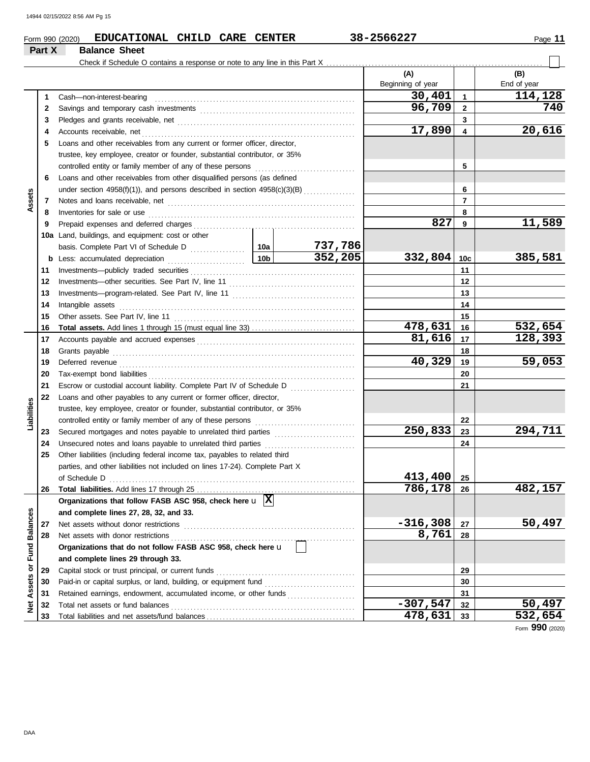|                            | EDUCATIONAL CHILD CARE CENTER<br>Form 990 (2020)                                                                                                                                                                                    |  |                | 38-2566227               |              | Page 11            |  |  |  |
|----------------------------|-------------------------------------------------------------------------------------------------------------------------------------------------------------------------------------------------------------------------------------|--|----------------|--------------------------|--------------|--------------------|--|--|--|
| Part X                     | <b>Balance Sheet</b>                                                                                                                                                                                                                |  |                |                          |              |                    |  |  |  |
|                            |                                                                                                                                                                                                                                     |  |                | (A)<br>Beginning of year |              | (B)<br>End of year |  |  |  |
| 1                          | Cash-non-interest-bearing                                                                                                                                                                                                           |  |                | 30,401                   | 1            | 114,128            |  |  |  |
| 2                          |                                                                                                                                                                                                                                     |  |                | 96,709                   | $\mathbf{2}$ | 740                |  |  |  |
| 3                          |                                                                                                                                                                                                                                     |  |                |                          | 3            |                    |  |  |  |
| 4                          |                                                                                                                                                                                                                                     |  |                | 17,890                   | 4            | 20,616             |  |  |  |
| 5                          | Loans and other receivables from any current or former officer, director,                                                                                                                                                           |  |                |                          |              |                    |  |  |  |
|                            | trustee, key employee, creator or founder, substantial contributor, or 35%                                                                                                                                                          |  |                |                          |              |                    |  |  |  |
|                            |                                                                                                                                                                                                                                     |  |                |                          | 5            |                    |  |  |  |
| 6                          | Loans and other receivables from other disqualified persons (as defined                                                                                                                                                             |  |                |                          |              |                    |  |  |  |
|                            | under section $4958(f)(1)$ ), and persons described in section $4958(c)(3)(B)$                                                                                                                                                      |  | 6              |                          |              |                    |  |  |  |
| Assets<br>7                |                                                                                                                                                                                                                                     |  | $\overline{7}$ |                          |              |                    |  |  |  |
| 8                          | Inventories for sale or use <i>communication</i> and the contract of the contract of the contract of the contract of the contract of the contract of the contract of the contract of the contract of the contract of the contract o |  |                |                          | 8            |                    |  |  |  |
| 9                          |                                                                                                                                                                                                                                     |  |                | 827                      | 9            | 11,589             |  |  |  |
|                            | 10a Land, buildings, and equipment: cost or other                                                                                                                                                                                   |  |                |                          |              |                    |  |  |  |
|                            |                                                                                                                                                                                                                                     |  |                |                          |              |                    |  |  |  |
|                            |                                                                                                                                                                                                                                     |  | 352,205        | 332,804                  | 10c          | 385,581            |  |  |  |
| 11                         |                                                                                                                                                                                                                                     |  |                |                          | 11           |                    |  |  |  |
| 12                         |                                                                                                                                                                                                                                     |  |                |                          |              |                    |  |  |  |
| 13                         |                                                                                                                                                                                                                                     |  |                | 13                       |              |                    |  |  |  |
| 14                         | Intangible assets                                                                                                                                                                                                                   |  |                |                          | 14           |                    |  |  |  |
| 15                         |                                                                                                                                                                                                                                     |  |                |                          | 15           |                    |  |  |  |
| 16                         |                                                                                                                                                                                                                                     |  |                | 478,631                  | 16           | 532,654            |  |  |  |
| 17                         |                                                                                                                                                                                                                                     |  |                | 81,616                   | 17           | 128,393            |  |  |  |
| 18                         |                                                                                                                                                                                                                                     |  |                |                          | 18           |                    |  |  |  |
| 19                         |                                                                                                                                                                                                                                     |  |                | 40,329                   | 19           | 59,053             |  |  |  |
| 20                         |                                                                                                                                                                                                                                     |  |                |                          | 20           |                    |  |  |  |
| 21                         | Escrow or custodial account liability. Complete Part IV of Schedule D                                                                                                                                                               |  |                |                          | 21           |                    |  |  |  |
| 22                         | Loans and other payables to any current or former officer, director,                                                                                                                                                                |  |                |                          |              |                    |  |  |  |
|                            | trustee, key employee, creator or founder, substantial contributor, or 35%                                                                                                                                                          |  |                |                          |              |                    |  |  |  |
| Liabilities                |                                                                                                                                                                                                                                     |  |                |                          | 22           |                    |  |  |  |
| 23                         |                                                                                                                                                                                                                                     |  |                | 250,833                  | 23           | 294,711            |  |  |  |
| 24                         |                                                                                                                                                                                                                                     |  |                |                          | 24           |                    |  |  |  |
| 25                         | Other liabilities (including federal income tax, payables to related third                                                                                                                                                          |  |                |                          |              |                    |  |  |  |
|                            | parties, and other liabilities not included on lines 17-24). Complete Part X                                                                                                                                                        |  |                |                          |              |                    |  |  |  |
|                            |                                                                                                                                                                                                                                     |  |                | 413,400                  | 25           |                    |  |  |  |
| 26                         |                                                                                                                                                                                                                                     |  |                | 786,178                  | 26           | 482,157            |  |  |  |
|                            | Organizations that follow FASB ASC 958, check here $\mathbf{u}$  X                                                                                                                                                                  |  |                |                          |              |                    |  |  |  |
|                            | and complete lines 27, 28, 32, and 33.                                                                                                                                                                                              |  |                |                          |              |                    |  |  |  |
| <b>Fund Balances</b><br>27 |                                                                                                                                                                                                                                     |  |                | $-316,308$               | 27           | 50,497             |  |  |  |
| 28                         |                                                                                                                                                                                                                                     |  | 8,761          | 28                       |              |                    |  |  |  |
|                            | Organizations that do not follow FASB ASC 958, check here u                                                                                                                                                                         |  |                |                          |              |                    |  |  |  |
|                            | and complete lines 29 through 33.                                                                                                                                                                                                   |  |                |                          |              |                    |  |  |  |
| 29                         |                                                                                                                                                                                                                                     |  |                |                          | 29           |                    |  |  |  |
| 30                         |                                                                                                                                                                                                                                     |  |                |                          | 30           |                    |  |  |  |
| Assets or<br>31            | Retained earnings, endowment, accumulated income, or other funds                                                                                                                                                                    |  |                |                          | 31           |                    |  |  |  |
| <b>z</b><br>32             |                                                                                                                                                                                                                                     |  |                | $-307,547$               | 32           | 50,497             |  |  |  |
|                            |                                                                                                                                                                                                                                     |  |                |                          |              |                    |  |  |  |

Total net assets or fund balances . . . . . . . . . . . . . . . . . . . . . . . . . . . . . . . . . . . . . . . . . . . . . . . . . . . . . . . . . Total liabilities and net assets/fund balances . . . . . . . . . . . . . . . . . . . . . . . . . . . . . . . . . . . . . . . . . . . . . .

Form **990** (2020)

**33**

**478,631 532,654**

**32 33**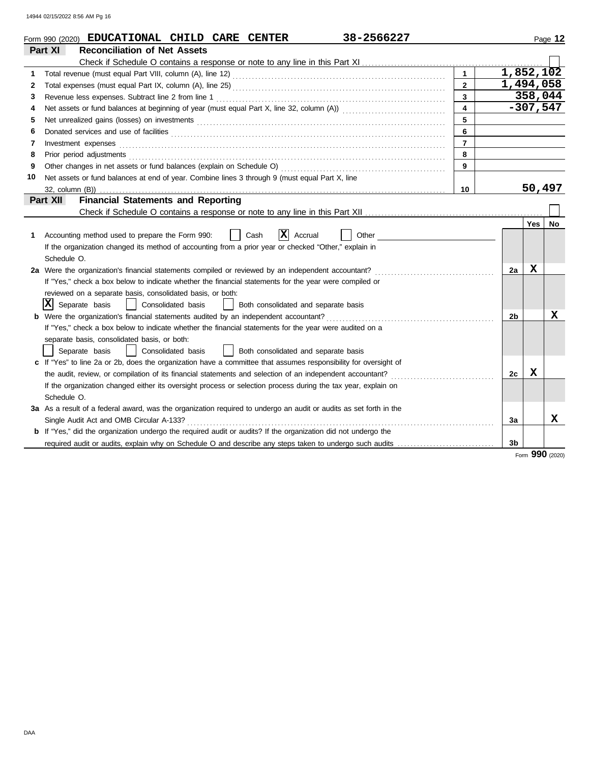|    | 38-2566227<br>Form 990 (2020) EDUCATIONAL CHILD CARE CENTER                                                                                                                                                                          |                         |           |            | Page 12 |
|----|--------------------------------------------------------------------------------------------------------------------------------------------------------------------------------------------------------------------------------------|-------------------------|-----------|------------|---------|
|    | <b>Reconciliation of Net Assets</b><br>Part XI                                                                                                                                                                                       |                         |           |            |         |
|    |                                                                                                                                                                                                                                      |                         |           |            |         |
| 1  |                                                                                                                                                                                                                                      | $\mathbf{1}$            | 1,852,102 |            |         |
| 2  |                                                                                                                                                                                                                                      | $\overline{2}$          | 1,494,058 |            |         |
| 3  | Revenue less expenses. Subtract line 2 from line 1                                                                                                                                                                                   | $\overline{3}$          |           | 358,044    |         |
| 4  |                                                                                                                                                                                                                                      | $\overline{\mathbf{4}}$ |           | $-307,547$ |         |
| 5  |                                                                                                                                                                                                                                      | 5                       |           |            |         |
| 6  | Donated services and use of facilities <b>constant of the constant of the constant of the constant of the constant of the constant of the constant of the constant of the constant of the constant of the constant of the consta</b> | 6                       |           |            |         |
| 7  | Investment expenses <b>constant expenses</b>                                                                                                                                                                                         | $\overline{7}$          |           |            |         |
| 8  | Prior period adjustments [11, 12] and the contract of the contract of the contract of the contract of the contract of the contract of the contract of the contract of the contract of the contract of the contract of the cont       | 8                       |           |            |         |
| 9  |                                                                                                                                                                                                                                      | 9                       |           |            |         |
| 10 | Net assets or fund balances at end of year. Combine lines 3 through 9 (must equal Part X, line                                                                                                                                       |                         |           |            |         |
|    |                                                                                                                                                                                                                                      | 10                      |           | 50,497     |         |
|    | <b>Financial Statements and Reporting</b><br>Part XII                                                                                                                                                                                |                         |           |            |         |
|    |                                                                                                                                                                                                                                      |                         |           |            |         |
|    |                                                                                                                                                                                                                                      |                         |           | <b>Yes</b> | No      |
| 1  | X<br>Other<br>Accounting method used to prepare the Form 990:<br>Cash<br>Accrual                                                                                                                                                     |                         |           |            |         |
|    | If the organization changed its method of accounting from a prior year or checked "Other," explain in                                                                                                                                |                         |           |            |         |
|    | Schedule O.                                                                                                                                                                                                                          |                         |           |            |         |
|    | 2a Were the organization's financial statements compiled or reviewed by an independent accountant?                                                                                                                                   |                         | 2a        | x          |         |
|    | If "Yes," check a box below to indicate whether the financial statements for the year were compiled or                                                                                                                               |                         |           |            |         |
|    | reviewed on a separate basis, consolidated basis, or both:                                                                                                                                                                           |                         |           |            |         |
|    | $ \mathbf{X} $ Separate basis<br>  Consolidated basis<br>Both consolidated and separate basis                                                                                                                                        |                         |           |            |         |
|    | Were the organization's financial statements audited by an independent accountant?                                                                                                                                                   |                         | 2b        |            | x       |
|    | If "Yes," check a box below to indicate whether the financial statements for the year were audited on a                                                                                                                              |                         |           |            |         |
|    | separate basis, consolidated basis, or both:                                                                                                                                                                                         |                         |           |            |         |
|    | Consolidated basis<br>Both consolidated and separate basis<br>Separate basis<br>$\mathbf{I}$                                                                                                                                         |                         |           |            |         |
|    | c If "Yes" to line 2a or 2b, does the organization have a committee that assumes responsibility for oversight of                                                                                                                     |                         |           |            |         |
|    | the audit, review, or compilation of its financial statements and selection of an independent accountant?                                                                                                                            |                         | 2c        | x          |         |
|    | If the organization changed either its oversight process or selection process during the tax year, explain on                                                                                                                        |                         |           |            |         |
|    | Schedule O.                                                                                                                                                                                                                          |                         |           |            |         |
|    | 3a As a result of a federal award, was the organization required to undergo an audit or audits as set forth in the                                                                                                                   |                         |           |            |         |
|    | Single Audit Act and OMB Circular A-133?                                                                                                                                                                                             |                         | За        |            | x       |
|    | b If "Yes," did the organization undergo the required audit or audits? If the organization did not undergo the                                                                                                                       |                         |           |            |         |
|    | required audit or audits, explain why on Schedule O and describe any steps taken to undergo such audits                                                                                                                              |                         | 3b        |            |         |

Form **990** (2020)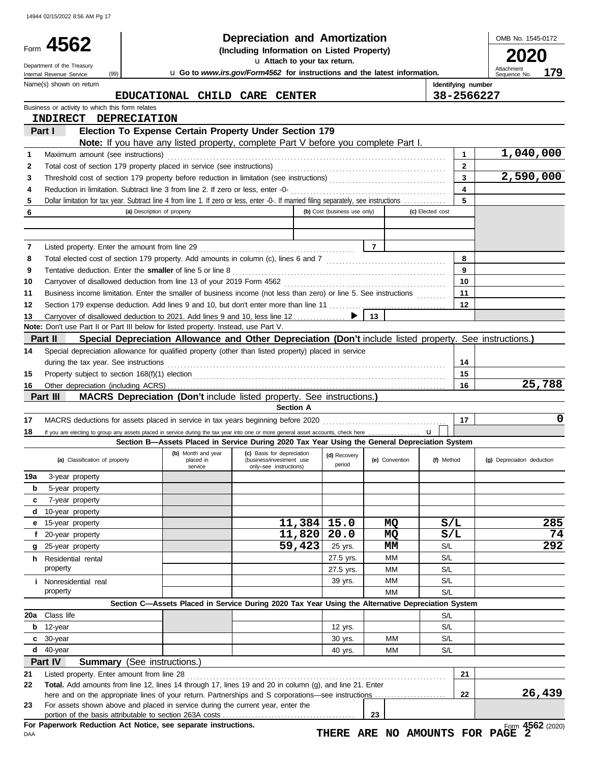|          | Form 4562<br>Department of the Treasury<br>(99)<br>Internal Revenue Service |                                                                                                                                                                                                                                | Depreciation and Amortization<br>(Including Information on Listed Property)<br>u Attach to your tax return.<br>u Go to www.irs.gov/Form4562 for instructions and the latest information. |                              |                |                  |                         | OMB No. 1545-0172<br>Attachment<br>179<br>Sequence No. |
|----------|-----------------------------------------------------------------------------|--------------------------------------------------------------------------------------------------------------------------------------------------------------------------------------------------------------------------------|------------------------------------------------------------------------------------------------------------------------------------------------------------------------------------------|------------------------------|----------------|------------------|-------------------------|--------------------------------------------------------|
|          | Name(s) shown on return                                                     |                                                                                                                                                                                                                                |                                                                                                                                                                                          |                              |                |                  | Identifying number      |                                                        |
|          |                                                                             | EDUCATIONAL CHILD CARE CENTER                                                                                                                                                                                                  |                                                                                                                                                                                          |                              |                |                  | 38-2566227              |                                                        |
|          | Business or activity to which this form relates                             |                                                                                                                                                                                                                                |                                                                                                                                                                                          |                              |                |                  |                         |                                                        |
|          | <b>INDIRECT</b>                                                             | <b>DEPRECIATION</b>                                                                                                                                                                                                            |                                                                                                                                                                                          |                              |                |                  |                         |                                                        |
|          | Part I                                                                      | Election To Expense Certain Property Under Section 179                                                                                                                                                                         |                                                                                                                                                                                          |                              |                |                  |                         |                                                        |
| 1        |                                                                             | Note: If you have any listed property, complete Part V before you complete Part I.                                                                                                                                             |                                                                                                                                                                                          |                              |                |                  | 1                       | 1,040,000                                              |
| 2        |                                                                             | Maximum amount (see instructions) (and according to the intervention of the intervention of the intervention of the intervention of the intervention of the intervention of the intervention of the intervention of the interv |                                                                                                                                                                                          |                              |                |                  | $\mathbf{2}$            |                                                        |
| 3        |                                                                             |                                                                                                                                                                                                                                |                                                                                                                                                                                          |                              |                |                  | $\overline{\mathbf{3}}$ | 2,590,000                                              |
| 4        |                                                                             |                                                                                                                                                                                                                                |                                                                                                                                                                                          |                              |                |                  | $\overline{4}$          |                                                        |
| 5        |                                                                             | Dollar limitation for tax year. Subtract line 4 from line 1. If zero or less, enter -0-. If married filing separately, see instructions                                                                                        |                                                                                                                                                                                          |                              |                |                  | 5                       |                                                        |
| 6        |                                                                             | (a) Description of property                                                                                                                                                                                                    |                                                                                                                                                                                          | (b) Cost (business use only) |                | (c) Elected cost |                         |                                                        |
|          |                                                                             |                                                                                                                                                                                                                                |                                                                                                                                                                                          |                              |                |                  |                         |                                                        |
|          |                                                                             |                                                                                                                                                                                                                                |                                                                                                                                                                                          |                              | $\overline{7}$ |                  |                         |                                                        |
| 7<br>8   |                                                                             |                                                                                                                                                                                                                                |                                                                                                                                                                                          |                              |                |                  | 8                       |                                                        |
| 9        |                                                                             |                                                                                                                                                                                                                                |                                                                                                                                                                                          |                              |                |                  | 9                       |                                                        |
| 10       |                                                                             |                                                                                                                                                                                                                                |                                                                                                                                                                                          |                              |                |                  | 10                      |                                                        |
| 11       |                                                                             | Business income limitation. Enter the smaller of business income (not less than zero) or line 5. See instructions                                                                                                              |                                                                                                                                                                                          |                              |                |                  | 11                      |                                                        |
| 12       |                                                                             |                                                                                                                                                                                                                                |                                                                                                                                                                                          |                              |                |                  | 12                      |                                                        |
| 13       |                                                                             |                                                                                                                                                                                                                                |                                                                                                                                                                                          |                              | 13             |                  |                         |                                                        |
|          |                                                                             | Note: Don't use Part II or Part III below for listed property. Instead, use Part V.                                                                                                                                            |                                                                                                                                                                                          |                              |                |                  |                         |                                                        |
|          | Part II                                                                     | Special Depreciation Allowance and Other Depreciation (Don't include listed property. See instructions.)                                                                                                                       |                                                                                                                                                                                          |                              |                |                  |                         |                                                        |
| 14       |                                                                             | Special depreciation allowance for qualified property (other than listed property) placed in service                                                                                                                           |                                                                                                                                                                                          |                              |                |                  | 14                      |                                                        |
| 15       |                                                                             |                                                                                                                                                                                                                                |                                                                                                                                                                                          |                              |                |                  | 15                      |                                                        |
| 16       |                                                                             |                                                                                                                                                                                                                                |                                                                                                                                                                                          |                              |                |                  | 16                      | 25,788                                                 |
|          | Part III                                                                    | <b>MACRS Depreciation (Don't include listed property. See instructions.)</b>                                                                                                                                                   |                                                                                                                                                                                          |                              |                |                  |                         |                                                        |
|          |                                                                             |                                                                                                                                                                                                                                | <b>Section A</b>                                                                                                                                                                         |                              |                |                  |                         |                                                        |
| 17       |                                                                             |                                                                                                                                                                                                                                |                                                                                                                                                                                          |                              |                |                  | 17                      | 0                                                      |
| 18       |                                                                             | Section B-Assets Placed in Service During 2020 Tax Year Using the General Depreciation System                                                                                                                                  |                                                                                                                                                                                          |                              |                | $\mathbf{u}$     |                         |                                                        |
|          |                                                                             | (b) Month and year                                                                                                                                                                                                             | (c) Basis for depreciation                                                                                                                                                               | (d) Recovery                 |                |                  |                         |                                                        |
|          | (a) Classification of property                                              | placed in<br>service                                                                                                                                                                                                           | (business/investment use<br>only-see instructions)                                                                                                                                       | period                       | (e) Convention | (f) Method       |                         | (g) Depreciation deduction                             |
| 19a      | 3-year property                                                             |                                                                                                                                                                                                                                |                                                                                                                                                                                          |                              |                |                  |                         |                                                        |
| b        | 5-year property                                                             |                                                                                                                                                                                                                                |                                                                                                                                                                                          |                              |                |                  |                         |                                                        |
| c        | 7-year property                                                             |                                                                                                                                                                                                                                |                                                                                                                                                                                          |                              |                |                  |                         |                                                        |
| d        | 10-year property                                                            |                                                                                                                                                                                                                                |                                                                                                                                                                                          |                              |                |                  |                         |                                                        |
| е        | 15-year property                                                            |                                                                                                                                                                                                                                | $11,384$ 15.0                                                                                                                                                                            |                              | MQ             | S/L              |                         | 285                                                    |
|          | 20-year property                                                            |                                                                                                                                                                                                                                | $11,820$ 20.0                                                                                                                                                                            |                              | MQ             | S/L              |                         | 74<br>292                                              |
| f        | 25-year property<br>Residential rental                                      |                                                                                                                                                                                                                                | 59,423                                                                                                                                                                                   | 25 yrs.<br>27.5 yrs.         | MМ<br>МM       | S/L<br>S/L       |                         |                                                        |
| g        | property                                                                    |                                                                                                                                                                                                                                |                                                                                                                                                                                          | 27.5 yrs.                    | МM             | S/L              |                         |                                                        |
| h.       |                                                                             |                                                                                                                                                                                                                                |                                                                                                                                                                                          |                              | МM             | S/L              |                         |                                                        |
|          |                                                                             |                                                                                                                                                                                                                                |                                                                                                                                                                                          |                              |                |                  |                         |                                                        |
|          | <i>i</i> Nonresidential real<br>property                                    |                                                                                                                                                                                                                                |                                                                                                                                                                                          | 39 yrs.                      | MМ             | S/L              |                         |                                                        |
|          |                                                                             | Section C-Assets Placed in Service During 2020 Tax Year Using the Alternative Depreciation System                                                                                                                              |                                                                                                                                                                                          |                              |                |                  |                         |                                                        |
|          | 20a Class life                                                              |                                                                                                                                                                                                                                |                                                                                                                                                                                          |                              |                | S/L              |                         |                                                        |
| b        | 12-year                                                                     |                                                                                                                                                                                                                                |                                                                                                                                                                                          | 12 yrs.                      |                | S/L              |                         |                                                        |
| c        | 30-year                                                                     |                                                                                                                                                                                                                                |                                                                                                                                                                                          | 30 yrs.                      | MМ             | S/L              |                         |                                                        |
|          | $d$ 40-year                                                                 |                                                                                                                                                                                                                                |                                                                                                                                                                                          | 40 yrs.                      | MМ             | S/L              |                         |                                                        |
|          | Part IV                                                                     | <b>Summary</b> (See instructions.)                                                                                                                                                                                             |                                                                                                                                                                                          |                              |                |                  |                         |                                                        |
| 21<br>22 | Listed property. Enter amount from line 28                                  | Total. Add amounts from line 12, lines 14 through 17, lines 19 and 20 in column (g), and line 21. Enter                                                                                                                        |                                                                                                                                                                                          |                              |                |                  | 21                      |                                                        |
|          |                                                                             |                                                                                                                                                                                                                                |                                                                                                                                                                                          |                              |                |                  | 22                      | 26,439                                                 |
| 23       |                                                                             | For assets shown above and placed in service during the current year, enter the                                                                                                                                                |                                                                                                                                                                                          |                              | 23             |                  |                         |                                                        |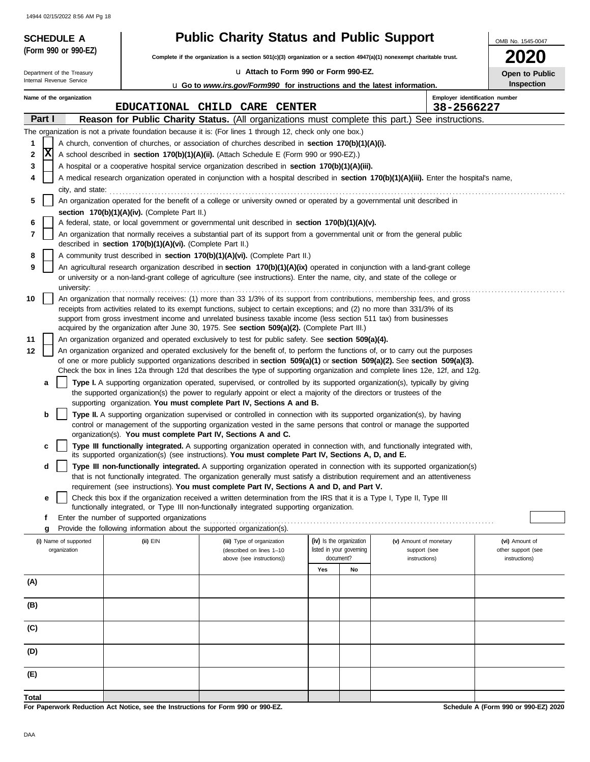| 14944 02/15/2022 8:56 AM Pg 18<br><b>SCHEDULE A</b> |                                                                                                                                                                                                   | <b>Public Charity Status and Public Support</b>                                                                                                                                                                                                                         |                          |    |                                                                                                                                            | OMB No. 1545-0047  |  |  |  |  |
|-----------------------------------------------------|---------------------------------------------------------------------------------------------------------------------------------------------------------------------------------------------------|-------------------------------------------------------------------------------------------------------------------------------------------------------------------------------------------------------------------------------------------------------------------------|--------------------------|----|--------------------------------------------------------------------------------------------------------------------------------------------|--------------------|--|--|--|--|
| (Form 990 or 990-EZ)                                |                                                                                                                                                                                                   | Complete if the organization is a section $501(c)(3)$ organization or a section $4947(a)(1)$ nonexempt charitable trust.                                                                                                                                                |                          |    |                                                                                                                                            | ZUZ0               |  |  |  |  |
| Department of the Treasury                          |                                                                                                                                                                                                   | La Attach to Form 990 or Form 990-EZ.                                                                                                                                                                                                                                   |                          |    |                                                                                                                                            | Open to Public     |  |  |  |  |
| Internal Revenue Service                            |                                                                                                                                                                                                   | <b>u</b> Go to <i>www.irs.gov/Form990</i> for instructions and the latest information.                                                                                                                                                                                  |                          |    |                                                                                                                                            | Inspection         |  |  |  |  |
| Name of the organization                            |                                                                                                                                                                                                   |                                                                                                                                                                                                                                                                         |                          |    | Employer identification number                                                                                                             |                    |  |  |  |  |
|                                                     |                                                                                                                                                                                                   | EDUCATIONAL CHILD CARE CENTER                                                                                                                                                                                                                                           |                          |    | 38-2566227                                                                                                                                 |                    |  |  |  |  |
| Part I                                              |                                                                                                                                                                                                   |                                                                                                                                                                                                                                                                         |                          |    | Reason for Public Charity Status. (All organizations must complete this part.) See instructions.                                           |                    |  |  |  |  |
| 1                                                   |                                                                                                                                                                                                   | The organization is not a private foundation because it is: (For lines 1 through 12, check only one box.)<br>A church, convention of churches, or association of churches described in section 170(b)(1)(A)(i).                                                         |                          |    |                                                                                                                                            |                    |  |  |  |  |
| x<br>2                                              |                                                                                                                                                                                                   | A school described in section 170(b)(1)(A)(ii). (Attach Schedule E (Form 990 or 990-EZ).)                                                                                                                                                                               |                          |    |                                                                                                                                            |                    |  |  |  |  |
| 3                                                   |                                                                                                                                                                                                   | A hospital or a cooperative hospital service organization described in section 170(b)(1)(A)(iii).                                                                                                                                                                       |                          |    |                                                                                                                                            |                    |  |  |  |  |
| 4                                                   |                                                                                                                                                                                                   |                                                                                                                                                                                                                                                                         |                          |    | A medical research organization operated in conjunction with a hospital described in section 170(b)(1)(A)(iii). Enter the hospital's name, |                    |  |  |  |  |
| city, and state:                                    |                                                                                                                                                                                                   |                                                                                                                                                                                                                                                                         |                          |    |                                                                                                                                            |                    |  |  |  |  |
| 5                                                   |                                                                                                                                                                                                   | An organization operated for the benefit of a college or university owned or operated by a governmental unit described in                                                                                                                                               |                          |    |                                                                                                                                            |                    |  |  |  |  |
|                                                     | section 170(b)(1)(A)(iv). (Complete Part II.)                                                                                                                                                     |                                                                                                                                                                                                                                                                         |                          |    |                                                                                                                                            |                    |  |  |  |  |
| 6                                                   |                                                                                                                                                                                                   | A federal, state, or local government or governmental unit described in section 170(b)(1)(A)(v).                                                                                                                                                                        |                          |    |                                                                                                                                            |                    |  |  |  |  |
| 7                                                   | An organization that normally receives a substantial part of its support from a governmental unit or from the general public<br>described in <b>section 170(b)(1)(A)(vi).</b> (Complete Part II.) |                                                                                                                                                                                                                                                                         |                          |    |                                                                                                                                            |                    |  |  |  |  |
| 8                                                   | A community trust described in section 170(b)(1)(A)(vi). (Complete Part II.)                                                                                                                      |                                                                                                                                                                                                                                                                         |                          |    |                                                                                                                                            |                    |  |  |  |  |
| 9                                                   |                                                                                                                                                                                                   | An agricultural research organization described in section 170(b)(1)(A)(ix) operated in conjunction with a land-grant college                                                                                                                                           |                          |    |                                                                                                                                            |                    |  |  |  |  |
|                                                     |                                                                                                                                                                                                   | or university or a non-land-grant college of agriculture (see instructions). Enter the name, city, and state of the college or                                                                                                                                          |                          |    |                                                                                                                                            |                    |  |  |  |  |
| university:                                         |                                                                                                                                                                                                   |                                                                                                                                                                                                                                                                         |                          |    |                                                                                                                                            |                    |  |  |  |  |
| 10                                                  |                                                                                                                                                                                                   | An organization that normally receives: (1) more than 33 1/3% of its support from contributions, membership fees, and gross<br>receipts from activities related to its exempt functions, subject to certain exceptions; and (2) no more than 331/3% of its              |                          |    |                                                                                                                                            |                    |  |  |  |  |
|                                                     |                                                                                                                                                                                                   | support from gross investment income and unrelated business taxable income (less section 511 tax) from businesses                                                                                                                                                       |                          |    |                                                                                                                                            |                    |  |  |  |  |
|                                                     |                                                                                                                                                                                                   | acquired by the organization after June 30, 1975. See section $509(a)(2)$ . (Complete Part III.)                                                                                                                                                                        |                          |    |                                                                                                                                            |                    |  |  |  |  |
| 11                                                  |                                                                                                                                                                                                   | An organization organized and operated exclusively to test for public safety. See section 509(a)(4).                                                                                                                                                                    |                          |    |                                                                                                                                            |                    |  |  |  |  |
| 12                                                  |                                                                                                                                                                                                   | An organization organized and operated exclusively for the benefit of, to perform the functions of, or to carry out the purposes<br>of one or more publicly supported organizations described in section $509(a)(1)$ or section $509(a)(2)$ . See section $509(a)(3)$ . |                          |    |                                                                                                                                            |                    |  |  |  |  |
|                                                     |                                                                                                                                                                                                   |                                                                                                                                                                                                                                                                         |                          |    | Check the box in lines 12a through 12d that describes the type of supporting organization and complete lines 12e, 12f, and 12g.            |                    |  |  |  |  |
| a                                                   |                                                                                                                                                                                                   | Type I. A supporting organization operated, supervised, or controlled by its supported organization(s), typically by giving                                                                                                                                             |                          |    |                                                                                                                                            |                    |  |  |  |  |
|                                                     |                                                                                                                                                                                                   | the supported organization(s) the power to regularly appoint or elect a majority of the directors or trustees of the                                                                                                                                                    |                          |    |                                                                                                                                            |                    |  |  |  |  |
|                                                     |                                                                                                                                                                                                   | supporting organization. You must complete Part IV, Sections A and B.                                                                                                                                                                                                   |                          |    |                                                                                                                                            |                    |  |  |  |  |
| b                                                   |                                                                                                                                                                                                   | Type II. A supporting organization supervised or controlled in connection with its supported organization(s), by having<br>control or management of the supporting organization vested in the same persons that control or manage the supported                         |                          |    |                                                                                                                                            |                    |  |  |  |  |
|                                                     |                                                                                                                                                                                                   | organization(s). You must complete Part IV, Sections A and C.                                                                                                                                                                                                           |                          |    |                                                                                                                                            |                    |  |  |  |  |
|                                                     |                                                                                                                                                                                                   | Type III functionally integrated. A supporting organization operated in connection with, and functionally integrated with                                                                                                                                               |                          |    |                                                                                                                                            |                    |  |  |  |  |
|                                                     |                                                                                                                                                                                                   | its supported organization(s) (see instructions). You must complete Part IV, Sections A, D, and E.                                                                                                                                                                      |                          |    |                                                                                                                                            |                    |  |  |  |  |
| d                                                   |                                                                                                                                                                                                   | Type III non-functionally integrated. A supporting organization operated in connection with its supported organization(s)<br>that is not functionally integrated. The organization generally must satisfy a distribution requirement and an attentiveness               |                          |    |                                                                                                                                            |                    |  |  |  |  |
|                                                     |                                                                                                                                                                                                   | requirement (see instructions). You must complete Part IV, Sections A and D, and Part V.                                                                                                                                                                                |                          |    |                                                                                                                                            |                    |  |  |  |  |
| е                                                   |                                                                                                                                                                                                   | Check this box if the organization received a written determination from the IRS that it is a Type I, Type II, Type III                                                                                                                                                 |                          |    |                                                                                                                                            |                    |  |  |  |  |
|                                                     |                                                                                                                                                                                                   | functionally integrated, or Type III non-functionally integrated supporting organization.                                                                                                                                                                               |                          |    |                                                                                                                                            |                    |  |  |  |  |
| f<br>g                                              | Enter the number of supported organizations                                                                                                                                                       | Provide the following information about the supported organization(s).                                                                                                                                                                                                  |                          |    |                                                                                                                                            |                    |  |  |  |  |
| (i) Name of supported                               | (ii) EIN                                                                                                                                                                                          | (iii) Type of organization                                                                                                                                                                                                                                              | (iv) Is the organization |    | (v) Amount of monetary                                                                                                                     | (vi) Amount of     |  |  |  |  |
| organization                                        |                                                                                                                                                                                                   | (described on lines 1-10                                                                                                                                                                                                                                                | listed in your governing |    | support (see                                                                                                                               | other support (see |  |  |  |  |
|                                                     |                                                                                                                                                                                                   | above (see instructions))                                                                                                                                                                                                                                               | document?                |    | instructions)                                                                                                                              | instructions)      |  |  |  |  |
|                                                     |                                                                                                                                                                                                   |                                                                                                                                                                                                                                                                         | Yes                      | No |                                                                                                                                            |                    |  |  |  |  |
| (A)                                                 |                                                                                                                                                                                                   |                                                                                                                                                                                                                                                                         |                          |    |                                                                                                                                            |                    |  |  |  |  |
| (B)                                                 |                                                                                                                                                                                                   |                                                                                                                                                                                                                                                                         |                          |    |                                                                                                                                            |                    |  |  |  |  |
|                                                     |                                                                                                                                                                                                   |                                                                                                                                                                                                                                                                         |                          |    |                                                                                                                                            |                    |  |  |  |  |
| (C)                                                 |                                                                                                                                                                                                   |                                                                                                                                                                                                                                                                         |                          |    |                                                                                                                                            |                    |  |  |  |  |
|                                                     |                                                                                                                                                                                                   |                                                                                                                                                                                                                                                                         |                          |    |                                                                                                                                            |                    |  |  |  |  |
| (D)                                                 |                                                                                                                                                                                                   |                                                                                                                                                                                                                                                                         |                          |    |                                                                                                                                            |                    |  |  |  |  |
|                                                     |                                                                                                                                                                                                   |                                                                                                                                                                                                                                                                         |                          |    |                                                                                                                                            |                    |  |  |  |  |
| (E)                                                 |                                                                                                                                                                                                   |                                                                                                                                                                                                                                                                         |                          |    |                                                                                                                                            |                    |  |  |  |  |
| <b>Total</b>                                        |                                                                                                                                                                                                   |                                                                                                                                                                                                                                                                         |                          |    |                                                                                                                                            |                    |  |  |  |  |

**For Paperwork Reduction Act Notice, see the Instructions for Form 990 or 990-EZ.**

**Schedule A (Form 990 or 990-EZ) 2020**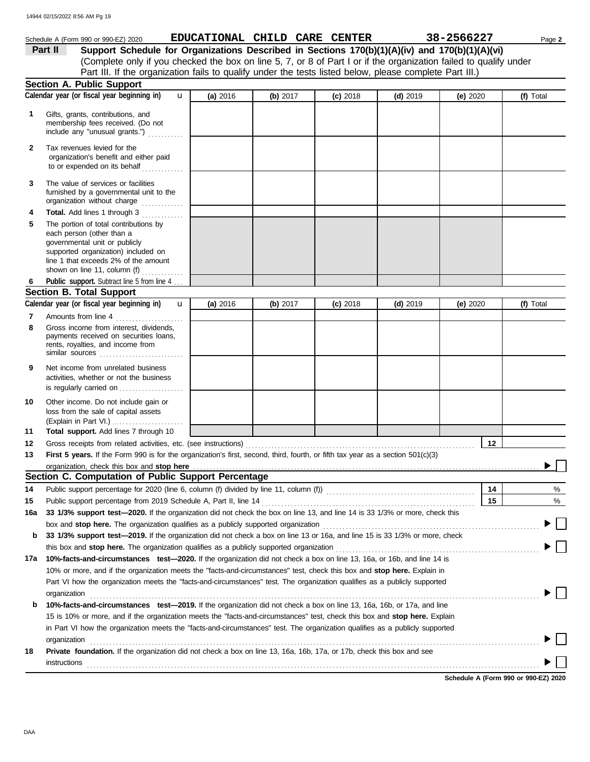#### governmental unit or publicly **Section A. Public Support** loss from the sale of capital assets Other income. Do not include gain or is regularly carried on . . . . . . . . . . . . . . . . . . . . activities, whether or not the business Net income from unrelated business rents, royalties, and income from payments received on securities loans, Gross income from interest, dividends, line 1 that exceeds 2% of the amount supported organization) included on each person (other than a The portion of total contributions by **Total.** Add lines 1 through 3 .............. The value of services or facilities to or expended on its behalf ............. organization's benefit and either paid Tax revenues levied for the Amounts from line 4 . . . . . . . . . . . . . . . . . . . . . Public support. Subtract line 5 from line 4 ... include any "unusual grants.") . . . . . . . . . . . membership fees received. (Do not Gifts, grants, contributions, and Schedule A (Form 990 or 990-EZ) 2020 **EDUCATIONAL CHILD CARE CENTER** 38-2566227 Page 2 **9 8 6 4 3 2 1 (a)** 2016 **(b)** 2017 **(c)** 2018 **(d)** 2019 **(e)** 2020 (Complete only if you checked the box on line 5, 7, or 8 of Part I or if the organization failed to qualify under Part II Support Schedule for Organizations Described in Sections 170(b)(1)(A)(iv) and 170(b)(1)(A)(vi) Calendar year (or fiscal year beginning in) **(a)** 2016 **(b)** 2017 **(c)** 2018 **(d)** 2019 **(e)** 2020 **(f)** Total furnished by a governmental unit to the organization without charge .............. **5 Section B. Total Support 7** similar sources . . . . . . . . . . . . . . . . . . . . . . . . . . **10** Calendar year (or fiscal year beginning in)  $\bf{u}$  (a) 2016 (b) 2017 (c) 2018 (d) 2019 (e) 2020 (f) Total Part III. If the organization fails to qualify under the tests listed below, please complete Part III.) **(a)** 2016 shown on line 11, column  $(f)$   $\ldots$   $\ldots$  . . . . . . . u **(b)** 2017 **(c)** 2018 **(d)** 2019 **(e)** 2020 u 14944 02/15/2022 8:56 AM Pg 19

| 11  | <b>Total support.</b> Add lines 7 through 10                                                                                                                                                                                            |  |    |  |
|-----|-----------------------------------------------------------------------------------------------------------------------------------------------------------------------------------------------------------------------------------------|--|----|--|
| 12  | Gross receipts from related activities, etc. (see instructions) material content content content of the content of the content of the content of the content of the content of the content of the content of the content of th          |  | 12 |  |
| 13  | First 5 years. If the Form 990 is for the organization's first, second, third, fourth, or fifth tax year as a section 501(c)(3)                                                                                                         |  |    |  |
|     | organization, check this box and stop here <i>[1][1]</i> <b>here [2] http://www.professor.com/www.professor.com/www.professor.com/www.professor.com/www.professor.com/www.professor.com/www.professor.com/www.professor.com/www.pro</b> |  |    |  |
|     | Section C. Computation of Public Support Percentage                                                                                                                                                                                     |  |    |  |
| 14  | Public support percentage for 2020 (line 6, column (f) divided by line 11, column (f)) [[[[[[[[[[[[[[[[[[[[[[                                                                                                                           |  | 14 |  |
| 15  |                                                                                                                                                                                                                                         |  | 15 |  |
| 16a | 33 1/3% support test—2020. If the organization did not check the box on line 13, and line 14 is 33 1/3% or more, check this                                                                                                             |  |    |  |
|     | box and stop here. The organization qualifies as a publicly supported organization                                                                                                                                                      |  |    |  |
| b   | 33 1/3% support test—2019. If the organization did not check a box on line 13 or 16a, and line 15 is 33 1/3% or more, check                                                                                                             |  |    |  |
|     | this box and <b>stop here.</b> The organization qualifies as a publicly supported organization                                                                                                                                          |  |    |  |
| 17a | 10%-facts-and-circumstances test-2020. If the organization did not check a box on line 13, 16a, or 16b, and line 14 is                                                                                                                  |  |    |  |
|     |                                                                                                                                                                                                                                         |  |    |  |

| 17a | 10%-facts-and-circumstances test—2020. If the organization did not check a box on line 13, 16a, or 16b, and line 14 is       |
|-----|------------------------------------------------------------------------------------------------------------------------------|
|     | 10% or more, and if the organization meets the "facts-and-circumstances" test, check this box and stop here. Explain in      |
|     | Part VI how the organization meets the "facts-and-circumstances" test. The organization qualifies as a publicly supported    |
|     | organization                                                                                                                 |
| b   | 10%-facts-and-circumstances test-2019. If the organization did not check a box on line 13, 16a, 16b, or 17a, and line        |
|     | 15 is 10% or more, and if the organization meets the "facts-and-circumstances" test, check this box and stop here. Explain   |
|     | in Part VI how the organization meets the "facts-and-circumstances" test. The organization qualifies as a publicly supported |
|     | organization                                                                                                                 |
| 18  | Private foundation. If the organization did not check a box on line 13, 16a, 16b, 17a, or 17b, check this box and see        |
|     | instructions                                                                                                                 |
|     |                                                                                                                              |

**Schedule A (Form 990 or 990-EZ) 2020**

% %

 $\blacktriangleright$   $\vdash$ 

(Explain in Part VI.) . . . . . . . . . . . . . . . . . . . . . .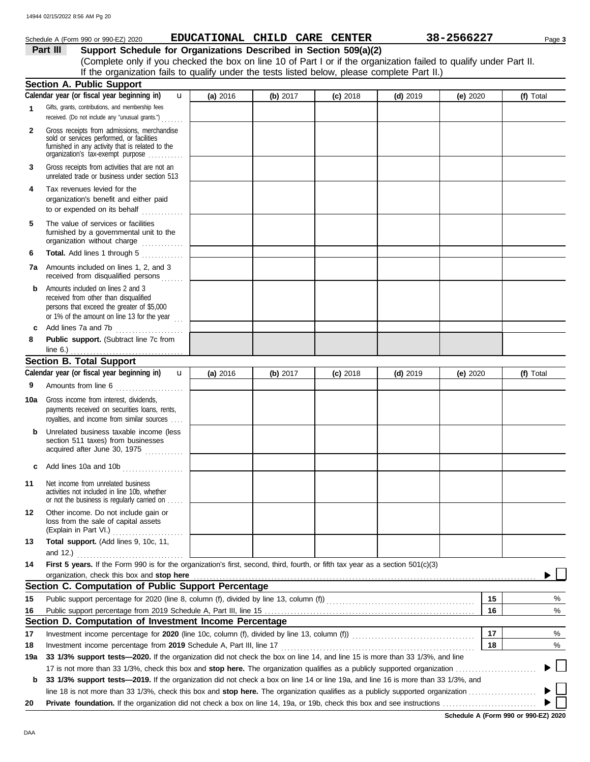|              | 14944 02/15/2022 8:56 AM Pg 20                                                                                                                                                    |            |                               |            |            |            |           |
|--------------|-----------------------------------------------------------------------------------------------------------------------------------------------------------------------------------|------------|-------------------------------|------------|------------|------------|-----------|
|              | Schedule A (Form 990 or 990-EZ) 2020                                                                                                                                              |            | EDUCATIONAL CHILD CARE CENTER |            |            | 38-2566227 | Page 3    |
|              | Support Schedule for Organizations Described in Section 509(a)(2)<br>Part III                                                                                                     |            |                               |            |            |            |           |
|              | (Complete only if you checked the box on line 10 of Part I or if the organization failed to qualify under Part II.                                                                |            |                               |            |            |            |           |
|              | If the organization fails to qualify under the tests listed below, please complete Part II.)                                                                                      |            |                               |            |            |            |           |
|              | <b>Section A. Public Support</b><br>Calendar year (or fiscal year beginning in)                                                                                                   |            |                               |            |            |            |           |
| $\mathbf 1$  | $\mathbf{u}$<br>Gifts, grants, contributions, and membership fees                                                                                                                 | (a) 2016   | (b) 2017                      | $(c)$ 2018 | $(d)$ 2019 | (e) $2020$ | (f) Total |
|              | received. (Do not include any "unusual grants.")                                                                                                                                  |            |                               |            |            |            |           |
| $\mathbf{2}$ | Gross receipts from admissions, merchandise<br>sold or services performed, or facilities<br>furnished in any activity that is related to the<br>organization's tax-exempt purpose |            |                               |            |            |            |           |
| 3            | Gross receipts from activities that are not an<br>unrelated trade or business under section 513                                                                                   |            |                               |            |            |            |           |
| 4            | Tax revenues levied for the<br>organization's benefit and either paid<br>to or expended on its behalf                                                                             |            |                               |            |            |            |           |
| 5            | The value of services or facilities<br>furnished by a governmental unit to the<br>organization without charge                                                                     |            |                               |            |            |            |           |
| 6            | Total. Add lines 1 through 5                                                                                                                                                      |            |                               |            |            |            |           |
| 7a           | Amounts included on lines 1, 2, and 3<br>received from disqualified persons                                                                                                       |            |                               |            |            |            |           |
| b            | Amounts included on lines 2 and 3<br>received from other than disqualified<br>persons that exceed the greater of \$5,000<br>or 1% of the amount on line 13 for the year $\ldots$  |            |                               |            |            |            |           |
| c            | Add lines 7a and 7b                                                                                                                                                               |            |                               |            |            |            |           |
| 8            | Public support. (Subtract line 7c from<br>line $6.$ )                                                                                                                             |            |                               |            |            |            |           |
|              | <b>Section B. Total Support</b>                                                                                                                                                   |            |                               |            |            |            |           |
|              | Calendar year (or fiscal year beginning in)<br>$\mathbf{u}$                                                                                                                       | (a) $2016$ | (b) $2017$                    | $(c)$ 2018 | $(d)$ 2019 | (e) 2020   | (f) Total |
| 9            | Amounts from line 6                                                                                                                                                               |            |                               |            |            |            |           |
| 10a          | Gross income from interest, dividends,<br>payments received on securities loans, rents,<br>royalties, and income from similar sources                                             |            |                               |            |            |            |           |
|              | <b>b</b> Unrelated business taxable income (less<br>section 511 taxes) from businesses<br>acquired after June 30, 1975                                                            |            |                               |            |            |            |           |
| c            | Add lines 10a and 10b                                                                                                                                                             |            |                               |            |            |            |           |
| 11           | Net income from unrelated business<br>activities not included in line 10b, whether<br>or not the business is regularly carried on                                                 |            |                               |            |            |            |           |
| 12           | Other income. Do not include gain or<br>loss from the sale of capital assets                                                                                                      |            |                               |            |            |            |           |
| 13           | Total support. (Add lines 9, 10c, 11,                                                                                                                                             |            |                               |            |            |            |           |

|     | and $12.$ )                                                                                                                                     |  |  |  |  |    |   |
|-----|-------------------------------------------------------------------------------------------------------------------------------------------------|--|--|--|--|----|---|
| 14  | First 5 years. If the Form 990 is for the organization's first, second, third, fourth, or fifth tax year as a section 501(c)(3)                 |  |  |  |  |    |   |
|     |                                                                                                                                                 |  |  |  |  |    |   |
|     | Section C. Computation of Public Support Percentage                                                                                             |  |  |  |  |    |   |
| 15  |                                                                                                                                                 |  |  |  |  | 15 | % |
| 16  |                                                                                                                                                 |  |  |  |  |    | % |
|     | Section D. Computation of Investment Income Percentage                                                                                          |  |  |  |  |    |   |
| 17  | Investment income percentage for 2020 (line 10c, column (f), divided by line 13, column (f))                                                    |  |  |  |  | 17 | % |
| 18  | Investment income percentage from 2019 Schedule A, Part III, line 17                                                                            |  |  |  |  | 18 | % |
| 19a | 33 1/3% support tests—2020. If the organization did not check the box on line 14, and line 15 is more than 33 1/3%, and line                    |  |  |  |  |    |   |
|     | 17 is not more than 33 1/3%, check this box and <b>stop here.</b> The organization qualifies as a publicly supported organization               |  |  |  |  |    |   |
| b   | 33 1/3% support tests—2019. If the organization did not check a box on line 14 or line 19a, and line 16 is more than 33 1/3%, and               |  |  |  |  |    |   |
|     | line 18 is not more than 33 1/3%, check this box and stop here. The organization qualifies as a publicly supported organization $\ldots \ldots$ |  |  |  |  |    |   |
| 20  |                                                                                                                                                 |  |  |  |  |    |   |

 $\overline{\phantom{a}}$ 

**Schedule A (Form 990 or 990-EZ) 2020**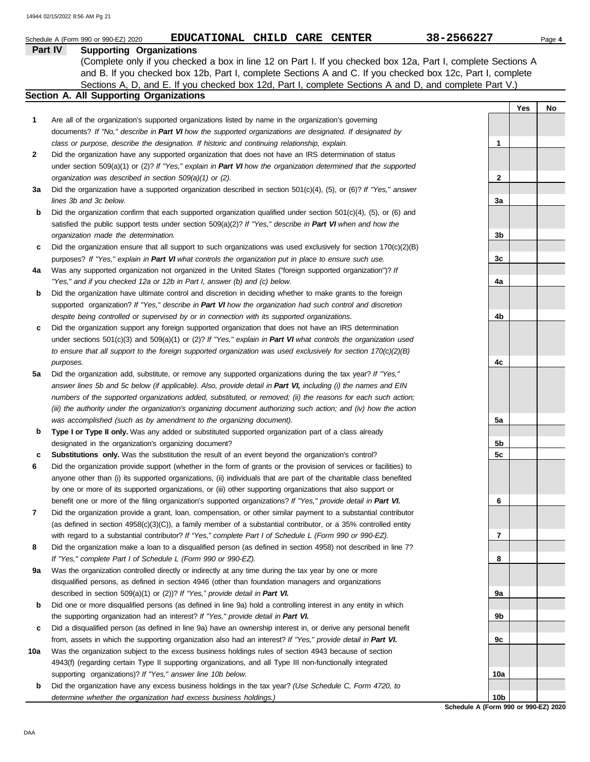|     | EDUCATIONAL CHILD CARE CENTER<br>Schedule A (Form 990 or 990-EZ) 2020                                                                                                                                                       | 38-2566227      |     | Page 4    |
|-----|-----------------------------------------------------------------------------------------------------------------------------------------------------------------------------------------------------------------------------|-----------------|-----|-----------|
|     | <b>Supporting Organizations</b><br>Part IV                                                                                                                                                                                  |                 |     |           |
|     | (Complete only if you checked a box in line 12 on Part I. If you checked box 12a, Part I, complete Sections A                                                                                                               |                 |     |           |
|     | and B. If you checked box 12b, Part I, complete Sections A and C. If you checked box 12c, Part I, complete                                                                                                                  |                 |     |           |
|     | Sections A, D, and E. If you checked box 12d, Part I, complete Sections A and D, and complete Part V.)                                                                                                                      |                 |     |           |
|     | Section A. All Supporting Organizations                                                                                                                                                                                     |                 |     |           |
|     |                                                                                                                                                                                                                             |                 | Yes | <b>No</b> |
| 1   | Are all of the organization's supported organizations listed by name in the organization's governing                                                                                                                        |                 |     |           |
|     | documents? If "No," describe in Part VI how the supported organizations are designated. If designated by                                                                                                                    |                 |     |           |
|     | class or purpose, describe the designation. If historic and continuing relationship, explain.                                                                                                                               | 1               |     |           |
| 2   | Did the organization have any supported organization that does not have an IRS determination of status<br>under section $509(a)(1)$ or (2)? If "Yes," explain in Part VI how the organization determined that the supported |                 |     |           |
|     | organization was described in section 509(a)(1) or (2).                                                                                                                                                                     | $\mathbf{2}$    |     |           |
| За  | Did the organization have a supported organization described in section 501(c)(4), (5), or (6)? If "Yes," answer                                                                                                            |                 |     |           |
|     | lines 3b and 3c below.                                                                                                                                                                                                      | За              |     |           |
| b   | Did the organization confirm that each supported organization qualified under section $501(c)(4)$ , (5), or (6) and                                                                                                         |                 |     |           |
|     | satisfied the public support tests under section $509(a)(2)$ ? If "Yes," describe in Part VI when and how the                                                                                                               |                 |     |           |
|     | organization made the determination.                                                                                                                                                                                        | 3b              |     |           |
| c   | Did the organization ensure that all support to such organizations was used exclusively for section $170(c)(2)(B)$                                                                                                          |                 |     |           |
|     | purposes? If "Yes," explain in Part VI what controls the organization put in place to ensure such use.                                                                                                                      | 3c              |     |           |
| 4a  | Was any supported organization not organized in the United States ("foreign supported organization")? If                                                                                                                    |                 |     |           |
|     | "Yes," and if you checked 12a or 12b in Part I, answer (b) and (c) below.                                                                                                                                                   | 4a              |     |           |
| b   | Did the organization have ultimate control and discretion in deciding whether to make grants to the foreign                                                                                                                 |                 |     |           |
|     | supported organization? If "Yes," describe in Part VI how the organization had such control and discretion                                                                                                                  |                 |     |           |
|     | despite being controlled or supervised by or in connection with its supported organizations.                                                                                                                                | 4b              |     |           |
| c   | Did the organization support any foreign supported organization that does not have an IRS determination                                                                                                                     |                 |     |           |
|     | under sections $501(c)(3)$ and $509(a)(1)$ or (2)? If "Yes," explain in Part VI what controls the organization used                                                                                                         |                 |     |           |
|     | to ensure that all support to the foreign supported organization was used exclusively for section $170(c)(2)(B)$                                                                                                            |                 |     |           |
|     | purposes.                                                                                                                                                                                                                   | 4c              |     |           |
| 5a  | Did the organization add, substitute, or remove any supported organizations during the tax year? If "Yes,"                                                                                                                  |                 |     |           |
|     | answer lines 5b and 5c below (if applicable). Also, provide detail in Part VI, including (i) the names and EIN                                                                                                              |                 |     |           |
|     | numbers of the supported organizations added, substituted, or removed; (ii) the reasons for each such action;                                                                                                               |                 |     |           |
|     | (iii) the authority under the organization's organizing document authorizing such action; and (iv) how the action                                                                                                           |                 |     |           |
|     | was accomplished (such as by amendment to the organizing document).                                                                                                                                                         | 5a              |     |           |
| b   | Type I or Type II only. Was any added or substituted supported organization part of a class already                                                                                                                         |                 |     |           |
|     | designated in the organization's organizing document?                                                                                                                                                                       | 5b              |     |           |
| c   | Substitutions only. Was the substitution the result of an event beyond the organization's control?                                                                                                                          | 5c              |     |           |
| 6   | Did the organization provide support (whether in the form of grants or the provision of services or facilities) to                                                                                                          |                 |     |           |
|     | anyone other than (i) its supported organizations, (ii) individuals that are part of the charitable class benefited                                                                                                         |                 |     |           |
|     | by one or more of its supported organizations, or (iii) other supporting organizations that also support or                                                                                                                 |                 |     |           |
|     | benefit one or more of the filing organization's supported organizations? If "Yes," provide detail in Part VI.                                                                                                              | 6               |     |           |
| 7   | Did the organization provide a grant, loan, compensation, or other similar payment to a substantial contributor                                                                                                             |                 |     |           |
|     | (as defined in section 4958(c)(3)(C)), a family member of a substantial contributor, or a 35% controlled entity                                                                                                             |                 |     |           |
|     | with regard to a substantial contributor? If "Yes," complete Part I of Schedule L (Form 990 or 990-EZ).                                                                                                                     | 7               |     |           |
| 8   | Did the organization make a loan to a disqualified person (as defined in section 4958) not described in line 7?<br>If "Yes," complete Part I of Schedule L (Form 990 or 990-EZ).                                            | 8               |     |           |
| 9а  | Was the organization controlled directly or indirectly at any time during the tax year by one or more                                                                                                                       |                 |     |           |
|     | disqualified persons, as defined in section 4946 (other than foundation managers and organizations                                                                                                                          |                 |     |           |
|     | described in section 509(a)(1) or (2))? If "Yes," provide detail in Part VI.                                                                                                                                                | 9а              |     |           |
| b   | Did one or more disqualified persons (as defined in line 9a) hold a controlling interest in any entity in which                                                                                                             |                 |     |           |
|     | the supporting organization had an interest? If "Yes," provide detail in Part VI.                                                                                                                                           | 9b              |     |           |
| c   | Did a disqualified person (as defined in line 9a) have an ownership interest in, or derive any personal benefit                                                                                                             |                 |     |           |
|     | from, assets in which the supporting organization also had an interest? If "Yes," provide detail in Part VI.                                                                                                                | 9c              |     |           |
| 10a | Was the organization subject to the excess business holdings rules of section 4943 because of section                                                                                                                       |                 |     |           |
|     | 4943(f) (regarding certain Type II supporting organizations, and all Type III non-functionally integrated                                                                                                                   |                 |     |           |
|     | supporting organizations)? If "Yes," answer line 10b below.                                                                                                                                                                 | 10a             |     |           |
| b   | Did the organization have any excess business holdings in the tax year? (Use Schedule C, Form 4720, to                                                                                                                      |                 |     |           |
|     | determine whether the organization had excess business holdings.)                                                                                                                                                           | 10 <sub>b</sub> |     |           |

**Schedule A (Form 990 or 990-EZ) 2020**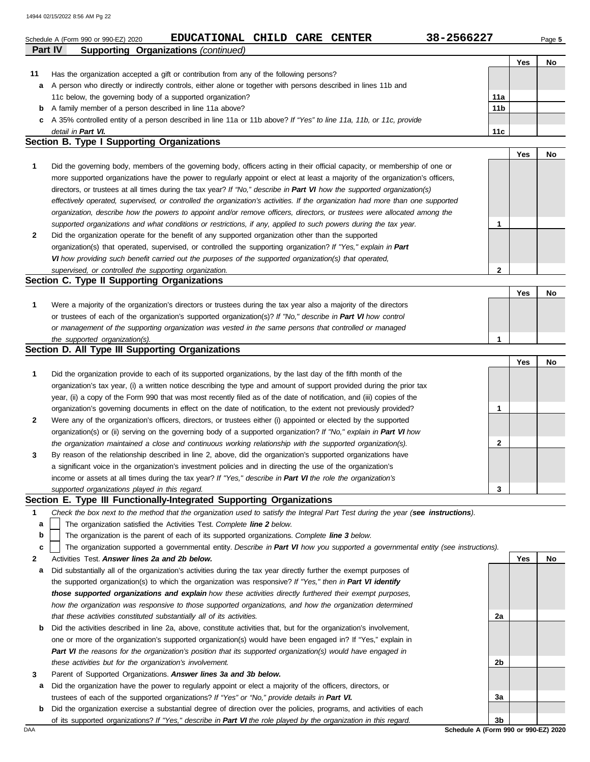|        | 14944 02/15/2022 8:56 AM Pg 22                                                                                                                                                                              |                 |     |        |
|--------|-------------------------------------------------------------------------------------------------------------------------------------------------------------------------------------------------------------|-----------------|-----|--------|
|        | 38-2566227<br>EDUCATIONAL CHILD CARE CENTER<br>Schedule A (Form 990 or 990-EZ) 2020<br>Part IV                                                                                                              |                 |     | Page 5 |
|        | <b>Supporting Organizations (continued)</b>                                                                                                                                                                 |                 | Yes | No     |
| 11     | Has the organization accepted a gift or contribution from any of the following persons?                                                                                                                     |                 |     |        |
| а      | A person who directly or indirectly controls, either alone or together with persons described in lines 11b and                                                                                              |                 |     |        |
|        | 11c below, the governing body of a supported organization?                                                                                                                                                  | 11a             |     |        |
| b      | A family member of a person described in line 11a above?                                                                                                                                                    | 11 <sub>b</sub> |     |        |
|        | c A 35% controlled entity of a person described in line 11a or 11b above? If "Yes" to line 11a, 11b, or 11c, provide                                                                                        |                 |     |        |
|        | detail in Part VI.                                                                                                                                                                                          | 11c             |     |        |
|        | Section B. Type I Supporting Organizations                                                                                                                                                                  |                 |     |        |
| 1      | Did the governing body, members of the governing body, officers acting in their official capacity, or membership of one or                                                                                  |                 | Yes | No     |
|        | more supported organizations have the power to regularly appoint or elect at least a majority of the organization's officers,                                                                               |                 |     |        |
|        | directors, or trustees at all times during the tax year? If "No," describe in Part VI how the supported organization(s)                                                                                     |                 |     |        |
|        | effectively operated, supervised, or controlled the organization's activities. If the organization had more than one supported                                                                              |                 |     |        |
|        | organization, describe how the powers to appoint and/or remove officers, directors, or trustees were allocated among the                                                                                    |                 |     |        |
|        | supported organizations and what conditions or restrictions, if any, applied to such powers during the tax year.                                                                                            | 1               |     |        |
| 2      | Did the organization operate for the benefit of any supported organization other than the supported                                                                                                         |                 |     |        |
|        | organization(s) that operated, supervised, or controlled the supporting organization? If "Yes," explain in Part                                                                                             |                 |     |        |
|        | VI how providing such benefit carried out the purposes of the supported organization(s) that operated,                                                                                                      |                 |     |        |
|        | supervised, or controlled the supporting organization.                                                                                                                                                      | $\mathbf{2}$    |     |        |
|        | Section C. Type II Supporting Organizations                                                                                                                                                                 |                 |     |        |
|        |                                                                                                                                                                                                             |                 | Yes | No     |
| 1      | Were a majority of the organization's directors or trustees during the tax year also a majority of the directors                                                                                            |                 |     |        |
|        | or trustees of each of the organization's supported organization(s)? If "No," describe in Part VI how control                                                                                               |                 |     |        |
|        | or management of the supporting organization was vested in the same persons that controlled or managed                                                                                                      |                 |     |        |
|        | the supported organization(s).<br>Section D. All Type III Supporting Organizations                                                                                                                          | 1               |     |        |
|        |                                                                                                                                                                                                             |                 | Yes | No     |
| 1      | Did the organization provide to each of its supported organizations, by the last day of the fifth month of the                                                                                              |                 |     |        |
|        | organization's tax year, (i) a written notice describing the type and amount of support provided during the prior tax                                                                                       |                 |     |        |
|        | year, (ii) a copy of the Form 990 that was most recently filed as of the date of notification, and (iii) copies of the                                                                                      |                 |     |        |
|        | organization's governing documents in effect on the date of notification, to the extent not previously provided?                                                                                            | 1               |     |        |
| 2      | Were any of the organization's officers, directors, or trustees either (i) appointed or elected by the supported                                                                                            |                 |     |        |
|        | organization(s) or (ii) serving on the governing body of a supported organization? If "No," explain in Part VI how                                                                                          |                 |     |        |
|        | the organization maintained a close and continuous working relationship with the supported organization(s).                                                                                                 | $\mathbf{2}$    |     |        |
| 3      | By reason of the relationship described in line 2, above, did the organization's supported organizations have                                                                                               |                 |     |        |
|        | a significant voice in the organization's investment policies and in directing the use of the organization's                                                                                                |                 |     |        |
|        | income or assets at all times during the tax year? If "Yes," describe in Part VI the role the organization's                                                                                                |                 |     |        |
|        | supported organizations played in this regard.                                                                                                                                                              | 3               |     |        |
|        | Section E. Type III Functionally-Integrated Supporting Organizations                                                                                                                                        |                 |     |        |
| 1<br>a | Check the box next to the method that the organization used to satisfy the Integral Part Test during the year (see instructions).<br>The organization satisfied the Activities Test. Complete line 2 below. |                 |     |        |
| b      | The organization is the parent of each of its supported organizations. Complete line 3 below.                                                                                                               |                 |     |        |
| c      | The organization supported a governmental entity. Describe in Part VI how you supported a governmental entity (see instructions).                                                                           |                 |     |        |
| 2      | Activities Test. Answer lines 2a and 2b below.                                                                                                                                                              |                 | Yes | No     |
| а      | Did substantially all of the organization's activities during the tax year directly further the exempt purposes of                                                                                          |                 |     |        |
|        | the supported organization(s) to which the organization was responsive? If "Yes," then in Part VI identify                                                                                                  |                 |     |        |
|        | those supported organizations and explain how these activities directly furthered their exempt purposes,                                                                                                    |                 |     |        |
|        | how the organization was responsive to those supported organizations, and how the organization determined                                                                                                   |                 |     |        |
|        | that these activities constituted substantially all of its activities.                                                                                                                                      | 2a              |     |        |
| b      | Did the activities described in line 2a, above, constitute activities that, but for the organization's involvement,                                                                                         |                 |     |        |
|        | one or more of the organization's supported organization(s) would have been engaged in? If "Yes," explain in                                                                                                |                 |     |        |
|        | Part VI the reasons for the organization's position that its supported organization(s) would have engaged in                                                                                                |                 |     |        |
|        | these activities but for the organization's involvement.                                                                                                                                                    | 2b              |     |        |

- **3** Parent of Supported Organizations. *Answer lines 3a and 3b below.*
- **a** Did the organization have the power to regularly appoint or elect a majority of the officers, directors, or trustees of each of the supported organizations? *If "Yes" or "No," provide details in Part VI.*
- **b** Did the organization exercise a substantial degree of direction over the policies, programs, and activities of each of its supported organizations? *If "Yes," describe in Part VI the role played by the organization in this regard.*

DAA **Schedule A (Form 990 or 990-EZ) 2020 3b**

**3a**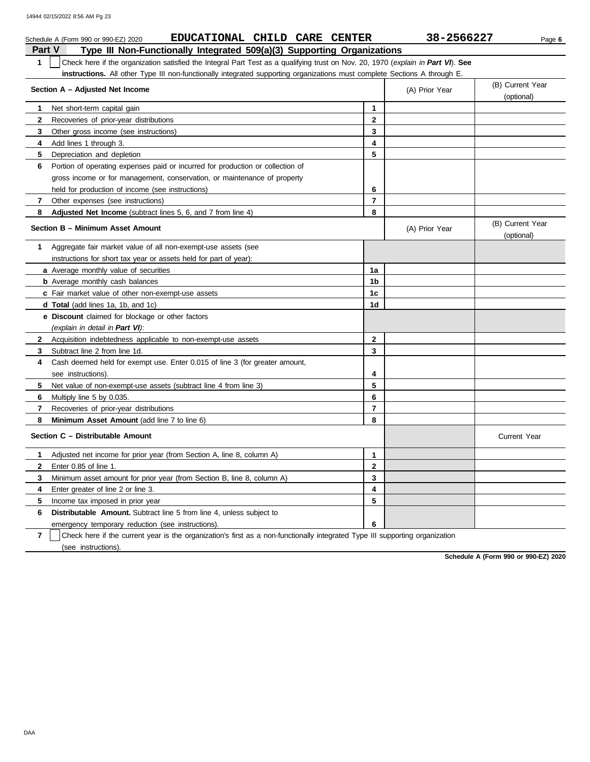|              | EDUCATIONAL CHILD CARE CENTER<br>Schedule A (Form 990 or 990-EZ) 2020                                                            |                | 38-2566227     | Page 6                         |
|--------------|----------------------------------------------------------------------------------------------------------------------------------|----------------|----------------|--------------------------------|
|              | Type III Non-Functionally Integrated 509(a)(3) Supporting Organizations<br><b>Part V</b>                                         |                |                |                                |
| $\mathbf{1}$ | Check here if the organization satisfied the Integral Part Test as a qualifying trust on Nov. 20, 1970 (explain in Part VI). See |                |                |                                |
|              | instructions. All other Type III non-functionally integrated supporting organizations must complete Sections A through E.        |                |                |                                |
|              | Section A - Adjusted Net Income                                                                                                  |                | (A) Prior Year | (B) Current Year<br>(optional) |
| 1            | Net short-term capital gain                                                                                                      | 1              |                |                                |
| 2            | Recoveries of prior-year distributions                                                                                           | $\mathbf{2}$   |                |                                |
| 3            | Other gross income (see instructions)                                                                                            | 3              |                |                                |
| 4            | Add lines 1 through 3.                                                                                                           | 4              |                |                                |
| 5            | Depreciation and depletion                                                                                                       | 5              |                |                                |
| 6            | Portion of operating expenses paid or incurred for production or collection of                                                   |                |                |                                |
|              | gross income or for management, conservation, or maintenance of property                                                         |                |                |                                |
|              | held for production of income (see instructions)                                                                                 | 6              |                |                                |
| 7            | Other expenses (see instructions)                                                                                                | $\overline{7}$ |                |                                |
| 8            | <b>Adjusted Net Income</b> (subtract lines 5, 6, and 7 from line 4)                                                              | 8              |                |                                |
|              | Section B - Minimum Asset Amount                                                                                                 |                | (A) Prior Year | (B) Current Year<br>(optional) |
| 1            | Aggregate fair market value of all non-exempt-use assets (see                                                                    |                |                |                                |
|              | instructions for short tax year or assets held for part of year):                                                                |                |                |                                |
|              | a Average monthly value of securities                                                                                            | 1a             |                |                                |
|              | <b>b</b> Average monthly cash balances                                                                                           | 1 <sub>b</sub> |                |                                |
|              | c Fair market value of other non-exempt-use assets                                                                               | 1c             |                |                                |
|              | d Total (add lines 1a, 1b, and 1c)                                                                                               | 1 <sub>d</sub> |                |                                |
|              | e Discount claimed for blockage or other factors                                                                                 |                |                |                                |
|              | (explain in detail in Part VI):                                                                                                  |                |                |                                |
| $\mathbf{2}$ | Acquisition indebtedness applicable to non-exempt-use assets                                                                     | $\overline{2}$ |                |                                |
| 3            | Subtract line 2 from line 1d.                                                                                                    | 3              |                |                                |
| 4            | Cash deemed held for exempt use. Enter 0.015 of line 3 (for greater amount,                                                      |                |                |                                |
|              | see instructions).                                                                                                               | 4              |                |                                |
| 5            | Net value of non-exempt-use assets (subtract line 4 from line 3)                                                                 | 5              |                |                                |
| 6            | Multiply line 5 by 0.035.                                                                                                        | 6              |                |                                |
| 7            | Recoveries of prior-year distributions                                                                                           | $\overline{7}$ |                |                                |
| 8            | Minimum Asset Amount (add line 7 to line 6)                                                                                      | 8              |                |                                |
|              | Section C - Distributable Amount                                                                                                 |                |                | <b>Current Year</b>            |
| 1            | Adjusted net income for prior year (from Section A, line 8, column A)                                                            | 1              |                |                                |
| $\mathbf{2}$ | Enter 0.85 of line 1.                                                                                                            | $\overline{2}$ |                |                                |
| 3            | Minimum asset amount for prior year (from Section B, line 8, column A)                                                           | 3              |                |                                |
| 4            | Enter greater of line 2 or line 3.                                                                                               | 4              |                |                                |
| 5            | Income tax imposed in prior year                                                                                                 | 5              |                |                                |
| 6            | <b>Distributable Amount.</b> Subtract line 5 from line 4, unless subject to                                                      |                |                |                                |
|              | emergency temporary reduction (see instructions)                                                                                 | 6              |                |                                |

**7** | Check here if the current year is the organization's first as a non-functionally integrated Type III supporting organization (see instructions).

**Schedule A (Form 990 or 990-EZ) 2020**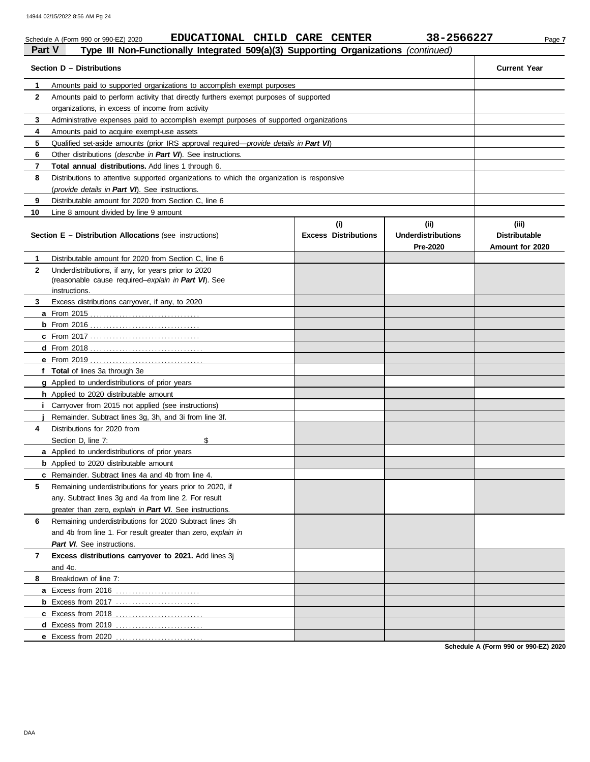#### Schedule A (Form 990 or 990-EZ) 2020 **EDUCATIONAL CHILD CARE CENTER** 38-2566227 Page 7 **Part V Type III Non-Functionally Integrated 509(a)(3) Supporting Organizations** *(continued)* **Section D – Distributions Current Year 1 2 3 4 5 6 7 8 9 10** Amounts paid to supported organizations to accomplish exempt purposes Amounts paid to perform activity that directly furthers exempt purposes of supported organizations, in excess of income from activity Administrative expenses paid to accomplish exempt purposes of supported organizations Amounts paid to acquire exempt-use assets Qualified set-aside amounts (prior IRS approval required—*provide details in Part VI*) Other distributions (*describe in Part VI*). See instructions. **Total annual distributions.** Add lines 1 through 6. Distributions to attentive supported organizations to which the organization is responsive (*provide details in Part VI*). See instructions. Distributable amount for 2020 from Section C, line 6 Line 8 amount divided by line 9 amount **Section E – Distribution Allocations** (see instructions) **Excess Distributions (i) (ii) Underdistributions Pre-2020 (iii) Distributable Amount for 2020 5 4 3 2 1 a** From 2015 . . . . . . . . . . . . . . . . . . . . . . . . . . . . . . . . . . **b** From 2016 . . . . . . . . . . . . . . . . . . . . . . . . . . . . . . . . . . **c** From 2017 . . . . . . . . . . . . . . . . . . . . . . . . . . . . . . . . . . **d** From 2018 . . . . . . . . . . . . . . . . . . . . . . . . . . . . . . . . . . . **e** From 2019 . . . . . . . . . . . . . . . . . . . . . . . . . . . . . . . . . . . **f Total** of lines 3a through 3e **g** Applied to underdistributions of prior years **h** Applied to 2020 distributable amount **i j** Remainder. Subtract lines 3g, 3h, and 3i from line 3f. **a** Applied to underdistributions of prior years **b** Applied to 2020 distributable amount **c** Remainder. Subtract lines 4a and 4b from line 4. Distributable amount for 2020 from Section C, line 6 Underdistributions, if any, for years prior to 2020 (reasonable cause required–*explain in Part VI*). See Excess distributions carryover, if any, to 2020 Carryover from 2015 not applied (see instructions) Distributions for 2020 from Section D, line 7: \$ Remaining underdistributions for years prior to 2020, if any. Subtract lines 3g and 4a from line 2. For result greater than zero, *explain in Part VI*. See instructions. instructions.

**Schedule A (Form 990 or 990-EZ) 2020**

**8**

and 4c.

**a** Excess from 2016 . . . . . . . . . . . . . . . . . . . . . . . . . . **b** Excess from 2017 . . . . . . . . . . . . . . . . . . . . . . . . . . **c** Excess from 2018 . . . . . . . . . . . . . . . . . . . . . . . . . . . **d** Excess from 2019 . . . . . . . . . . . . . . . . . . . . . . . . . . . **e** Excess from 2020 . . . . . . . . . . . . . . . . . . . . . . . . . . .

*Part VI*. See instructions.

Breakdown of line 7:

Remaining underdistributions for 2020 Subtract lines 3h and 4b from line 1. For result greater than zero, *explain in*

**Excess distributions carryover to 2021.** Add lines 3j

**7**

**6**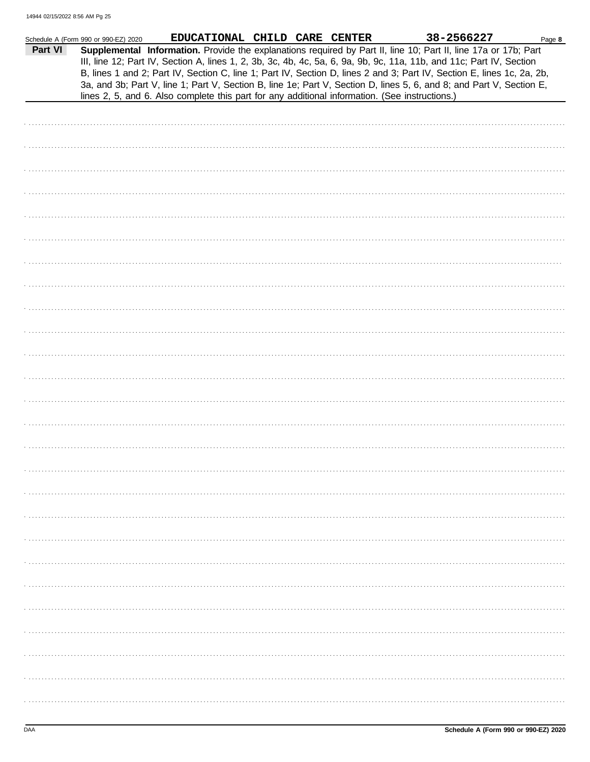| Part VI | Schedule A (Form 990 or 990-EZ) 2020 | EDUCATIONAL CHILD CARE CENTER<br>Supplemental Information. Provide the explanations required by Part II, line 10; Part II, line 17a or 17b; Part<br>III, line 12; Part IV, Section A, lines 1, 2, 3b, 3c, 4b, 4c, 5a, 6, 9a, 9b, 9c, 11a, 11b, and 11c; Part IV, Section<br>B, lines 1 and 2; Part IV, Section C, line 1; Part IV, Section D, lines 2 and 3; Part IV, Section E, lines 1c, 2a, 2b,<br>3a, and 3b; Part V, line 1; Part V, Section B, line 1e; Part V, Section D, lines 5, 6, and 8; and Part V, Section E,<br>lines 2, 5, and 6. Also complete this part for any additional information. (See instructions.) |  | 38-2566227 | Page 8 |
|---------|--------------------------------------|------------------------------------------------------------------------------------------------------------------------------------------------------------------------------------------------------------------------------------------------------------------------------------------------------------------------------------------------------------------------------------------------------------------------------------------------------------------------------------------------------------------------------------------------------------------------------------------------------------------------------|--|------------|--------|
|         |                                      |                                                                                                                                                                                                                                                                                                                                                                                                                                                                                                                                                                                                                              |  |            |        |
|         |                                      |                                                                                                                                                                                                                                                                                                                                                                                                                                                                                                                                                                                                                              |  |            |        |
|         |                                      |                                                                                                                                                                                                                                                                                                                                                                                                                                                                                                                                                                                                                              |  |            |        |
|         |                                      |                                                                                                                                                                                                                                                                                                                                                                                                                                                                                                                                                                                                                              |  |            |        |
|         |                                      |                                                                                                                                                                                                                                                                                                                                                                                                                                                                                                                                                                                                                              |  |            |        |
|         |                                      |                                                                                                                                                                                                                                                                                                                                                                                                                                                                                                                                                                                                                              |  |            |        |
|         |                                      |                                                                                                                                                                                                                                                                                                                                                                                                                                                                                                                                                                                                                              |  |            |        |
|         |                                      |                                                                                                                                                                                                                                                                                                                                                                                                                                                                                                                                                                                                                              |  |            |        |
|         |                                      |                                                                                                                                                                                                                                                                                                                                                                                                                                                                                                                                                                                                                              |  |            |        |
|         |                                      |                                                                                                                                                                                                                                                                                                                                                                                                                                                                                                                                                                                                                              |  |            |        |
|         |                                      |                                                                                                                                                                                                                                                                                                                                                                                                                                                                                                                                                                                                                              |  |            |        |
|         |                                      |                                                                                                                                                                                                                                                                                                                                                                                                                                                                                                                                                                                                                              |  |            |        |
|         |                                      |                                                                                                                                                                                                                                                                                                                                                                                                                                                                                                                                                                                                                              |  |            |        |
|         |                                      |                                                                                                                                                                                                                                                                                                                                                                                                                                                                                                                                                                                                                              |  |            |        |
|         |                                      |                                                                                                                                                                                                                                                                                                                                                                                                                                                                                                                                                                                                                              |  |            |        |
|         |                                      |                                                                                                                                                                                                                                                                                                                                                                                                                                                                                                                                                                                                                              |  |            |        |
|         |                                      |                                                                                                                                                                                                                                                                                                                                                                                                                                                                                                                                                                                                                              |  |            |        |
|         |                                      |                                                                                                                                                                                                                                                                                                                                                                                                                                                                                                                                                                                                                              |  |            |        |
|         |                                      |                                                                                                                                                                                                                                                                                                                                                                                                                                                                                                                                                                                                                              |  |            |        |
|         |                                      |                                                                                                                                                                                                                                                                                                                                                                                                                                                                                                                                                                                                                              |  |            |        |
|         |                                      |                                                                                                                                                                                                                                                                                                                                                                                                                                                                                                                                                                                                                              |  |            |        |
|         |                                      |                                                                                                                                                                                                                                                                                                                                                                                                                                                                                                                                                                                                                              |  |            |        |
|         |                                      |                                                                                                                                                                                                                                                                                                                                                                                                                                                                                                                                                                                                                              |  |            |        |
|         |                                      |                                                                                                                                                                                                                                                                                                                                                                                                                                                                                                                                                                                                                              |  |            |        |
|         |                                      |                                                                                                                                                                                                                                                                                                                                                                                                                                                                                                                                                                                                                              |  |            |        |
|         |                                      |                                                                                                                                                                                                                                                                                                                                                                                                                                                                                                                                                                                                                              |  |            |        |
|         |                                      |                                                                                                                                                                                                                                                                                                                                                                                                                                                                                                                                                                                                                              |  |            |        |
|         |                                      |                                                                                                                                                                                                                                                                                                                                                                                                                                                                                                                                                                                                                              |  |            |        |
|         |                                      |                                                                                                                                                                                                                                                                                                                                                                                                                                                                                                                                                                                                                              |  |            |        |
|         |                                      |                                                                                                                                                                                                                                                                                                                                                                                                                                                                                                                                                                                                                              |  |            |        |
|         |                                      |                                                                                                                                                                                                                                                                                                                                                                                                                                                                                                                                                                                                                              |  |            |        |
|         |                                      |                                                                                                                                                                                                                                                                                                                                                                                                                                                                                                                                                                                                                              |  |            |        |
|         |                                      |                                                                                                                                                                                                                                                                                                                                                                                                                                                                                                                                                                                                                              |  |            |        |
|         |                                      |                                                                                                                                                                                                                                                                                                                                                                                                                                                                                                                                                                                                                              |  |            |        |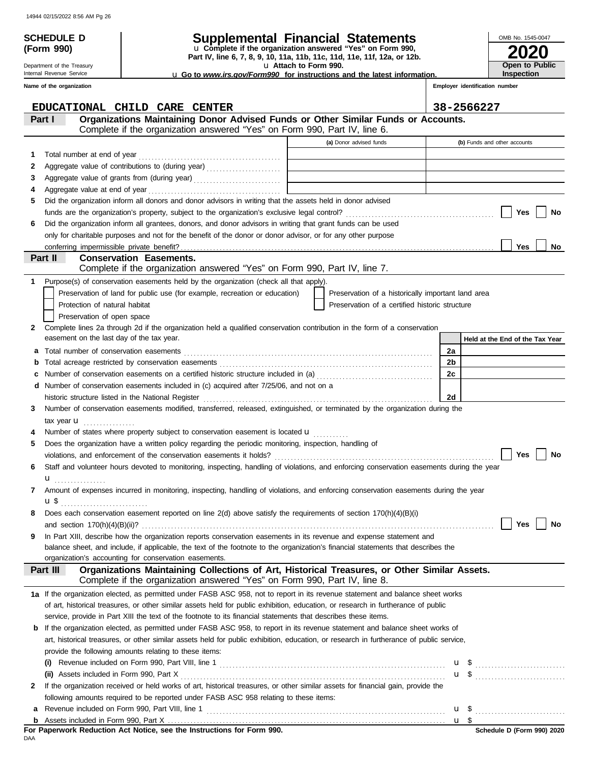**(Form 990)**

Department of the Treasury Internal Revenue Service

## **SCHEDULE D Supplemental Financial Statements**

**Part IV, line 6, 7, 8, 9, 10, 11a, 11b, 11c, 11d, 11e, 11f, 12a, or 12b.** u **Complete if the organization answered "Yes" on Form 990,**

u **Attach to Form 990.** 

u **Go to** *www.irs.gov/Form990* **for instructions and the latest information.**

**2020 Open to Public Inspection**

OMB No. 1545-0047

|   | Name of the organization                                                                                                                                                                                                       |  |                                                    |    | Employer identification number  |  |  |  |
|---|--------------------------------------------------------------------------------------------------------------------------------------------------------------------------------------------------------------------------------|--|----------------------------------------------------|----|---------------------------------|--|--|--|
|   | EDUCATIONAL CHILD CARE CENTER                                                                                                                                                                                                  |  |                                                    |    | 38-2566227                      |  |  |  |
|   | Organizations Maintaining Donor Advised Funds or Other Similar Funds or Accounts.<br>Part I<br>Complete if the organization answered "Yes" on Form 990, Part IV, line 6.                                                       |  |                                                    |    |                                 |  |  |  |
|   |                                                                                                                                                                                                                                |  | (a) Donor advised funds                            |    | (b) Funds and other accounts    |  |  |  |
|   |                                                                                                                                                                                                                                |  |                                                    |    |                                 |  |  |  |
| 1 |                                                                                                                                                                                                                                |  |                                                    |    |                                 |  |  |  |
| 2 |                                                                                                                                                                                                                                |  |                                                    |    |                                 |  |  |  |
| 3 |                                                                                                                                                                                                                                |  |                                                    |    |                                 |  |  |  |
| 4 | Aggregate value at end of year<br>Did the organization inform all donors and donor advisors in writing that the assets held in donor advised                                                                                   |  |                                                    |    |                                 |  |  |  |
| 5 |                                                                                                                                                                                                                                |  |                                                    |    | Yes<br>No                       |  |  |  |
|   | Did the organization inform all grantees, donors, and donor advisors in writing that grant funds can be used                                                                                                                   |  |                                                    |    |                                 |  |  |  |
| 6 | only for charitable purposes and not for the benefit of the donor or donor advisor, or for any other purpose                                                                                                                   |  |                                                    |    |                                 |  |  |  |
|   | conferring impermissible private benefit?                                                                                                                                                                                      |  |                                                    |    | <b>Yes</b><br>No                |  |  |  |
|   | Part II<br><b>Conservation Easements.</b>                                                                                                                                                                                      |  |                                                    |    |                                 |  |  |  |
|   | Complete if the organization answered "Yes" on Form 990, Part IV, line 7.                                                                                                                                                      |  |                                                    |    |                                 |  |  |  |
| 1 | Purpose(s) of conservation easements held by the organization (check all that apply).                                                                                                                                          |  |                                                    |    |                                 |  |  |  |
|   | Preservation of land for public use (for example, recreation or education)                                                                                                                                                     |  | Preservation of a historically important land area |    |                                 |  |  |  |
|   | Protection of natural habitat                                                                                                                                                                                                  |  | Preservation of a certified historic structure     |    |                                 |  |  |  |
|   | Preservation of open space                                                                                                                                                                                                     |  |                                                    |    |                                 |  |  |  |
| 2 | Complete lines 2a through 2d if the organization held a qualified conservation contribution in the form of a conservation                                                                                                      |  |                                                    |    |                                 |  |  |  |
|   | easement on the last day of the tax year.                                                                                                                                                                                      |  |                                                    |    | Held at the End of the Tax Year |  |  |  |
| а |                                                                                                                                                                                                                                |  |                                                    | 2a |                                 |  |  |  |
| b |                                                                                                                                                                                                                                |  |                                                    | 2b |                                 |  |  |  |
| с | Number of conservation easements on a certified historic structure included in (a) [[[[[[[[[[[[[[[[[[[[[[[[[]]]]]]]                                                                                                            |  |                                                    | 2c |                                 |  |  |  |
|   | Number of conservation easements included in (c) acquired after 7/25/06, and not on a                                                                                                                                          |  |                                                    |    |                                 |  |  |  |
|   | historic structure listed in the National Register [11] match contracts and the National Register [11] match contracts are not all the National Register [11] match contracts are not all the National Register [11] match con |  |                                                    | 2d |                                 |  |  |  |
| 3 | Number of conservation easements modified, transferred, released, extinguished, or terminated by the organization during the                                                                                                   |  |                                                    |    |                                 |  |  |  |
|   | tax year <b>u</b>                                                                                                                                                                                                              |  |                                                    |    |                                 |  |  |  |
|   | Number of states where property subject to conservation easement is located <b>u</b>                                                                                                                                           |  |                                                    |    |                                 |  |  |  |
| 5 | Does the organization have a written policy regarding the periodic monitoring, inspection, handling of                                                                                                                         |  |                                                    |    |                                 |  |  |  |
|   |                                                                                                                                                                                                                                |  |                                                    |    | <b>Yes</b><br>No                |  |  |  |
| 6 | Staff and volunteer hours devoted to monitoring, inspecting, handling of violations, and enforcing conservation easements during the year                                                                                      |  |                                                    |    |                                 |  |  |  |
|   | .                                                                                                                                                                                                                              |  |                                                    |    |                                 |  |  |  |
|   | Amount of expenses incurred in monitoring, inspecting, handling of violations, and enforcing conservation easements during the year                                                                                            |  |                                                    |    |                                 |  |  |  |
|   | u \$                                                                                                                                                                                                                           |  |                                                    |    |                                 |  |  |  |
|   | Does each conservation easement reported on line 2(d) above satisfy the requirements of section 170(h)(4)(B)(i)                                                                                                                |  |                                                    |    |                                 |  |  |  |
|   | and section $170(h)(4)(B)(ii)?$                                                                                                                                                                                                |  |                                                    |    | <b>Yes</b><br>No                |  |  |  |
| 9 | In Part XIII, describe how the organization reports conservation easements in its revenue and expense statement and                                                                                                            |  |                                                    |    |                                 |  |  |  |
|   | balance sheet, and include, if applicable, the text of the footnote to the organization's financial statements that describes the                                                                                              |  |                                                    |    |                                 |  |  |  |
|   | organization's accounting for conservation easements.                                                                                                                                                                          |  |                                                    |    |                                 |  |  |  |
|   | Organizations Maintaining Collections of Art, Historical Treasures, or Other Similar Assets.<br>Part III<br>Complete if the organization answered "Yes" on Form 990, Part IV, line 8.                                          |  |                                                    |    |                                 |  |  |  |
|   | 1a If the organization elected, as permitted under FASB ASC 958, not to report in its revenue statement and balance sheet works                                                                                                |  |                                                    |    |                                 |  |  |  |
|   | of art, historical treasures, or other similar assets held for public exhibition, education, or research in furtherance of public                                                                                              |  |                                                    |    |                                 |  |  |  |
|   | service, provide in Part XIII the text of the footnote to its financial statements that describes these items.                                                                                                                 |  |                                                    |    |                                 |  |  |  |
| b | If the organization elected, as permitted under FASB ASC 958, to report in its revenue statement and balance sheet works of                                                                                                    |  |                                                    |    |                                 |  |  |  |
|   | art, historical treasures, or other similar assets held for public exhibition, education, or research in furtherance of public service,                                                                                        |  |                                                    |    |                                 |  |  |  |
|   | provide the following amounts relating to these items:                                                                                                                                                                         |  |                                                    |    |                                 |  |  |  |
|   |                                                                                                                                                                                                                                |  |                                                    |    | u \$                            |  |  |  |
|   | (ii) Assets included in Form 990, Part X                                                                                                                                                                                       |  |                                                    |    | $u \,$ \$                       |  |  |  |
| 2 | If the organization received or held works of art, historical treasures, or other similar assets for financial gain, provide the                                                                                               |  |                                                    |    |                                 |  |  |  |
|   | following amounts required to be reported under FASB ASC 958 relating to these items:                                                                                                                                          |  |                                                    |    |                                 |  |  |  |
| а | Revenue included on Form 990, Part VIII, line 1                                                                                                                                                                                |  |                                                    |    | $\mathbf{u}$ \$                 |  |  |  |
|   | u <sub>s</sub>                                                                                                                                                                                                                 |  |                                                    |    |                                 |  |  |  |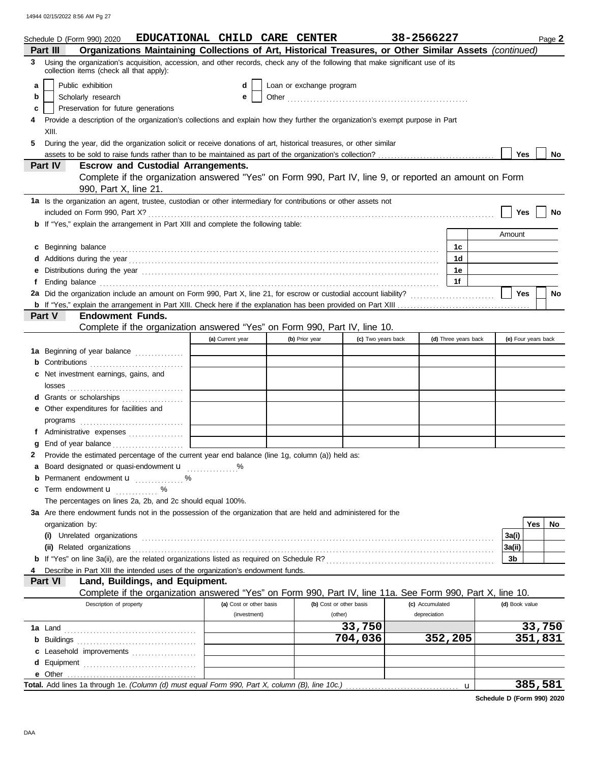|   | EDUCATIONAL CHILD CARE CENTER<br>Schedule D (Form 990) 2020                                                                                                                                                                          |                         |                          |                    | 38-2566227      |                      |   |                     |         | Page 2 |
|---|--------------------------------------------------------------------------------------------------------------------------------------------------------------------------------------------------------------------------------------|-------------------------|--------------------------|--------------------|-----------------|----------------------|---|---------------------|---------|--------|
|   | Organizations Maintaining Collections of Art, Historical Treasures, or Other Similar Assets (continued)<br>Part III                                                                                                                  |                         |                          |                    |                 |                      |   |                     |         |        |
| 3 | Using the organization's acquisition, accession, and other records, check any of the following that make significant use of its<br>collection items (check all that apply):                                                          |                         |                          |                    |                 |                      |   |                     |         |        |
| a | Public exhibition                                                                                                                                                                                                                    | d                       | Loan or exchange program |                    |                 |                      |   |                     |         |        |
| b | Scholarly research                                                                                                                                                                                                                   | е                       |                          |                    |                 |                      |   |                     |         |        |
| c | Preservation for future generations                                                                                                                                                                                                  |                         |                          |                    |                 |                      |   |                     |         |        |
|   | Provide a description of the organization's collections and explain how they further the organization's exempt purpose in Part                                                                                                       |                         |                          |                    |                 |                      |   |                     |         |        |
|   | XIII.                                                                                                                                                                                                                                |                         |                          |                    |                 |                      |   |                     |         |        |
| 5 | During the year, did the organization solicit or receive donations of art, historical treasures, or other similar                                                                                                                    |                         |                          |                    |                 |                      |   |                     |         |        |
|   |                                                                                                                                                                                                                                      |                         |                          |                    |                 |                      |   | Yes                 |         | No     |
|   | <b>Escrow and Custodial Arrangements.</b><br><b>Part IV</b>                                                                                                                                                                          |                         |                          |                    |                 |                      |   |                     |         |        |
|   | Complete if the organization answered "Yes" on Form 990, Part IV, line 9, or reported an amount on Form                                                                                                                              |                         |                          |                    |                 |                      |   |                     |         |        |
|   | 990, Part X, line 21.                                                                                                                                                                                                                |                         |                          |                    |                 |                      |   |                     |         |        |
|   | 1a Is the organization an agent, trustee, custodian or other intermediary for contributions or other assets not                                                                                                                      |                         |                          |                    |                 |                      |   |                     |         |        |
|   |                                                                                                                                                                                                                                      |                         |                          |                    |                 |                      |   | Yes                 |         | No     |
|   | <b>b</b> If "Yes," explain the arrangement in Part XIII and complete the following table:                                                                                                                                            |                         |                          |                    |                 |                      |   |                     |         |        |
|   |                                                                                                                                                                                                                                      |                         |                          |                    |                 |                      |   | Amount              |         |        |
|   |                                                                                                                                                                                                                                      |                         |                          |                    |                 | 1c                   |   |                     |         |        |
|   | c Beginning balance <b>contract the contract of the contract of the contract of the contract of the contract of the contract of the contract of the contract of the contract of the contract of the contract of the contract of </b> |                         |                          |                    |                 | 1d                   |   |                     |         |        |
|   |                                                                                                                                                                                                                                      |                         |                          |                    |                 | 1е                   |   |                     |         |        |
| е |                                                                                                                                                                                                                                      |                         |                          |                    |                 | 1f                   |   |                     |         |        |
| f | Ending balance <b>constructs</b> and constructs and constructs and constructs and constructs and constructs and constructs and constructs and constructs and constructs and constructs and constructs and constructs and constructs  |                         |                          |                    |                 |                      |   | Yes                 |         |        |
|   |                                                                                                                                                                                                                                      |                         |                          |                    |                 |                      |   |                     |         | No     |
|   | <b>Endowment Funds.</b><br><b>Part V</b>                                                                                                                                                                                             |                         |                          |                    |                 |                      |   |                     |         |        |
|   | Complete if the organization answered "Yes" on Form 990, Part IV, line 10.                                                                                                                                                           |                         |                          |                    |                 |                      |   |                     |         |        |
|   |                                                                                                                                                                                                                                      |                         |                          |                    |                 | (d) Three years back |   | (e) Four years back |         |        |
|   |                                                                                                                                                                                                                                      | (a) Current year        | (b) Prior year           | (c) Two years back |                 |                      |   |                     |         |        |
|   | 1a Beginning of year balance                                                                                                                                                                                                         |                         |                          |                    |                 |                      |   |                     |         |        |
|   | <b>b</b> Contributions <b>contributions</b>                                                                                                                                                                                          |                         |                          |                    |                 |                      |   |                     |         |        |
|   | c Net investment earnings, gains, and                                                                                                                                                                                                |                         |                          |                    |                 |                      |   |                     |         |        |
|   |                                                                                                                                                                                                                                      |                         |                          |                    |                 |                      |   |                     |         |        |
|   | d Grants or scholarships                                                                                                                                                                                                             |                         |                          |                    |                 |                      |   |                     |         |        |
|   | e Other expenditures for facilities and                                                                                                                                                                                              |                         |                          |                    |                 |                      |   |                     |         |        |
|   |                                                                                                                                                                                                                                      |                         |                          |                    |                 |                      |   |                     |         |        |
|   | f Administrative expenses                                                                                                                                                                                                            |                         |                          |                    |                 |                      |   |                     |         |        |
| g |                                                                                                                                                                                                                                      |                         |                          |                    |                 |                      |   |                     |         |        |
| 2 | Provide the estimated percentage of the current year end balance (line 1g, column (a)) held as:                                                                                                                                      |                         |                          |                    |                 |                      |   |                     |         |        |
|   | a Board designated or quasi-endowment u                                                                                                                                                                                              |                         |                          |                    |                 |                      |   |                     |         |        |
| b | Permanent endowment <b>u</b> %                                                                                                                                                                                                       |                         |                          |                    |                 |                      |   |                     |         |        |
|   | <b>c</b> Term endowment $\mathbf{u}$                                                                                                                                                                                                 |                         |                          |                    |                 |                      |   |                     |         |        |
|   | The percentages on lines 2a, 2b, and 2c should equal 100%.                                                                                                                                                                           |                         |                          |                    |                 |                      |   |                     |         |        |
|   | 3a Are there endowment funds not in the possession of the organization that are held and administered for the                                                                                                                        |                         |                          |                    |                 |                      |   |                     |         |        |
|   | organization by:                                                                                                                                                                                                                     |                         |                          |                    |                 |                      |   |                     | Yes     | No     |
|   |                                                                                                                                                                                                                                      |                         |                          |                    |                 |                      |   | 3a(i)               |         |        |
|   |                                                                                                                                                                                                                                      |                         |                          |                    |                 |                      |   | 3a(ii)              |         |        |
|   |                                                                                                                                                                                                                                      |                         |                          |                    |                 |                      |   | 3b                  |         |        |
|   | Describe in Part XIII the intended uses of the organization's endowment funds.                                                                                                                                                       |                         |                          |                    |                 |                      |   |                     |         |        |
|   | Land, Buildings, and Equipment.<br><b>Part VI</b>                                                                                                                                                                                    |                         |                          |                    |                 |                      |   |                     |         |        |
|   | Complete if the organization answered "Yes" on Form 990, Part IV, line 11a. See Form 990, Part X, line 10.                                                                                                                           |                         |                          |                    |                 |                      |   |                     |         |        |
|   | Description of property                                                                                                                                                                                                              | (a) Cost or other basis | (b) Cost or other basis  |                    | (c) Accumulated |                      |   | (d) Book value      |         |        |
|   |                                                                                                                                                                                                                                      | (investment)            | (other)                  |                    | depreciation    |                      |   |                     |         |        |
|   |                                                                                                                                                                                                                                      |                         |                          | 33,750             |                 |                      |   |                     | 33,750  |        |
|   |                                                                                                                                                                                                                                      |                         |                          | 704,036            |                 | 352,205              |   |                     | 351,831 |        |
|   | c Leasehold improvements                                                                                                                                                                                                             |                         |                          |                    |                 |                      |   |                     |         |        |
| d |                                                                                                                                                                                                                                      |                         |                          |                    |                 |                      |   |                     |         |        |
|   |                                                                                                                                                                                                                                      |                         |                          |                    |                 |                      |   |                     |         |        |
|   | Total. Add lines 1a through 1e. (Column (d) must equal Form 990, Part X, column (B), line 10c.)                                                                                                                                      |                         |                          |                    |                 |                      | u |                     | 385,581 |        |

**Schedule D (Form 990) 2020**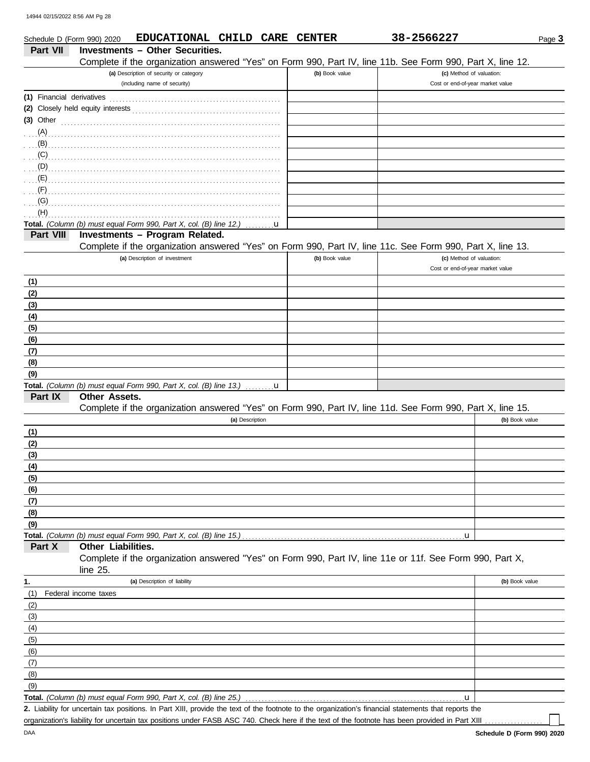|                             |                                                                                                                                                                                                                            |   |                | 38-2566227                                                   | Page 3         |
|-----------------------------|----------------------------------------------------------------------------------------------------------------------------------------------------------------------------------------------------------------------------|---|----------------|--------------------------------------------------------------|----------------|
| <b>Part VII</b>             | <b>Investments - Other Securities.</b>                                                                                                                                                                                     |   |                |                                                              |                |
|                             | Complete if the organization answered "Yes" on Form 990, Part IV, line 11b. See Form 990, Part X, line 12.                                                                                                                 |   |                |                                                              |                |
|                             | (a) Description of security or category<br>(including name of security)                                                                                                                                                    |   | (b) Book value | (c) Method of valuation:<br>Cost or end-of-year market value |                |
|                             |                                                                                                                                                                                                                            |   |                |                                                              |                |
| (1) Financial derivatives   |                                                                                                                                                                                                                            |   |                |                                                              |                |
|                             |                                                                                                                                                                                                                            |   |                |                                                              |                |
| $(3)$ Other                 |                                                                                                                                                                                                                            |   |                |                                                              |                |
| $(A)$                       |                                                                                                                                                                                                                            |   |                |                                                              |                |
| (C)                         | (B)                                                                                                                                                                                                                        |   |                |                                                              |                |
|                             |                                                                                                                                                                                                                            |   |                |                                                              |                |
|                             |                                                                                                                                                                                                                            |   |                |                                                              |                |
| (F)                         |                                                                                                                                                                                                                            |   |                |                                                              |                |
| (G)                         |                                                                                                                                                                                                                            |   |                |                                                              |                |
| (H)                         |                                                                                                                                                                                                                            |   |                |                                                              |                |
|                             | Total. (Column (b) must equal Form 990, Part X, col. (B) line 12.)                                                                                                                                                         | u |                |                                                              |                |
| Part VIII                   | Investments - Program Related.                                                                                                                                                                                             |   |                |                                                              |                |
|                             | Complete if the organization answered "Yes" on Form 990, Part IV, line 11c. See Form 990, Part X, line 13.                                                                                                                 |   |                |                                                              |                |
|                             | (a) Description of investment                                                                                                                                                                                              |   | (b) Book value | (c) Method of valuation:                                     |                |
|                             |                                                                                                                                                                                                                            |   |                | Cost or end-of-year market value                             |                |
| (1)                         |                                                                                                                                                                                                                            |   |                |                                                              |                |
| (2)                         |                                                                                                                                                                                                                            |   |                |                                                              |                |
| (3)                         |                                                                                                                                                                                                                            |   |                |                                                              |                |
| (4)                         |                                                                                                                                                                                                                            |   |                |                                                              |                |
| (5)                         |                                                                                                                                                                                                                            |   |                |                                                              |                |
| (6)                         |                                                                                                                                                                                                                            |   |                |                                                              |                |
| (7)                         |                                                                                                                                                                                                                            |   |                |                                                              |                |
| (8)                         |                                                                                                                                                                                                                            |   |                |                                                              |                |
| (9)                         |                                                                                                                                                                                                                            |   |                |                                                              |                |
| Part IX                     | Total. (Column (b) must equal Form 990, Part X, col. (B) line 13.)<br><b>Other Assets.</b>                                                                                                                                 |   |                |                                                              |                |
|                             | Complete if the organization answered "Yes" on Form 990, Part IV, line 11d. See Form 990, Part X, line 15.                                                                                                                 |   |                |                                                              |                |
|                             | (a) Description                                                                                                                                                                                                            |   |                |                                                              | (b) Book value |
| (1)                         |                                                                                                                                                                                                                            |   |                |                                                              |                |
| (2)                         |                                                                                                                                                                                                                            |   |                |                                                              |                |
| (3)                         |                                                                                                                                                                                                                            |   |                |                                                              |                |
| (4)                         |                                                                                                                                                                                                                            |   |                |                                                              |                |
| (5)                         |                                                                                                                                                                                                                            |   |                |                                                              |                |
| (6)                         |                                                                                                                                                                                                                            |   |                |                                                              |                |
| (7)                         |                                                                                                                                                                                                                            |   |                |                                                              |                |
| (8)                         |                                                                                                                                                                                                                            |   |                |                                                              |                |
| (9)                         |                                                                                                                                                                                                                            |   |                |                                                              |                |
|                             | Total. (Column (b) must equal Form 990, Part X, col. (B) line 15.)                                                                                                                                                         |   |                | u                                                            |                |
| Part X                      | Other Liabilities.                                                                                                                                                                                                         |   |                |                                                              |                |
|                             | Complete if the organization answered "Yes" on Form 990, Part IV, line 11e or 11f. See Form 990, Part X,<br>line $25$ .                                                                                                    |   |                |                                                              |                |
| 1.                          | (a) Description of liability                                                                                                                                                                                               |   |                |                                                              | (b) Book value |
| (1)<br>Federal income taxes |                                                                                                                                                                                                                            |   |                |                                                              |                |
| (2)                         |                                                                                                                                                                                                                            |   |                |                                                              |                |
| (3)                         |                                                                                                                                                                                                                            |   |                |                                                              |                |
| (4)                         |                                                                                                                                                                                                                            |   |                |                                                              |                |
| (5)                         |                                                                                                                                                                                                                            |   |                |                                                              |                |
| (6)                         |                                                                                                                                                                                                                            |   |                |                                                              |                |
| (7)                         |                                                                                                                                                                                                                            |   |                |                                                              |                |
| (8)                         |                                                                                                                                                                                                                            |   |                |                                                              |                |
| (9)                         |                                                                                                                                                                                                                            |   |                |                                                              |                |
|                             | Total. (Column (b) must equal Form 990, Part X, col. (B) line 25.)<br>2. Liability for uncertain tax positions. In Part XIII, provide the text of the footnote to the organization's financial statements that reports the |   |                | u                                                            |                |

organization's liability for uncertain tax positions under FASB ASC 740. Check here if the text of the footnote has been provided in Part XIII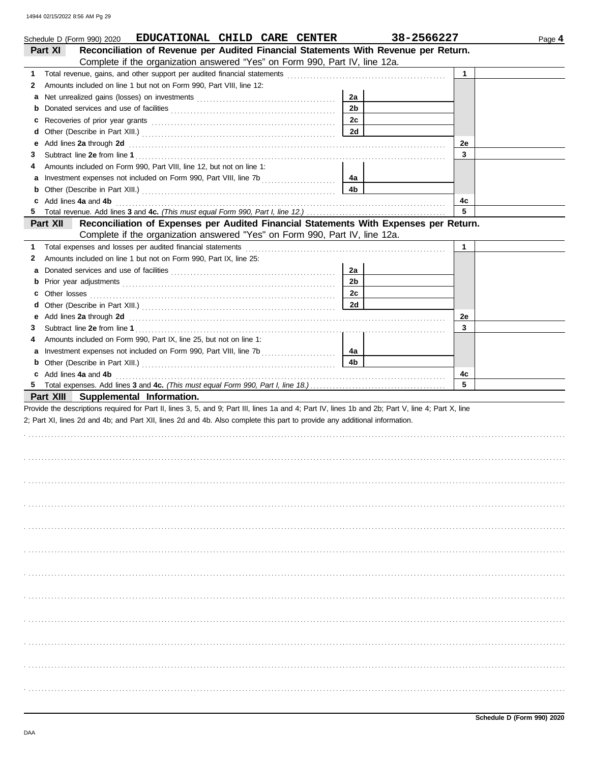|          | Schedule D (Form 990) 2020 EDUCATIONAL CHILD CARE CENTER                                                                                                                                                                                                                              |                | 38-2566227   | Page 4 |
|----------|---------------------------------------------------------------------------------------------------------------------------------------------------------------------------------------------------------------------------------------------------------------------------------------|----------------|--------------|--------|
| Part XI  | Reconciliation of Revenue per Audited Financial Statements With Revenue per Return.                                                                                                                                                                                                   |                |              |        |
|          | Complete if the organization answered "Yes" on Form 990, Part IV, line 12a.                                                                                                                                                                                                           |                |              |        |
| 1.       |                                                                                                                                                                                                                                                                                       |                | $\mathbf{1}$ |        |
| 2        | Amounts included on line 1 but not on Form 990, Part VIII, line 12:                                                                                                                                                                                                                   |                |              |        |
| а        |                                                                                                                                                                                                                                                                                       | 2a             |              |        |
| b        |                                                                                                                                                                                                                                                                                       | 2 <sub>b</sub> |              |        |
| c        |                                                                                                                                                                                                                                                                                       | 2c             |              |        |
| d        |                                                                                                                                                                                                                                                                                       | 2d             |              |        |
| е        | Add lines 2a through 2d <b>contained a contained a contained a contained a contained a contained a contained a contained a contained a contained a contained a contained a contained a contained a contained a contained a conta</b>                                                  |                | 2e           |        |
| З        |                                                                                                                                                                                                                                                                                       |                | 3            |        |
| 4        | Amounts included on Form 990, Part VIII, line 12, but not on line 1:                                                                                                                                                                                                                  |                |              |        |
|          |                                                                                                                                                                                                                                                                                       | 4a             |              |        |
| b        |                                                                                                                                                                                                                                                                                       | 4b             |              |        |
| c        | Add lines 4a and 4b <b>contract and 4b</b> and 4b and 200 minutes are the contract of the contract of the contract of the contract of the contract of the contract of the contract of the contract of the contract of the contract                                                    |                | 4c           |        |
| 5        |                                                                                                                                                                                                                                                                                       |                | 5            |        |
| Part XII | Reconciliation of Expenses per Audited Financial Statements With Expenses per Return.                                                                                                                                                                                                 |                |              |        |
|          | Complete if the organization answered "Yes" on Form 990, Part IV, line 12a.                                                                                                                                                                                                           |                |              |        |
| 1        |                                                                                                                                                                                                                                                                                       |                | $\mathbf{1}$ |        |
| 2        | Amounts included on line 1 but not on Form 990, Part IX, line 25:                                                                                                                                                                                                                     |                |              |        |
| а        |                                                                                                                                                                                                                                                                                       | 2a             |              |        |
| b        |                                                                                                                                                                                                                                                                                       | 2 <sub>b</sub> |              |        |
| c        |                                                                                                                                                                                                                                                                                       | 2c             |              |        |
| d        |                                                                                                                                                                                                                                                                                       | 2d             |              |        |
| е        | Add lines 2a through 2d [11] Additional Property and Property and Property and Property and Property and Property and Property and Property and Property and Property and Property and Property and Property and Property and                                                         |                | 2e           |        |
| 3.       |                                                                                                                                                                                                                                                                                       |                | 3            |        |
| 4        | Amounts included on Form 990, Part IX, line 25, but not on line 1:                                                                                                                                                                                                                    |                |              |        |
|          |                                                                                                                                                                                                                                                                                       | 4a             |              |        |
| b        |                                                                                                                                                                                                                                                                                       | 4b             |              |        |
|          | c Add lines 4a and 4b (a) and $\frac{1}{2}$ and $\frac{1}{2}$ and $\frac{1}{2}$ and $\frac{1}{2}$ and $\frac{1}{2}$ and $\frac{1}{2}$ and $\frac{1}{2}$ and $\frac{1}{2}$ and $\frac{1}{2}$ and $\frac{1}{2}$ and $\frac{1}{2}$ and $\frac{1}{2}$ and $\frac{1}{2}$ and $\frac{1}{2}$ |                | 4c<br>5      |        |
|          |                                                                                                                                                                                                                                                                                       |                |              |        |
|          | Part XIII Supplemental Information.                                                                                                                                                                                                                                                   |                |              |        |
|          | Provide the descriptions required for Part II, lines 3, 5, and 9; Part III, lines 1a and 4; Part IV, lines 1b and 2b; Part V, line 4; Part X, line                                                                                                                                    |                |              |        |
|          | 2; Part XI, lines 2d and 4b; and Part XII, lines 2d and 4b. Also complete this part to provide any additional information.                                                                                                                                                            |                |              |        |
|          |                                                                                                                                                                                                                                                                                       |                |              |        |
|          |                                                                                                                                                                                                                                                                                       |                |              |        |
|          |                                                                                                                                                                                                                                                                                       |                |              |        |
|          |                                                                                                                                                                                                                                                                                       |                |              |        |
|          |                                                                                                                                                                                                                                                                                       |                |              |        |
|          |                                                                                                                                                                                                                                                                                       |                |              |        |
|          |                                                                                                                                                                                                                                                                                       |                |              |        |
|          |                                                                                                                                                                                                                                                                                       |                |              |        |
|          |                                                                                                                                                                                                                                                                                       |                |              |        |
|          |                                                                                                                                                                                                                                                                                       |                |              |        |
|          |                                                                                                                                                                                                                                                                                       |                |              |        |
|          |                                                                                                                                                                                                                                                                                       |                |              |        |
|          |                                                                                                                                                                                                                                                                                       |                |              |        |
|          |                                                                                                                                                                                                                                                                                       |                |              |        |
|          |                                                                                                                                                                                                                                                                                       |                |              |        |
|          |                                                                                                                                                                                                                                                                                       |                |              |        |
|          |                                                                                                                                                                                                                                                                                       |                |              |        |
|          |                                                                                                                                                                                                                                                                                       |                |              |        |
|          |                                                                                                                                                                                                                                                                                       |                |              |        |
|          |                                                                                                                                                                                                                                                                                       |                |              |        |
|          |                                                                                                                                                                                                                                                                                       |                |              |        |
|          |                                                                                                                                                                                                                                                                                       |                |              |        |
|          |                                                                                                                                                                                                                                                                                       |                |              |        |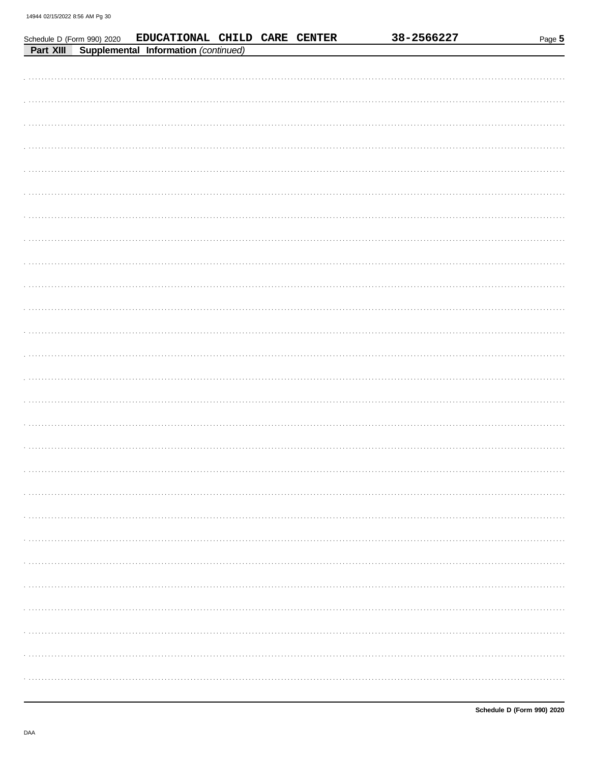|  | Schedule D (Form 990) 2020 EDUCATIONAL CHILD CARE CENTER<br>Part XIII Supplemental Information (continued) |  | 38-2566227 | Page 5 |
|--|------------------------------------------------------------------------------------------------------------|--|------------|--------|
|  |                                                                                                            |  |            |        |
|  |                                                                                                            |  |            |        |
|  |                                                                                                            |  |            |        |
|  |                                                                                                            |  |            |        |
|  |                                                                                                            |  |            |        |
|  |                                                                                                            |  |            |        |
|  |                                                                                                            |  |            |        |
|  |                                                                                                            |  |            |        |
|  |                                                                                                            |  |            |        |
|  |                                                                                                            |  |            |        |
|  |                                                                                                            |  |            |        |
|  |                                                                                                            |  |            |        |
|  |                                                                                                            |  |            |        |
|  |                                                                                                            |  |            |        |
|  |                                                                                                            |  |            |        |
|  |                                                                                                            |  |            |        |
|  |                                                                                                            |  |            |        |
|  |                                                                                                            |  |            |        |
|  |                                                                                                            |  |            |        |
|  |                                                                                                            |  |            |        |
|  |                                                                                                            |  |            |        |
|  |                                                                                                            |  |            |        |
|  |                                                                                                            |  |            |        |
|  |                                                                                                            |  |            |        |
|  |                                                                                                            |  |            |        |
|  |                                                                                                            |  |            |        |
|  |                                                                                                            |  |            |        |
|  |                                                                                                            |  |            |        |
|  |                                                                                                            |  |            |        |
|  |                                                                                                            |  |            |        |
|  |                                                                                                            |  |            |        |
|  |                                                                                                            |  |            |        |
|  |                                                                                                            |  |            |        |
|  |                                                                                                            |  |            |        |
|  |                                                                                                            |  |            |        |
|  |                                                                                                            |  |            |        |
|  |                                                                                                            |  |            |        |
|  |                                                                                                            |  |            | .      |
|  |                                                                                                            |  |            |        |
|  |                                                                                                            |  |            |        |

| $\sim$ |
|--------|
|        |
|        |
|        |
|        |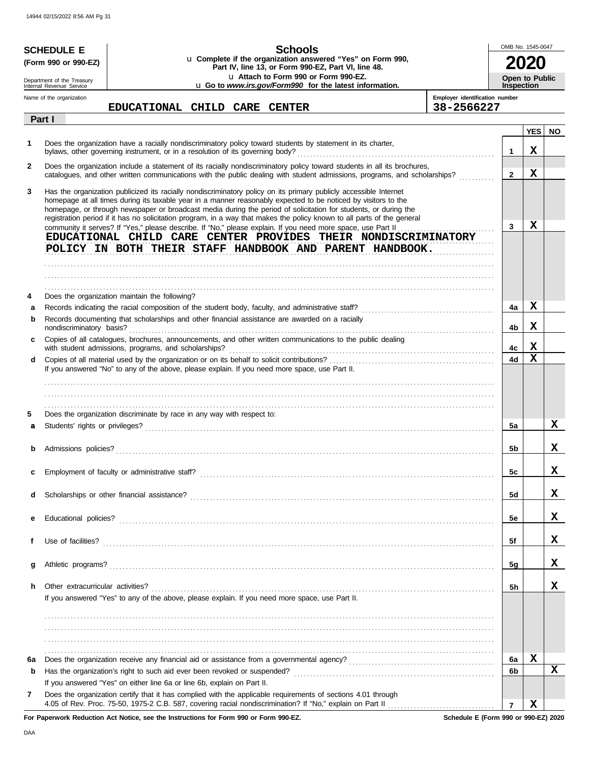|              | <b>SCHEDULE E</b>                                    | Schools                                                                                                                                                                                                                                                                                                                                                                                                                                                                           |                                | OMB No. 1545-0047     |            |             |
|--------------|------------------------------------------------------|-----------------------------------------------------------------------------------------------------------------------------------------------------------------------------------------------------------------------------------------------------------------------------------------------------------------------------------------------------------------------------------------------------------------------------------------------------------------------------------|--------------------------------|-----------------------|------------|-------------|
|              | (Form 990 or 990-EZ)                                 | u Complete if the organization answered "Yes" on Form 990,<br>Part IV, line 13, or Form 990-EZ, Part VI, line 48.                                                                                                                                                                                                                                                                                                                                                                 |                                |                       |            |             |
|              | Department of the Treasury                           | La Attach to Form 990 or Form 990-EZ.                                                                                                                                                                                                                                                                                                                                                                                                                                             |                                | <b>Open to Public</b> |            |             |
|              | Internal Revenue Service<br>Name of the organization | u Go to www.irs.gov/Form990 for the latest information.                                                                                                                                                                                                                                                                                                                                                                                                                           | Employer identification number | <b>Inspection</b>     |            |             |
|              |                                                      | EDUCATIONAL CHILD CARE CENTER                                                                                                                                                                                                                                                                                                                                                                                                                                                     | 38-2566227                     |                       |            |             |
|              | Part I                                               |                                                                                                                                                                                                                                                                                                                                                                                                                                                                                   |                                |                       | <b>YES</b> | <b>NO</b>   |
| 1            |                                                      | Does the organization have a racially nondiscriminatory policy toward students by statement in its charter,<br>bylaws, other governing instrument, or in a resolution of its governing body?                                                                                                                                                                                                                                                                                      |                                | $\mathbf{1}$          | x          |             |
| $\mathbf{2}$ |                                                      | Does the organization include a statement of its racially nondiscriminatory policy toward students in all its brochures,<br>catalogues, and other written communications with the public dealing with student admissions, programs, and scholarships?                                                                                                                                                                                                                             |                                | $\mathbf{2}$          | x          |             |
| 3            |                                                      | Has the organization publicized its racially nondiscriminatory policy on its primary publicly accessible Internet<br>homepage at all times during its taxable year in a manner reasonably expected to be noticed by visitors to the<br>homepage, or through newspaper or broadcast media during the period of solicitation for students, or during the<br>registration period if it has no solicitation program, in a way that makes the policy known to all parts of the general |                                |                       |            |             |
|              |                                                      | community it serves? If "Yes," please describe. If "No," please explain. If you need more space, use Part II<br>EDUCATIONAL CHILD CARE CENTER PROVIDES THEIR NONDISCRIMINATORY<br>POLICY IN BOTH THEIR STAFF HANDBOOK AND PARENT HANDBOOK.                                                                                                                                                                                                                                        |                                | 3                     | x          |             |
|              |                                                      |                                                                                                                                                                                                                                                                                                                                                                                                                                                                                   |                                |                       |            |             |
| 4            |                                                      | Does the organization maintain the following?                                                                                                                                                                                                                                                                                                                                                                                                                                     |                                |                       |            |             |
| a<br>b       |                                                      | Records documenting that scholarships and other financial assistance are awarded on a racially                                                                                                                                                                                                                                                                                                                                                                                    |                                | 4a<br>4b              | х<br>X     |             |
| C            |                                                      | Copies of all catalogues, brochures, announcements, and other written communications to the public dealing<br>with student admissions, programs, and scholarships?                                                                                                                                                                                                                                                                                                                |                                | 4c                    | х          |             |
| d            |                                                      | If you answered "No" to any of the above, please explain. If you need more space, use Part II.                                                                                                                                                                                                                                                                                                                                                                                    |                                | 4d                    | X          |             |
|              |                                                      |                                                                                                                                                                                                                                                                                                                                                                                                                                                                                   |                                |                       |            |             |
| 5<br>a       |                                                      | Does the organization discriminate by race in any way with respect to:                                                                                                                                                                                                                                                                                                                                                                                                            |                                | 5a                    |            | x           |
|              | Admissions policies?                                 |                                                                                                                                                                                                                                                                                                                                                                                                                                                                                   |                                | 5b                    |            | x           |
|              |                                                      |                                                                                                                                                                                                                                                                                                                                                                                                                                                                                   |                                | 5c                    |            | X           |
| d            |                                                      |                                                                                                                                                                                                                                                                                                                                                                                                                                                                                   |                                | 5d                    |            | X           |
| е            |                                                      |                                                                                                                                                                                                                                                                                                                                                                                                                                                                                   |                                | 5e                    |            | X           |
| f            |                                                      |                                                                                                                                                                                                                                                                                                                                                                                                                                                                                   |                                | 5f                    |            | X           |
| g            |                                                      |                                                                                                                                                                                                                                                                                                                                                                                                                                                                                   |                                | 5g                    |            | x           |
| h.           | Other extracurricular activities?                    | If you answered "Yes" to any of the above, please explain. If you need more space, use Part II.                                                                                                                                                                                                                                                                                                                                                                                   |                                | 5h                    |            | x           |
|              |                                                      |                                                                                                                                                                                                                                                                                                                                                                                                                                                                                   |                                |                       |            |             |
| 6а           |                                                      |                                                                                                                                                                                                                                                                                                                                                                                                                                                                                   |                                | 6a                    | X          |             |
| b            |                                                      |                                                                                                                                                                                                                                                                                                                                                                                                                                                                                   |                                | 6b                    |            | $\mathbf x$ |
|              |                                                      | If you answered "Yes" on either line 6a or line 6b, explain on Part II.                                                                                                                                                                                                                                                                                                                                                                                                           |                                |                       |            |             |
| 7            |                                                      | Does the organization certify that it has complied with the applicable requirements of sections 4.01 through                                                                                                                                                                                                                                                                                                                                                                      |                                | $\overline{7}$        | x          |             |

**For Paperwork Reduction Act Notice, see the Instructions for Form 990 or Form 990-EZ.**

**Schedule E (Form 990 or 990-EZ) 2020**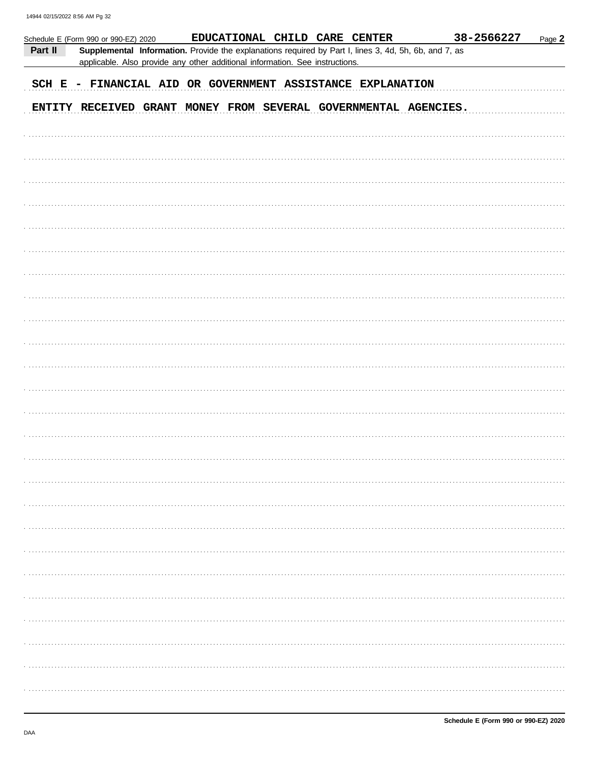|         | Schedule E (Form 990 or 990-EZ) 2020 |  | EDUCATIONAL CHILD CARE CENTER                                                                                                                                                         |  | 38-2566227 | Page 2 |
|---------|--------------------------------------|--|---------------------------------------------------------------------------------------------------------------------------------------------------------------------------------------|--|------------|--------|
| Part II |                                      |  | Supplemental Information. Provide the explanations required by Part I, lines 3, 4d, 5h, 6b, and 7, as<br>applicable. Also provide any other additional information. See instructions. |  |            |        |
|         |                                      |  | SCH E - FINANCIAL AID OR GOVERNMENT ASSISTANCE EXPLANATION                                                                                                                            |  |            |        |
|         |                                      |  | ENTITY RECEIVED GRANT MONEY FROM SEVERAL GOVERNMENTAL AGENCIES.                                                                                                                       |  |            |        |
|         |                                      |  |                                                                                                                                                                                       |  |            |        |
|         |                                      |  |                                                                                                                                                                                       |  |            |        |
|         |                                      |  |                                                                                                                                                                                       |  |            |        |
|         |                                      |  |                                                                                                                                                                                       |  |            |        |
|         |                                      |  |                                                                                                                                                                                       |  |            |        |
|         |                                      |  |                                                                                                                                                                                       |  |            |        |
|         |                                      |  |                                                                                                                                                                                       |  |            |        |
|         |                                      |  |                                                                                                                                                                                       |  |            |        |
|         |                                      |  |                                                                                                                                                                                       |  |            |        |
|         |                                      |  |                                                                                                                                                                                       |  |            |        |
|         |                                      |  |                                                                                                                                                                                       |  |            |        |
|         |                                      |  |                                                                                                                                                                                       |  |            |        |
|         |                                      |  |                                                                                                                                                                                       |  |            |        |
|         |                                      |  |                                                                                                                                                                                       |  |            |        |
|         |                                      |  |                                                                                                                                                                                       |  |            |        |
|         |                                      |  |                                                                                                                                                                                       |  |            |        |
|         |                                      |  |                                                                                                                                                                                       |  |            |        |
|         |                                      |  |                                                                                                                                                                                       |  |            |        |
|         |                                      |  |                                                                                                                                                                                       |  |            |        |
|         |                                      |  |                                                                                                                                                                                       |  |            |        |
|         |                                      |  |                                                                                                                                                                                       |  |            |        |
|         |                                      |  |                                                                                                                                                                                       |  |            |        |
|         |                                      |  |                                                                                                                                                                                       |  |            |        |
|         |                                      |  |                                                                                                                                                                                       |  |            |        |
|         |                                      |  |                                                                                                                                                                                       |  |            |        |
|         |                                      |  |                                                                                                                                                                                       |  |            |        |
|         |                                      |  |                                                                                                                                                                                       |  |            |        |
|         |                                      |  |                                                                                                                                                                                       |  |            |        |
|         |                                      |  |                                                                                                                                                                                       |  |            |        |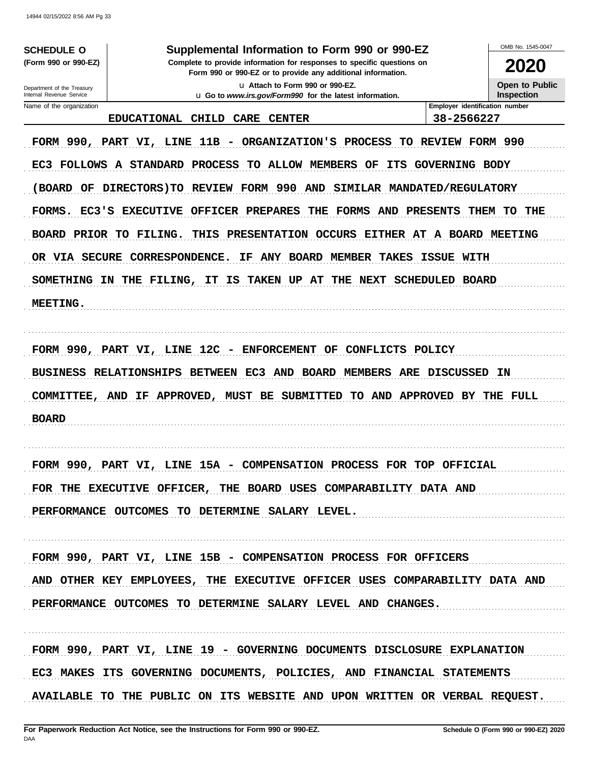**SCHEDULE O** (Form 990 or 990-EZ)

### Supplemental Information to Form 990 or 990-EZ

Complete to provide information for responses to specific questions on Form 990 or 990-EZ or to provide any additional information. u Attach to Form 990 or 990-EZ.

u Go to www.irs.gov/Form990 for the latest information.

2020

OMB No 1545-0047

Open to Public Inspection

### Department of the Treasury Internal Revenue Service Name of the organization

### EDUCATIONAL CHILD CARE CENTER

Employer identification number 38-2566227

FORM 990, PART VI, LINE 11B - ORGANIZATION'S PROCESS TO REVIEW FORM 990 EC3 FOLLOWS A STANDARD PROCESS TO ALLOW MEMBERS OF ITS GOVERNING BODY (BOARD OF DIRECTORS) TO REVIEW FORM 990 AND SIMILAR MANDATED/REGULATORY FORMS. EC3'S EXECUTIVE OFFICER PREPARES THE FORMS AND PRESENTS THEM TO THE BOARD PRIOR TO FILING. THIS PRESENTATION OCCURS EITHER AT A BOARD MEETING OR VIA SECURE CORRESPONDENCE. IF ANY BOARD MEMBER TAKES ISSUE WITH SOMETHING IN THE FILING, IT IS TAKEN UP AT THE NEXT SCHEDULED BOARD MEETING.

FORM 990, PART VI, LINE 12C - ENFORCEMENT OF CONFLICTS POLICY BUSINESS RELATIONSHIPS BETWEEN EC3 AND BOARD MEMBERS ARE DISCUSSED IN COMMITTEE, AND IF APPROVED, MUST BE SUBMITTED TO AND APPROVED BY THE FULL **BOARD** 

FORM 990, PART VI, LINE 15A - COMPENSATION PROCESS FOR TOP OFFICIAL FOR THE EXECUTIVE OFFICER, THE BOARD USES COMPARABILITY DATA AND PERFORMANCE OUTCOMES TO DETERMINE SALARY LEVEL.

FORM 990, PART VI, LINE 15B - COMPENSATION PROCESS FOR OFFICERS AND OTHER KEY EMPLOYEES, THE EXECUTIVE OFFICER USES COMPARABILITY DATA AND PERFORMANCE OUTCOMES TO DETERMINE SALARY LEVEL AND CHANGES.

FORM 990, PART VI, LINE 19 - GOVERNING DOCUMENTS DISCLOSURE EXPLANATION EC3 MAKES ITS GOVERNING DOCUMENTS, POLICIES, AND FINANCIAL STATEMENTS AVAILABLE TO THE PUBLIC ON ITS WEBSITE AND UPON WRITTEN OR VERBAL REQUEST.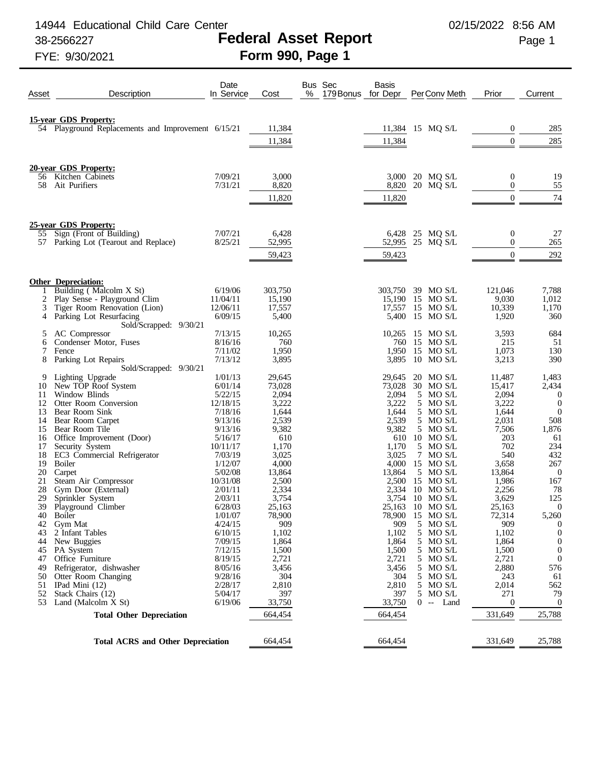14944 Educational Child Care Center 02/15/2022 8:56 AM

## 38-2566227 **Federal Asset Report** Page 1

FYE: 9/30/2021 **Form 990, Page 1**

| <b>15-year GDS Property:</b><br>54 Playground Replacements and Improvement 6/15/21<br>285<br>11,384<br>11,384 15 MQ S/L<br>0<br>285<br>$\overline{0}$<br>11,384<br>11,384<br>20-year GDS Property:<br>7/09/21<br>3,000<br>3,000 20 MQ S/L<br>0<br>19<br>56 Kitchen Cabinets<br>55<br>58<br>Ait Purifiers<br>7/31/21<br>8,820<br>20 MQ S/L<br>$\theta$<br>8,820<br>74<br>11,820<br>$\overline{0}$<br>11,820<br>25-year GDS Property:<br>55 Sign (Front of Building)<br>7/07/21<br>6,428<br>25 MQ S/L<br>0<br>27<br>6,428<br>8/25/21<br>57 Parking Lot (Tearout and Replace)<br>52,995<br>52,995<br>25 MQ S/L<br>$\theta$<br>265<br>$\mathbf{0}$<br>292<br>59,423<br>59,423<br><b>Other Depreciation:</b><br>Building (Malcolm X St)<br>6/19/06<br>303,750<br>303,750 39 MO S/L<br>121,046<br>7,788<br>1<br>2<br>Play Sense - Playground Clim<br>9,030<br>11/04/11<br>15,190<br>1,012<br>15.190 15 MO S/L<br>3<br>Tiger Room Renovation (Lion)<br>17,557<br>17,557 15 MO S/L<br>1,170<br>12/06/11<br>10,339<br>Parking Lot Resurfacing<br>6/09/15<br>15 MO S/L<br>360<br>4<br>5,400<br>5,400<br>1,920<br>Sold/Scrapped: 9/30/21<br>AC Compressor<br>7/13/15<br>10,265<br>15 MO S/L<br>684<br>5<br>10,265<br>3,593<br>Condenser Motor, Fuses<br>8/16/16<br>760<br>760 15 MO S/L<br>215<br>51<br>6<br>7/11/02<br>7<br>1,950<br>1,950<br>15 MO S/L<br>1,073<br>130<br>Fence<br>390<br>8<br>Parking Lot Repairs<br>7/13/12<br>3,895<br>$10$ MO S/L<br>3,213<br>3,895<br>Sold/Scrapped: 9/30/21<br>Lighting Upgrade<br>1/01/13<br>29,645<br>20 MO S/L<br>1,483<br>9<br>29,645<br>11,487<br>10<br>New TOP Roof System<br>6/01/14<br>73,028<br>73,028<br>2,434<br>30 MO S/L<br>15,417<br>Window Blinds<br>5/22/15<br>2,094<br>2,094<br>5 MO S/L<br>2,094<br>11<br>$\theta$<br>3,222<br>3,222<br>5 MO S/L<br>12<br>12/18/15<br>3,222<br>$\mathbf{0}$<br>Otter Room Conversion<br>1,644<br>13<br>Bear Room Sink<br>7/18/16<br>1,644<br>5 MO S/L<br>1,644<br>$\mathbf{0}$<br>2,539<br>2,539<br>14<br>9/13/16<br>5 MO S/L<br>2,031<br>508<br>Bear Room Carpet<br>1,876<br>15<br>9/13/16<br>9,382<br>9,382<br>5 MO S/L<br>7,506<br>Bear Room Tile<br>Office Improvement (Door)<br>5/16/17<br>610<br>610<br>10 MO S/L<br>61<br>16<br>203<br>234<br>17<br>10/11/17<br>1,170<br>1,170<br>5 MO S/L<br>702<br>Security System<br>18<br>EC3 Commercial Refrigerator<br>7/03/19<br>3,025<br>3,025<br>7 MO S/L<br>540<br>432<br>19<br>Boiler<br>1/12/07<br>4,000<br>4,000<br>15 MO S/L<br>3,658<br>267<br>20<br>Carpet<br>5/02/08<br>13,864<br>13,864<br>5 MO S/L<br>13,864<br>$\overline{0}$<br>21<br>Steam Air Compressor<br>10/31/08<br>2,500<br>2,500<br>15 MO S/L<br>1,986<br>167<br>78<br>28<br>Gym Door (External)<br>2,334<br>2,256<br>2/01/11<br>2,334<br>$10$ MO S/L<br>29<br>125<br>3,754<br>3,754 10 MO S/L<br>3,629<br>Sprinkler System<br>2/03/11<br>39 Playground Climber<br>$\overline{0}$<br>6/28/03<br>25,163<br>25,163 10 MO S/L<br>25,163<br>78,900<br>78,900 15 MO S/L<br>72,314<br>5,260<br>40<br>Boiler<br>1/01/07<br>42<br>Gym Mat<br>4/24/15<br>909<br>909<br>5 MO S/L<br>909<br>$\theta$<br>2 Infant Tables<br>6/10/15<br>1,102<br>1,102<br>5 MO S/L<br>43<br>1,102<br>$\boldsymbol{0}$<br>7/09/15<br>1,864<br>1,864<br>5 MO S/L<br>1,864<br>$\boldsymbol{0}$<br>44<br>New Buggies<br>7/12/15<br>1,500<br>1,500<br>5 MO S/L<br>1,500<br>$\boldsymbol{0}$<br>45<br>PA System<br>8/19/15<br>5 MO S/L<br>47<br>Office Furniture<br>2,721<br>2,721<br>2,721<br>$\boldsymbol{0}$<br>576<br>Refrigerator, dishwasher<br>8/05/16<br>3,456<br>3,456<br>5 MO S/L<br>49<br>2,880<br>5 MO S/L<br>9/28/16<br>304<br>304<br>61<br>50<br>Otter Room Changing<br>243<br>2/28/17<br>2,810<br>2,810<br>5 MO S/L<br>2,014<br>562<br>51<br>IPad Mini $(12)$<br>5/04/17<br>397<br>5 MO S/L<br>79<br>52<br>Stack Chairs (12)<br>397<br>271<br>53<br>Land (Malcolm X St)<br>6/19/06<br>33,750<br>33,750<br>$\mathbf{0}$<br>$0 -$ Land<br>0<br><b>Total Other Depreciation</b><br>664,454<br>331,649<br>25,788<br>664,454<br><b>Total ACRS and Other Depreciation</b><br>664,454<br>331,649<br>25,788<br>664,454 | Asset | Description | Date<br>In Service | Cost | Bus Sec<br>%<br>179 Bonus | Basis<br>for Depr | PerConv Meth | Prior | Current |
|-----------------------------------------------------------------------------------------------------------------------------------------------------------------------------------------------------------------------------------------------------------------------------------------------------------------------------------------------------------------------------------------------------------------------------------------------------------------------------------------------------------------------------------------------------------------------------------------------------------------------------------------------------------------------------------------------------------------------------------------------------------------------------------------------------------------------------------------------------------------------------------------------------------------------------------------------------------------------------------------------------------------------------------------------------------------------------------------------------------------------------------------------------------------------------------------------------------------------------------------------------------------------------------------------------------------------------------------------------------------------------------------------------------------------------------------------------------------------------------------------------------------------------------------------------------------------------------------------------------------------------------------------------------------------------------------------------------------------------------------------------------------------------------------------------------------------------------------------------------------------------------------------------------------------------------------------------------------------------------------------------------------------------------------------------------------------------------------------------------------------------------------------------------------------------------------------------------------------------------------------------------------------------------------------------------------------------------------------------------------------------------------------------------------------------------------------------------------------------------------------------------------------------------------------------------------------------------------------------------------------------------------------------------------------------------------------------------------------------------------------------------------------------------------------------------------------------------------------------------------------------------------------------------------------------------------------------------------------------------------------------------------------------------------------------------------------------------------------------------------------------------------------------------------------------------------------------------------------------------------------------------------------------------------------------------------------------------------------------------------------------------------------------------------------------------------------------------------------------------------------------------------------------------------------------------------------------------------------------------------------------------------------------------------------------------------------------------------------------------------------------------------------------------------------------------------------------------------------------------------------------------------------------------------------------------------------------------------------------------------------------------------------------------------------------------------------------------------------|-------|-------------|--------------------|------|---------------------------|-------------------|--------------|-------|---------|
|                                                                                                                                                                                                                                                                                                                                                                                                                                                                                                                                                                                                                                                                                                                                                                                                                                                                                                                                                                                                                                                                                                                                                                                                                                                                                                                                                                                                                                                                                                                                                                                                                                                                                                                                                                                                                                                                                                                                                                                                                                                                                                                                                                                                                                                                                                                                                                                                                                                                                                                                                                                                                                                                                                                                                                                                                                                                                                                                                                                                                                                                                                                                                                                                                                                                                                                                                                                                                                                                                                                                                                                                                                                                                                                                                                                                                                                                                                                                                                                                                                                                                               |       |             |                    |      |                           |                   |              |       |         |
|                                                                                                                                                                                                                                                                                                                                                                                                                                                                                                                                                                                                                                                                                                                                                                                                                                                                                                                                                                                                                                                                                                                                                                                                                                                                                                                                                                                                                                                                                                                                                                                                                                                                                                                                                                                                                                                                                                                                                                                                                                                                                                                                                                                                                                                                                                                                                                                                                                                                                                                                                                                                                                                                                                                                                                                                                                                                                                                                                                                                                                                                                                                                                                                                                                                                                                                                                                                                                                                                                                                                                                                                                                                                                                                                                                                                                                                                                                                                                                                                                                                                                               |       |             |                    |      |                           |                   |              |       |         |
|                                                                                                                                                                                                                                                                                                                                                                                                                                                                                                                                                                                                                                                                                                                                                                                                                                                                                                                                                                                                                                                                                                                                                                                                                                                                                                                                                                                                                                                                                                                                                                                                                                                                                                                                                                                                                                                                                                                                                                                                                                                                                                                                                                                                                                                                                                                                                                                                                                                                                                                                                                                                                                                                                                                                                                                                                                                                                                                                                                                                                                                                                                                                                                                                                                                                                                                                                                                                                                                                                                                                                                                                                                                                                                                                                                                                                                                                                                                                                                                                                                                                                               |       |             |                    |      |                           |                   |              |       |         |
|                                                                                                                                                                                                                                                                                                                                                                                                                                                                                                                                                                                                                                                                                                                                                                                                                                                                                                                                                                                                                                                                                                                                                                                                                                                                                                                                                                                                                                                                                                                                                                                                                                                                                                                                                                                                                                                                                                                                                                                                                                                                                                                                                                                                                                                                                                                                                                                                                                                                                                                                                                                                                                                                                                                                                                                                                                                                                                                                                                                                                                                                                                                                                                                                                                                                                                                                                                                                                                                                                                                                                                                                                                                                                                                                                                                                                                                                                                                                                                                                                                                                                               |       |             |                    |      |                           |                   |              |       |         |
|                                                                                                                                                                                                                                                                                                                                                                                                                                                                                                                                                                                                                                                                                                                                                                                                                                                                                                                                                                                                                                                                                                                                                                                                                                                                                                                                                                                                                                                                                                                                                                                                                                                                                                                                                                                                                                                                                                                                                                                                                                                                                                                                                                                                                                                                                                                                                                                                                                                                                                                                                                                                                                                                                                                                                                                                                                                                                                                                                                                                                                                                                                                                                                                                                                                                                                                                                                                                                                                                                                                                                                                                                                                                                                                                                                                                                                                                                                                                                                                                                                                                                               |       |             |                    |      |                           |                   |              |       |         |
|                                                                                                                                                                                                                                                                                                                                                                                                                                                                                                                                                                                                                                                                                                                                                                                                                                                                                                                                                                                                                                                                                                                                                                                                                                                                                                                                                                                                                                                                                                                                                                                                                                                                                                                                                                                                                                                                                                                                                                                                                                                                                                                                                                                                                                                                                                                                                                                                                                                                                                                                                                                                                                                                                                                                                                                                                                                                                                                                                                                                                                                                                                                                                                                                                                                                                                                                                                                                                                                                                                                                                                                                                                                                                                                                                                                                                                                                                                                                                                                                                                                                                               |       |             |                    |      |                           |                   |              |       |         |
|                                                                                                                                                                                                                                                                                                                                                                                                                                                                                                                                                                                                                                                                                                                                                                                                                                                                                                                                                                                                                                                                                                                                                                                                                                                                                                                                                                                                                                                                                                                                                                                                                                                                                                                                                                                                                                                                                                                                                                                                                                                                                                                                                                                                                                                                                                                                                                                                                                                                                                                                                                                                                                                                                                                                                                                                                                                                                                                                                                                                                                                                                                                                                                                                                                                                                                                                                                                                                                                                                                                                                                                                                                                                                                                                                                                                                                                                                                                                                                                                                                                                                               |       |             |                    |      |                           |                   |              |       |         |
|                                                                                                                                                                                                                                                                                                                                                                                                                                                                                                                                                                                                                                                                                                                                                                                                                                                                                                                                                                                                                                                                                                                                                                                                                                                                                                                                                                                                                                                                                                                                                                                                                                                                                                                                                                                                                                                                                                                                                                                                                                                                                                                                                                                                                                                                                                                                                                                                                                                                                                                                                                                                                                                                                                                                                                                                                                                                                                                                                                                                                                                                                                                                                                                                                                                                                                                                                                                                                                                                                                                                                                                                                                                                                                                                                                                                                                                                                                                                                                                                                                                                                               |       |             |                    |      |                           |                   |              |       |         |
|                                                                                                                                                                                                                                                                                                                                                                                                                                                                                                                                                                                                                                                                                                                                                                                                                                                                                                                                                                                                                                                                                                                                                                                                                                                                                                                                                                                                                                                                                                                                                                                                                                                                                                                                                                                                                                                                                                                                                                                                                                                                                                                                                                                                                                                                                                                                                                                                                                                                                                                                                                                                                                                                                                                                                                                                                                                                                                                                                                                                                                                                                                                                                                                                                                                                                                                                                                                                                                                                                                                                                                                                                                                                                                                                                                                                                                                                                                                                                                                                                                                                                               |       |             |                    |      |                           |                   |              |       |         |
|                                                                                                                                                                                                                                                                                                                                                                                                                                                                                                                                                                                                                                                                                                                                                                                                                                                                                                                                                                                                                                                                                                                                                                                                                                                                                                                                                                                                                                                                                                                                                                                                                                                                                                                                                                                                                                                                                                                                                                                                                                                                                                                                                                                                                                                                                                                                                                                                                                                                                                                                                                                                                                                                                                                                                                                                                                                                                                                                                                                                                                                                                                                                                                                                                                                                                                                                                                                                                                                                                                                                                                                                                                                                                                                                                                                                                                                                                                                                                                                                                                                                                               |       |             |                    |      |                           |                   |              |       |         |
|                                                                                                                                                                                                                                                                                                                                                                                                                                                                                                                                                                                                                                                                                                                                                                                                                                                                                                                                                                                                                                                                                                                                                                                                                                                                                                                                                                                                                                                                                                                                                                                                                                                                                                                                                                                                                                                                                                                                                                                                                                                                                                                                                                                                                                                                                                                                                                                                                                                                                                                                                                                                                                                                                                                                                                                                                                                                                                                                                                                                                                                                                                                                                                                                                                                                                                                                                                                                                                                                                                                                                                                                                                                                                                                                                                                                                                                                                                                                                                                                                                                                                               |       |             |                    |      |                           |                   |              |       |         |
|                                                                                                                                                                                                                                                                                                                                                                                                                                                                                                                                                                                                                                                                                                                                                                                                                                                                                                                                                                                                                                                                                                                                                                                                                                                                                                                                                                                                                                                                                                                                                                                                                                                                                                                                                                                                                                                                                                                                                                                                                                                                                                                                                                                                                                                                                                                                                                                                                                                                                                                                                                                                                                                                                                                                                                                                                                                                                                                                                                                                                                                                                                                                                                                                                                                                                                                                                                                                                                                                                                                                                                                                                                                                                                                                                                                                                                                                                                                                                                                                                                                                                               |       |             |                    |      |                           |                   |              |       |         |
|                                                                                                                                                                                                                                                                                                                                                                                                                                                                                                                                                                                                                                                                                                                                                                                                                                                                                                                                                                                                                                                                                                                                                                                                                                                                                                                                                                                                                                                                                                                                                                                                                                                                                                                                                                                                                                                                                                                                                                                                                                                                                                                                                                                                                                                                                                                                                                                                                                                                                                                                                                                                                                                                                                                                                                                                                                                                                                                                                                                                                                                                                                                                                                                                                                                                                                                                                                                                                                                                                                                                                                                                                                                                                                                                                                                                                                                                                                                                                                                                                                                                                               |       |             |                    |      |                           |                   |              |       |         |
|                                                                                                                                                                                                                                                                                                                                                                                                                                                                                                                                                                                                                                                                                                                                                                                                                                                                                                                                                                                                                                                                                                                                                                                                                                                                                                                                                                                                                                                                                                                                                                                                                                                                                                                                                                                                                                                                                                                                                                                                                                                                                                                                                                                                                                                                                                                                                                                                                                                                                                                                                                                                                                                                                                                                                                                                                                                                                                                                                                                                                                                                                                                                                                                                                                                                                                                                                                                                                                                                                                                                                                                                                                                                                                                                                                                                                                                                                                                                                                                                                                                                                               |       |             |                    |      |                           |                   |              |       |         |
|                                                                                                                                                                                                                                                                                                                                                                                                                                                                                                                                                                                                                                                                                                                                                                                                                                                                                                                                                                                                                                                                                                                                                                                                                                                                                                                                                                                                                                                                                                                                                                                                                                                                                                                                                                                                                                                                                                                                                                                                                                                                                                                                                                                                                                                                                                                                                                                                                                                                                                                                                                                                                                                                                                                                                                                                                                                                                                                                                                                                                                                                                                                                                                                                                                                                                                                                                                                                                                                                                                                                                                                                                                                                                                                                                                                                                                                                                                                                                                                                                                                                                               |       |             |                    |      |                           |                   |              |       |         |
|                                                                                                                                                                                                                                                                                                                                                                                                                                                                                                                                                                                                                                                                                                                                                                                                                                                                                                                                                                                                                                                                                                                                                                                                                                                                                                                                                                                                                                                                                                                                                                                                                                                                                                                                                                                                                                                                                                                                                                                                                                                                                                                                                                                                                                                                                                                                                                                                                                                                                                                                                                                                                                                                                                                                                                                                                                                                                                                                                                                                                                                                                                                                                                                                                                                                                                                                                                                                                                                                                                                                                                                                                                                                                                                                                                                                                                                                                                                                                                                                                                                                                               |       |             |                    |      |                           |                   |              |       |         |
|                                                                                                                                                                                                                                                                                                                                                                                                                                                                                                                                                                                                                                                                                                                                                                                                                                                                                                                                                                                                                                                                                                                                                                                                                                                                                                                                                                                                                                                                                                                                                                                                                                                                                                                                                                                                                                                                                                                                                                                                                                                                                                                                                                                                                                                                                                                                                                                                                                                                                                                                                                                                                                                                                                                                                                                                                                                                                                                                                                                                                                                                                                                                                                                                                                                                                                                                                                                                                                                                                                                                                                                                                                                                                                                                                                                                                                                                                                                                                                                                                                                                                               |       |             |                    |      |                           |                   |              |       |         |
|                                                                                                                                                                                                                                                                                                                                                                                                                                                                                                                                                                                                                                                                                                                                                                                                                                                                                                                                                                                                                                                                                                                                                                                                                                                                                                                                                                                                                                                                                                                                                                                                                                                                                                                                                                                                                                                                                                                                                                                                                                                                                                                                                                                                                                                                                                                                                                                                                                                                                                                                                                                                                                                                                                                                                                                                                                                                                                                                                                                                                                                                                                                                                                                                                                                                                                                                                                                                                                                                                                                                                                                                                                                                                                                                                                                                                                                                                                                                                                                                                                                                                               |       |             |                    |      |                           |                   |              |       |         |
|                                                                                                                                                                                                                                                                                                                                                                                                                                                                                                                                                                                                                                                                                                                                                                                                                                                                                                                                                                                                                                                                                                                                                                                                                                                                                                                                                                                                                                                                                                                                                                                                                                                                                                                                                                                                                                                                                                                                                                                                                                                                                                                                                                                                                                                                                                                                                                                                                                                                                                                                                                                                                                                                                                                                                                                                                                                                                                                                                                                                                                                                                                                                                                                                                                                                                                                                                                                                                                                                                                                                                                                                                                                                                                                                                                                                                                                                                                                                                                                                                                                                                               |       |             |                    |      |                           |                   |              |       |         |
|                                                                                                                                                                                                                                                                                                                                                                                                                                                                                                                                                                                                                                                                                                                                                                                                                                                                                                                                                                                                                                                                                                                                                                                                                                                                                                                                                                                                                                                                                                                                                                                                                                                                                                                                                                                                                                                                                                                                                                                                                                                                                                                                                                                                                                                                                                                                                                                                                                                                                                                                                                                                                                                                                                                                                                                                                                                                                                                                                                                                                                                                                                                                                                                                                                                                                                                                                                                                                                                                                                                                                                                                                                                                                                                                                                                                                                                                                                                                                                                                                                                                                               |       |             |                    |      |                           |                   |              |       |         |
|                                                                                                                                                                                                                                                                                                                                                                                                                                                                                                                                                                                                                                                                                                                                                                                                                                                                                                                                                                                                                                                                                                                                                                                                                                                                                                                                                                                                                                                                                                                                                                                                                                                                                                                                                                                                                                                                                                                                                                                                                                                                                                                                                                                                                                                                                                                                                                                                                                                                                                                                                                                                                                                                                                                                                                                                                                                                                                                                                                                                                                                                                                                                                                                                                                                                                                                                                                                                                                                                                                                                                                                                                                                                                                                                                                                                                                                                                                                                                                                                                                                                                               |       |             |                    |      |                           |                   |              |       |         |
|                                                                                                                                                                                                                                                                                                                                                                                                                                                                                                                                                                                                                                                                                                                                                                                                                                                                                                                                                                                                                                                                                                                                                                                                                                                                                                                                                                                                                                                                                                                                                                                                                                                                                                                                                                                                                                                                                                                                                                                                                                                                                                                                                                                                                                                                                                                                                                                                                                                                                                                                                                                                                                                                                                                                                                                                                                                                                                                                                                                                                                                                                                                                                                                                                                                                                                                                                                                                                                                                                                                                                                                                                                                                                                                                                                                                                                                                                                                                                                                                                                                                                               |       |             |                    |      |                           |                   |              |       |         |
|                                                                                                                                                                                                                                                                                                                                                                                                                                                                                                                                                                                                                                                                                                                                                                                                                                                                                                                                                                                                                                                                                                                                                                                                                                                                                                                                                                                                                                                                                                                                                                                                                                                                                                                                                                                                                                                                                                                                                                                                                                                                                                                                                                                                                                                                                                                                                                                                                                                                                                                                                                                                                                                                                                                                                                                                                                                                                                                                                                                                                                                                                                                                                                                                                                                                                                                                                                                                                                                                                                                                                                                                                                                                                                                                                                                                                                                                                                                                                                                                                                                                                               |       |             |                    |      |                           |                   |              |       |         |
|                                                                                                                                                                                                                                                                                                                                                                                                                                                                                                                                                                                                                                                                                                                                                                                                                                                                                                                                                                                                                                                                                                                                                                                                                                                                                                                                                                                                                                                                                                                                                                                                                                                                                                                                                                                                                                                                                                                                                                                                                                                                                                                                                                                                                                                                                                                                                                                                                                                                                                                                                                                                                                                                                                                                                                                                                                                                                                                                                                                                                                                                                                                                                                                                                                                                                                                                                                                                                                                                                                                                                                                                                                                                                                                                                                                                                                                                                                                                                                                                                                                                                               |       |             |                    |      |                           |                   |              |       |         |
|                                                                                                                                                                                                                                                                                                                                                                                                                                                                                                                                                                                                                                                                                                                                                                                                                                                                                                                                                                                                                                                                                                                                                                                                                                                                                                                                                                                                                                                                                                                                                                                                                                                                                                                                                                                                                                                                                                                                                                                                                                                                                                                                                                                                                                                                                                                                                                                                                                                                                                                                                                                                                                                                                                                                                                                                                                                                                                                                                                                                                                                                                                                                                                                                                                                                                                                                                                                                                                                                                                                                                                                                                                                                                                                                                                                                                                                                                                                                                                                                                                                                                               |       |             |                    |      |                           |                   |              |       |         |
|                                                                                                                                                                                                                                                                                                                                                                                                                                                                                                                                                                                                                                                                                                                                                                                                                                                                                                                                                                                                                                                                                                                                                                                                                                                                                                                                                                                                                                                                                                                                                                                                                                                                                                                                                                                                                                                                                                                                                                                                                                                                                                                                                                                                                                                                                                                                                                                                                                                                                                                                                                                                                                                                                                                                                                                                                                                                                                                                                                                                                                                                                                                                                                                                                                                                                                                                                                                                                                                                                                                                                                                                                                                                                                                                                                                                                                                                                                                                                                                                                                                                                               |       |             |                    |      |                           |                   |              |       |         |
|                                                                                                                                                                                                                                                                                                                                                                                                                                                                                                                                                                                                                                                                                                                                                                                                                                                                                                                                                                                                                                                                                                                                                                                                                                                                                                                                                                                                                                                                                                                                                                                                                                                                                                                                                                                                                                                                                                                                                                                                                                                                                                                                                                                                                                                                                                                                                                                                                                                                                                                                                                                                                                                                                                                                                                                                                                                                                                                                                                                                                                                                                                                                                                                                                                                                                                                                                                                                                                                                                                                                                                                                                                                                                                                                                                                                                                                                                                                                                                                                                                                                                               |       |             |                    |      |                           |                   |              |       |         |
|                                                                                                                                                                                                                                                                                                                                                                                                                                                                                                                                                                                                                                                                                                                                                                                                                                                                                                                                                                                                                                                                                                                                                                                                                                                                                                                                                                                                                                                                                                                                                                                                                                                                                                                                                                                                                                                                                                                                                                                                                                                                                                                                                                                                                                                                                                                                                                                                                                                                                                                                                                                                                                                                                                                                                                                                                                                                                                                                                                                                                                                                                                                                                                                                                                                                                                                                                                                                                                                                                                                                                                                                                                                                                                                                                                                                                                                                                                                                                                                                                                                                                               |       |             |                    |      |                           |                   |              |       |         |
|                                                                                                                                                                                                                                                                                                                                                                                                                                                                                                                                                                                                                                                                                                                                                                                                                                                                                                                                                                                                                                                                                                                                                                                                                                                                                                                                                                                                                                                                                                                                                                                                                                                                                                                                                                                                                                                                                                                                                                                                                                                                                                                                                                                                                                                                                                                                                                                                                                                                                                                                                                                                                                                                                                                                                                                                                                                                                                                                                                                                                                                                                                                                                                                                                                                                                                                                                                                                                                                                                                                                                                                                                                                                                                                                                                                                                                                                                                                                                                                                                                                                                               |       |             |                    |      |                           |                   |              |       |         |
|                                                                                                                                                                                                                                                                                                                                                                                                                                                                                                                                                                                                                                                                                                                                                                                                                                                                                                                                                                                                                                                                                                                                                                                                                                                                                                                                                                                                                                                                                                                                                                                                                                                                                                                                                                                                                                                                                                                                                                                                                                                                                                                                                                                                                                                                                                                                                                                                                                                                                                                                                                                                                                                                                                                                                                                                                                                                                                                                                                                                                                                                                                                                                                                                                                                                                                                                                                                                                                                                                                                                                                                                                                                                                                                                                                                                                                                                                                                                                                                                                                                                                               |       |             |                    |      |                           |                   |              |       |         |
|                                                                                                                                                                                                                                                                                                                                                                                                                                                                                                                                                                                                                                                                                                                                                                                                                                                                                                                                                                                                                                                                                                                                                                                                                                                                                                                                                                                                                                                                                                                                                                                                                                                                                                                                                                                                                                                                                                                                                                                                                                                                                                                                                                                                                                                                                                                                                                                                                                                                                                                                                                                                                                                                                                                                                                                                                                                                                                                                                                                                                                                                                                                                                                                                                                                                                                                                                                                                                                                                                                                                                                                                                                                                                                                                                                                                                                                                                                                                                                                                                                                                                               |       |             |                    |      |                           |                   |              |       |         |
|                                                                                                                                                                                                                                                                                                                                                                                                                                                                                                                                                                                                                                                                                                                                                                                                                                                                                                                                                                                                                                                                                                                                                                                                                                                                                                                                                                                                                                                                                                                                                                                                                                                                                                                                                                                                                                                                                                                                                                                                                                                                                                                                                                                                                                                                                                                                                                                                                                                                                                                                                                                                                                                                                                                                                                                                                                                                                                                                                                                                                                                                                                                                                                                                                                                                                                                                                                                                                                                                                                                                                                                                                                                                                                                                                                                                                                                                                                                                                                                                                                                                                               |       |             |                    |      |                           |                   |              |       |         |
|                                                                                                                                                                                                                                                                                                                                                                                                                                                                                                                                                                                                                                                                                                                                                                                                                                                                                                                                                                                                                                                                                                                                                                                                                                                                                                                                                                                                                                                                                                                                                                                                                                                                                                                                                                                                                                                                                                                                                                                                                                                                                                                                                                                                                                                                                                                                                                                                                                                                                                                                                                                                                                                                                                                                                                                                                                                                                                                                                                                                                                                                                                                                                                                                                                                                                                                                                                                                                                                                                                                                                                                                                                                                                                                                                                                                                                                                                                                                                                                                                                                                                               |       |             |                    |      |                           |                   |              |       |         |
|                                                                                                                                                                                                                                                                                                                                                                                                                                                                                                                                                                                                                                                                                                                                                                                                                                                                                                                                                                                                                                                                                                                                                                                                                                                                                                                                                                                                                                                                                                                                                                                                                                                                                                                                                                                                                                                                                                                                                                                                                                                                                                                                                                                                                                                                                                                                                                                                                                                                                                                                                                                                                                                                                                                                                                                                                                                                                                                                                                                                                                                                                                                                                                                                                                                                                                                                                                                                                                                                                                                                                                                                                                                                                                                                                                                                                                                                                                                                                                                                                                                                                               |       |             |                    |      |                           |                   |              |       |         |
|                                                                                                                                                                                                                                                                                                                                                                                                                                                                                                                                                                                                                                                                                                                                                                                                                                                                                                                                                                                                                                                                                                                                                                                                                                                                                                                                                                                                                                                                                                                                                                                                                                                                                                                                                                                                                                                                                                                                                                                                                                                                                                                                                                                                                                                                                                                                                                                                                                                                                                                                                                                                                                                                                                                                                                                                                                                                                                                                                                                                                                                                                                                                                                                                                                                                                                                                                                                                                                                                                                                                                                                                                                                                                                                                                                                                                                                                                                                                                                                                                                                                                               |       |             |                    |      |                           |                   |              |       |         |
|                                                                                                                                                                                                                                                                                                                                                                                                                                                                                                                                                                                                                                                                                                                                                                                                                                                                                                                                                                                                                                                                                                                                                                                                                                                                                                                                                                                                                                                                                                                                                                                                                                                                                                                                                                                                                                                                                                                                                                                                                                                                                                                                                                                                                                                                                                                                                                                                                                                                                                                                                                                                                                                                                                                                                                                                                                                                                                                                                                                                                                                                                                                                                                                                                                                                                                                                                                                                                                                                                                                                                                                                                                                                                                                                                                                                                                                                                                                                                                                                                                                                                               |       |             |                    |      |                           |                   |              |       |         |
|                                                                                                                                                                                                                                                                                                                                                                                                                                                                                                                                                                                                                                                                                                                                                                                                                                                                                                                                                                                                                                                                                                                                                                                                                                                                                                                                                                                                                                                                                                                                                                                                                                                                                                                                                                                                                                                                                                                                                                                                                                                                                                                                                                                                                                                                                                                                                                                                                                                                                                                                                                                                                                                                                                                                                                                                                                                                                                                                                                                                                                                                                                                                                                                                                                                                                                                                                                                                                                                                                                                                                                                                                                                                                                                                                                                                                                                                                                                                                                                                                                                                                               |       |             |                    |      |                           |                   |              |       |         |
|                                                                                                                                                                                                                                                                                                                                                                                                                                                                                                                                                                                                                                                                                                                                                                                                                                                                                                                                                                                                                                                                                                                                                                                                                                                                                                                                                                                                                                                                                                                                                                                                                                                                                                                                                                                                                                                                                                                                                                                                                                                                                                                                                                                                                                                                                                                                                                                                                                                                                                                                                                                                                                                                                                                                                                                                                                                                                                                                                                                                                                                                                                                                                                                                                                                                                                                                                                                                                                                                                                                                                                                                                                                                                                                                                                                                                                                                                                                                                                                                                                                                                               |       |             |                    |      |                           |                   |              |       |         |
|                                                                                                                                                                                                                                                                                                                                                                                                                                                                                                                                                                                                                                                                                                                                                                                                                                                                                                                                                                                                                                                                                                                                                                                                                                                                                                                                                                                                                                                                                                                                                                                                                                                                                                                                                                                                                                                                                                                                                                                                                                                                                                                                                                                                                                                                                                                                                                                                                                                                                                                                                                                                                                                                                                                                                                                                                                                                                                                                                                                                                                                                                                                                                                                                                                                                                                                                                                                                                                                                                                                                                                                                                                                                                                                                                                                                                                                                                                                                                                                                                                                                                               |       |             |                    |      |                           |                   |              |       |         |
|                                                                                                                                                                                                                                                                                                                                                                                                                                                                                                                                                                                                                                                                                                                                                                                                                                                                                                                                                                                                                                                                                                                                                                                                                                                                                                                                                                                                                                                                                                                                                                                                                                                                                                                                                                                                                                                                                                                                                                                                                                                                                                                                                                                                                                                                                                                                                                                                                                                                                                                                                                                                                                                                                                                                                                                                                                                                                                                                                                                                                                                                                                                                                                                                                                                                                                                                                                                                                                                                                                                                                                                                                                                                                                                                                                                                                                                                                                                                                                                                                                                                                               |       |             |                    |      |                           |                   |              |       |         |
|                                                                                                                                                                                                                                                                                                                                                                                                                                                                                                                                                                                                                                                                                                                                                                                                                                                                                                                                                                                                                                                                                                                                                                                                                                                                                                                                                                                                                                                                                                                                                                                                                                                                                                                                                                                                                                                                                                                                                                                                                                                                                                                                                                                                                                                                                                                                                                                                                                                                                                                                                                                                                                                                                                                                                                                                                                                                                                                                                                                                                                                                                                                                                                                                                                                                                                                                                                                                                                                                                                                                                                                                                                                                                                                                                                                                                                                                                                                                                                                                                                                                                               |       |             |                    |      |                           |                   |              |       |         |
|                                                                                                                                                                                                                                                                                                                                                                                                                                                                                                                                                                                                                                                                                                                                                                                                                                                                                                                                                                                                                                                                                                                                                                                                                                                                                                                                                                                                                                                                                                                                                                                                                                                                                                                                                                                                                                                                                                                                                                                                                                                                                                                                                                                                                                                                                                                                                                                                                                                                                                                                                                                                                                                                                                                                                                                                                                                                                                                                                                                                                                                                                                                                                                                                                                                                                                                                                                                                                                                                                                                                                                                                                                                                                                                                                                                                                                                                                                                                                                                                                                                                                               |       |             |                    |      |                           |                   |              |       |         |
|                                                                                                                                                                                                                                                                                                                                                                                                                                                                                                                                                                                                                                                                                                                                                                                                                                                                                                                                                                                                                                                                                                                                                                                                                                                                                                                                                                                                                                                                                                                                                                                                                                                                                                                                                                                                                                                                                                                                                                                                                                                                                                                                                                                                                                                                                                                                                                                                                                                                                                                                                                                                                                                                                                                                                                                                                                                                                                                                                                                                                                                                                                                                                                                                                                                                                                                                                                                                                                                                                                                                                                                                                                                                                                                                                                                                                                                                                                                                                                                                                                                                                               |       |             |                    |      |                           |                   |              |       |         |
|                                                                                                                                                                                                                                                                                                                                                                                                                                                                                                                                                                                                                                                                                                                                                                                                                                                                                                                                                                                                                                                                                                                                                                                                                                                                                                                                                                                                                                                                                                                                                                                                                                                                                                                                                                                                                                                                                                                                                                                                                                                                                                                                                                                                                                                                                                                                                                                                                                                                                                                                                                                                                                                                                                                                                                                                                                                                                                                                                                                                                                                                                                                                                                                                                                                                                                                                                                                                                                                                                                                                                                                                                                                                                                                                                                                                                                                                                                                                                                                                                                                                                               |       |             |                    |      |                           |                   |              |       |         |
|                                                                                                                                                                                                                                                                                                                                                                                                                                                                                                                                                                                                                                                                                                                                                                                                                                                                                                                                                                                                                                                                                                                                                                                                                                                                                                                                                                                                                                                                                                                                                                                                                                                                                                                                                                                                                                                                                                                                                                                                                                                                                                                                                                                                                                                                                                                                                                                                                                                                                                                                                                                                                                                                                                                                                                                                                                                                                                                                                                                                                                                                                                                                                                                                                                                                                                                                                                                                                                                                                                                                                                                                                                                                                                                                                                                                                                                                                                                                                                                                                                                                                               |       |             |                    |      |                           |                   |              |       |         |
|                                                                                                                                                                                                                                                                                                                                                                                                                                                                                                                                                                                                                                                                                                                                                                                                                                                                                                                                                                                                                                                                                                                                                                                                                                                                                                                                                                                                                                                                                                                                                                                                                                                                                                                                                                                                                                                                                                                                                                                                                                                                                                                                                                                                                                                                                                                                                                                                                                                                                                                                                                                                                                                                                                                                                                                                                                                                                                                                                                                                                                                                                                                                                                                                                                                                                                                                                                                                                                                                                                                                                                                                                                                                                                                                                                                                                                                                                                                                                                                                                                                                                               |       |             |                    |      |                           |                   |              |       |         |
|                                                                                                                                                                                                                                                                                                                                                                                                                                                                                                                                                                                                                                                                                                                                                                                                                                                                                                                                                                                                                                                                                                                                                                                                                                                                                                                                                                                                                                                                                                                                                                                                                                                                                                                                                                                                                                                                                                                                                                                                                                                                                                                                                                                                                                                                                                                                                                                                                                                                                                                                                                                                                                                                                                                                                                                                                                                                                                                                                                                                                                                                                                                                                                                                                                                                                                                                                                                                                                                                                                                                                                                                                                                                                                                                                                                                                                                                                                                                                                                                                                                                                               |       |             |                    |      |                           |                   |              |       |         |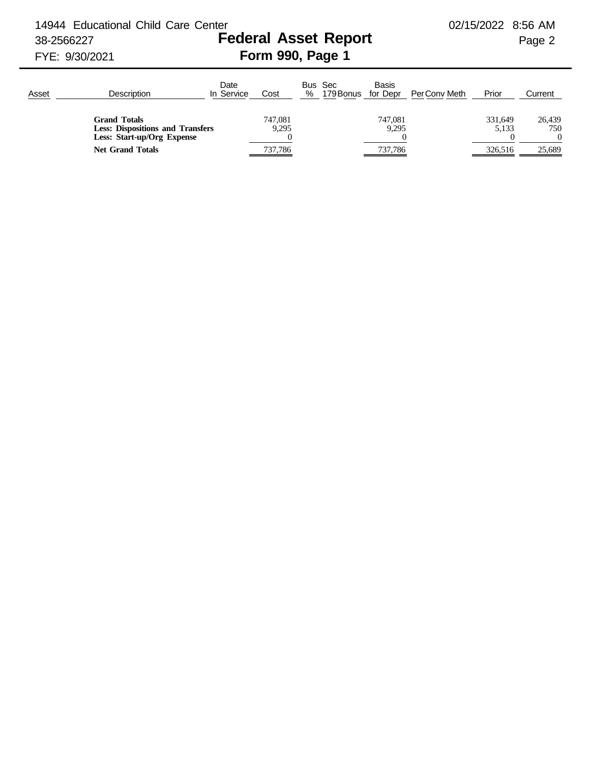14944 Educational Child Care Center 02/15/2022 8:56 AM

## 38-2566227 **Federal Asset Report** Page 2 FYE: 9/30/2021 **Form 990, Page 1**

## Date Bus Sec Basis<br>In Service Cost % 179Bonus for Dep Asset \_\_\_\_\_\_\_\_\_\_\_\_Description \_\_\_\_\_\_\_\_\_\_\_\_\_ In Service Cost \_\_\_ % 179Bonus for Depr PerConv Meth \_\_Prior \_\_ Current **Grand Totals** 26,439 26,439 2747,081 747,081 26,439 26,439 26,439 **Less: Dispositions and Transfers** 9,295 9,295 9,295 5,133 750 **Less: Start-up/Org Expense** 0 0 0 0 **Net Grand Totals** 737,786 737,786 737,786 326,516 25,689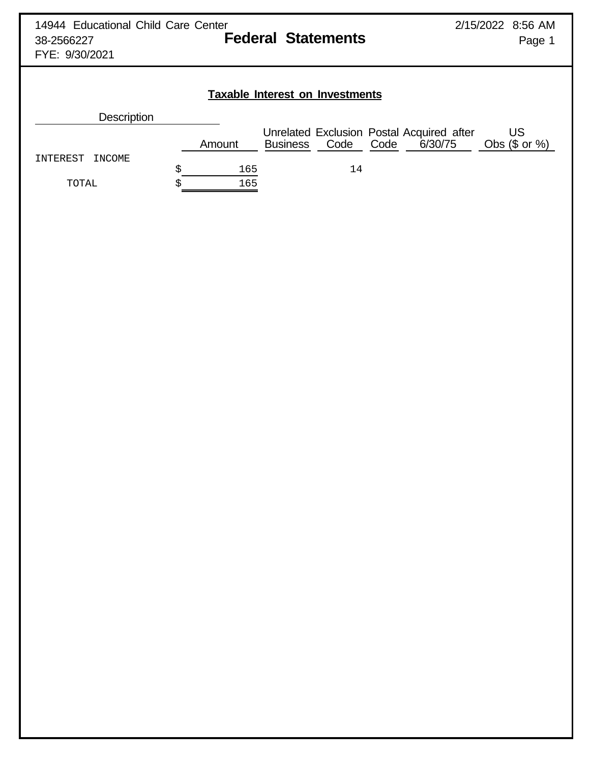## **Taxable Interest on Investments**

| Description |  |  |
|-------------|--|--|
|             |  |  |

|                    |  | Amount | <b>Business</b> | Code | Code | Unrelated Exclusion Postal Acquired after<br>6/30/75 | Obs $(\$$ or $%$ |
|--------------------|--|--------|-----------------|------|------|------------------------------------------------------|------------------|
| INTEREST<br>INCOME |  |        |                 |      |      |                                                      |                  |
|                    |  | 165    |                 | l 4  |      |                                                      |                  |
| TOTAL              |  | 165    |                 |      |      |                                                      |                  |